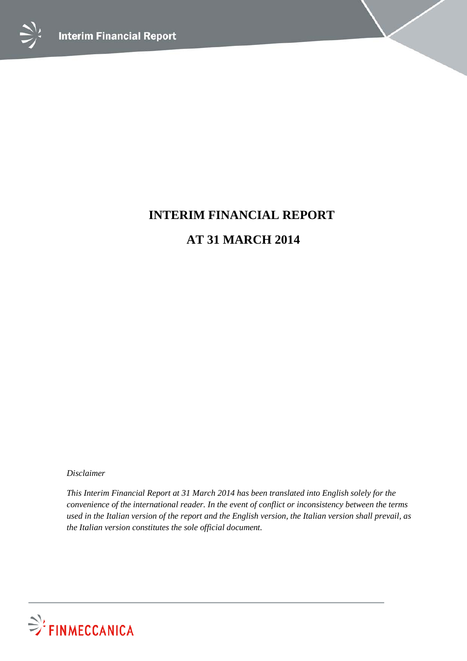



# **INTERIM FINANCIAL REPORT AT 31 MARCH 2014**

*Disclaimer*

*This Interim Financial Report at 31 March 2014 has been translated into English solely for the convenience of the international reader. In the event of conflict or inconsistency between the terms used in the Italian version of the report and the English version, the Italian version shall prevail, as the Italian version constitutes the sole official document.*

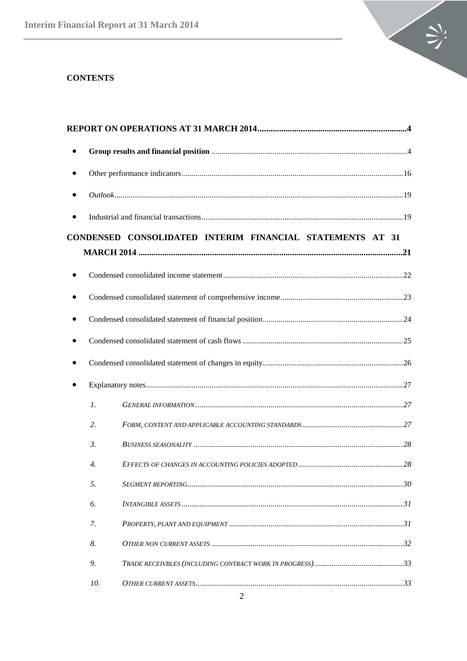

# **CONTENTS**

| $\bullet$ |                  |                                                           |  |
|-----------|------------------|-----------------------------------------------------------|--|
|           |                  |                                                           |  |
|           |                  |                                                           |  |
|           |                  | CONDENSED CONSOLIDATED INTERIM FINANCIAL STATEMENTS AT 31 |  |
|           |                  |                                                           |  |
|           |                  |                                                           |  |
|           |                  |                                                           |  |
|           |                  |                                                           |  |
|           |                  |                                                           |  |
|           |                  |                                                           |  |
|           |                  |                                                           |  |
|           | $\mathfrak{1}.$  |                                                           |  |
|           | 2.               |                                                           |  |
|           | 3.               |                                                           |  |
|           | $\overline{4}$ . |                                                           |  |
|           | 5.               |                                                           |  |
|           | 6.               |                                                           |  |
|           | 7.               |                                                           |  |
|           | 8.               |                                                           |  |
|           | 9.               |                                                           |  |
|           | 10.              |                                                           |  |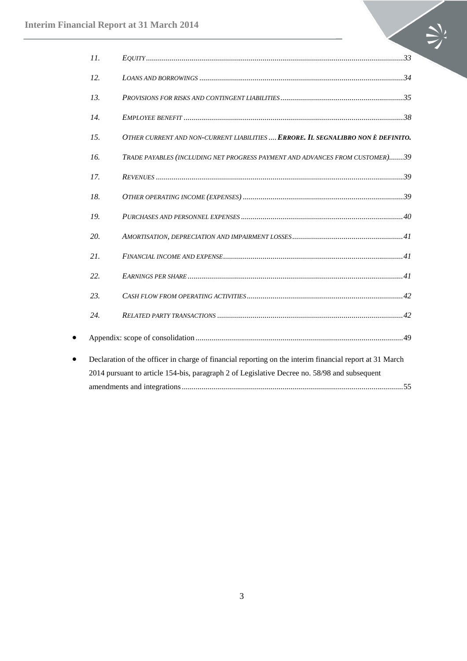|           | 11. |                                                                                                         |
|-----------|-----|---------------------------------------------------------------------------------------------------------|
|           | 12. |                                                                                                         |
|           | 13. |                                                                                                         |
|           | 14. |                                                                                                         |
|           | 15. | OTHER CURRENT AND NON-CURRENT LIABILITIES  ERRORE. IL SEGNALIBRO NON È DEFINITO.                        |
|           | 16. | TRADE PAYABLES (INCLUDING NET PROGRESS PAYMENT AND ADVANCES FROM CUSTOMER)39                            |
|           | 17. |                                                                                                         |
|           | 18. |                                                                                                         |
|           | 19. |                                                                                                         |
|           | 20. |                                                                                                         |
|           | 21. |                                                                                                         |
|           | 22. |                                                                                                         |
|           | 23. |                                                                                                         |
|           | 24. |                                                                                                         |
| $\bullet$ |     |                                                                                                         |
| $\bullet$ |     | Declaration of the officer in charge of financial reporting on the interim financial report at 31 March |
|           |     | 2014 pursuant to article 154-bis, paragraph 2 of Legislative Decree no. 58/98 and subsequent            |
|           |     |                                                                                                         |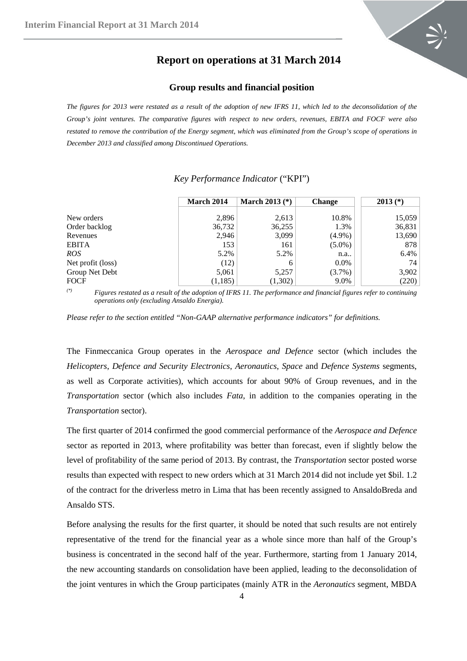

# **Report on operations at 31 March 2014**

#### **Group results and financial position**

<span id="page-3-1"></span><span id="page-3-0"></span>*The figures for 2013 were restated as a result of the adoption of new IFRS 11, which led to the deconsolidation of the Group's joint ventures. The comparative figures with respect to new orders, revenues, EBITA and FOCF were also*  restated to remove the contribution of the Energy segment, which was eliminated from the Group's scope of operations in *December 2013 and classified among Discontinued Operations.*

|                   | March 2014 | March 2013 $(*)$ | <b>Change</b> | $2013$ $(*)$ |
|-------------------|------------|------------------|---------------|--------------|
| New orders        | 2.896      | 2,613            | 10.8%         | 15,059       |
| Order backlog     | 36,732     | 36,255           | 1.3%          | 36,831       |
| Revenues          | 2,946      | 3,099            | $(4.9\%)$     | 13,690       |
| <b>EBITA</b>      | 153        | 161              | $(5.0\%)$     | 878          |
| ROS               | 5.2%       | 5.2%             | n.a           | 6.4%         |
| Net profit (loss) | (12)       |                  | $0.0\%$       | 74           |
| Group Net Debt    | 5,061      | 5,257            | (3.7%)        | 3,902        |
| <b>FOCF</b>       | (1,185)    | (1,302)          | 9.0%          | (220)        |

# *Key Performance Indicator* ("KPI")

*(\*) Figures restated as a result of the adoption of IFRS 11. The performance and financial figures refer to continuing operations only (excluding Ansaldo Energia).*

*Please refer to the section entitled "Non-GAAP alternative performance indicators" for definitions.*

The Finmeccanica Group operates in the *Aerospace and Defence* sector (which includes the *Helicopters*, *Defence and Security Electronics*, *Aeronautics*, *Space* and *Defence Systems* segments, as well as Corporate activities), which accounts for about 90% of Group revenues, and in the *Transportation* sector (which also includes *Fata*, in addition to the companies operating in the *Transportation* sector).

The first quarter of 2014 confirmed the good commercial performance of the *Aerospace and Defence* sector as reported in 2013, where profitability was better than forecast, even if slightly below the level of profitability of the same period of 2013. By contrast, the *Transportation* sector posted worse results than expected with respect to new orders which at 31 March 2014 did not include yet \$bil. 1.2 of the contract for the driverless metro in Lima that has been recently assigned to AnsaldoBreda and Ansaldo STS.

Before analysing the results for the first quarter, it should be noted that such results are not entirely representative of the trend for the financial year as a whole since more than half of the Group's business is concentrated in the second half of the year. Furthermore, starting from 1 January 2014, the new accounting standards on consolidation have been applied, leading to the deconsolidation of the joint ventures in which the Group participates (mainly ATR in the *Aeronautics* segment, MBDA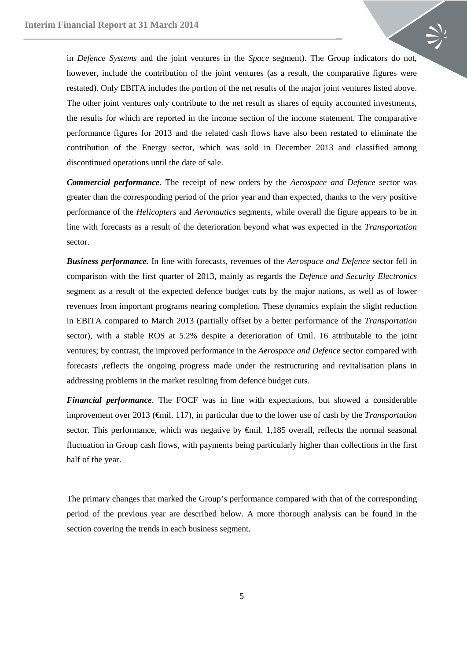in *Defence Systems* and the joint ventures in the *Space* segment). The Group indicators do not, however, include the contribution of the joint ventures (as a result, the comparative figures were restated). Only EBITA includes the portion of the net results of the major joint ventures listed above. The other joint ventures only contribute to the net result as shares of equity accounted investments, the results for which are reported in the income section of the income statement. The comparative performance figures for 2013 and the related cash flows have also been restated to eliminate the contribution of the Energy sector, which was sold in December 2013 and classified among discontinued operations until the date of sale.

*Commercial performance*. The receipt of new orders by the *Aerospace and Defence* sector was greater than the corresponding period of the prior year and than expected, thanks to the very positive performance of the *Helicopters* and *Aeronautics* segments, while overall the figure appears to be in line with forecasts as a result of the deterioration beyond what was expected in the *Transportation*  sector.

*Business performance.* In line with forecasts, revenues of the *Aerospace and Defence* sector fell in comparison with the first quarter of 2013, mainly as regards the *Defence and Security Electronics* segment as a result of the expected defence budget cuts by the major nations, as well as of lower revenues from important programs nearing completion. These dynamics explain the slight reduction in EBITA compared to March 2013 (partially offset by a better performance of the *Transportation*  sector), with a stable ROS at 5.2% despite a deterioration of €mil. 16 attributable to the joint ventures; by contrast, the improved performance in the *Aerospace and Defence* sector compared with forecasts ,reflects the ongoing progress made under the restructuring and revitalisation plans in addressing problems in the market resulting from defence budget cuts.

*Financial performance*. The FOCF was in line with expectations, but showed a considerable improvement over 2013 (€mil. 117), in particular due to the lower use of cash by the *Transportation*  sector. This performance, which was negative by  $\epsilon$ mil. 1,185 overall, reflects the normal seasonal fluctuation in Group cash flows, with payments being particularly higher than collections in the first half of the year.

The primary changes that marked the Group's performance compared with that of the corresponding period of the previous year are described below. A more thorough analysis can be found in the section covering the trends in each business segment.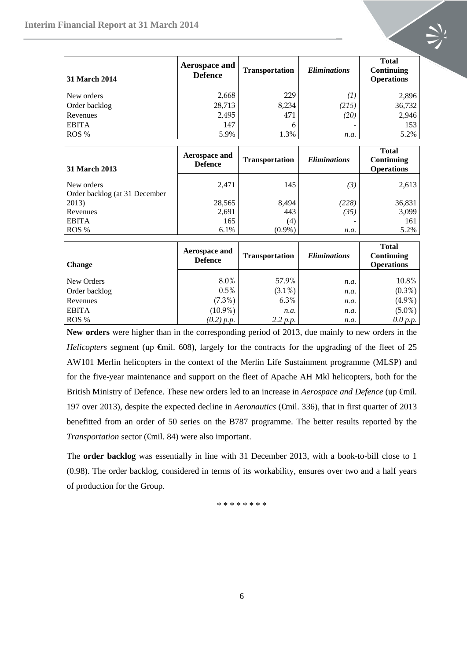| 31 March 2014               | <b>Aerospace and</b><br><b>Defence</b> | <b>Transportation</b> | <b>Eliminations</b>        | <b>Total</b><br>Continuing<br><b>Operations</b> |
|-----------------------------|----------------------------------------|-----------------------|----------------------------|-------------------------------------------------|
| New orders<br>Order backlog | 2,668<br>28,713                        | 229<br>8,234          | $\left( 1\right)$<br>(215) | 2,896<br>36,732                                 |
| Revenues                    | 2,495                                  | 471                   | (20)                       | 2,946                                           |
| <b>EBITA</b>                | 147                                    | 6                     |                            | 153                                             |
| ROS %                       | 5.9%                                   | 1.3%                  | <i>n.a.</i>                | 5.2%                                            |

| 31 March 2013                               | Aerospace and<br><b>Defence</b> | <b>Transportation</b> | <i>Eliminations</i> | <b>Total</b><br>Continuing<br><b>Operations</b> |
|---------------------------------------------|---------------------------------|-----------------------|---------------------|-------------------------------------------------|
| New orders<br>Order backlog (at 31 December | 2,471                           | 145                   | (3)                 | 2,613                                           |
| 2013)                                       | 28,565                          | 8,494                 | (228)               | 36,831                                          |
| Revenues                                    | 2,691                           | 443                   | (35)                | 3,099                                           |
| <b>EBITA</b>                                | 165                             | (4)                   |                     | 161                                             |
| ROS %                                       | 6.1%                            | $(0.9\%)$             | n.a.                | 5.2%                                            |

| <b>Change</b> | Aerospace and<br><b>Defence</b> | <b>Transportation</b> | <b>Eliminations</b> | <b>Total</b><br>Continuing<br><b>Operations</b> |
|---------------|---------------------------------|-----------------------|---------------------|-------------------------------------------------|
| New Orders    | 8.0%                            | 57.9%                 |                     | 10.8%                                           |
|               |                                 |                       | n.a.                |                                                 |
| Order backlog | 0.5%                            | $(3.1\%)$             | n.a.                | $(0.3\%)$                                       |
| Revenues      | $(7.3\%)$                       | 6.3%                  | n.a.                | $(4.9\%)$                                       |
| <b>EBITA</b>  | $(10.9\%)$                      | n.a.                  | n.a.                | $(5.0\%)$                                       |
| ROS %         | (0.2) p.p.                      | 2.2 p.p.              | n.a.                | 0.0 p.p.                                        |

**New orders** were higher than in the corresponding period of 2013, due mainly to new orders in the *Helicopters* segment (up  $\theta$ mil. 608), largely for the contracts for the upgrading of the fleet of 25 AW101 Merlin helicopters in the context of the Merlin Life Sustainment programme (MLSP) and for the five-year maintenance and support on the fleet of Apache AH Mkl helicopters, both for the British Ministry of Defence. These new orders led to an increase in *Aerospace and Defence* (up €mil. 197 over 2013), despite the expected decline in *Aeronautics* (€mil. 336), that in first quarter of 2013 benefitted from an order of 50 series on the B787 programme. The better results reported by the *Transportation* sector (€mil. 84) were also important.

The **order backlog** was essentially in line with 31 December 2013, with a book-to-bill close to 1 (0.98). The order backlog, considered in terms of its workability, ensures over two and a half years of production for the Group.

\* \* \* \* \* \* \* \*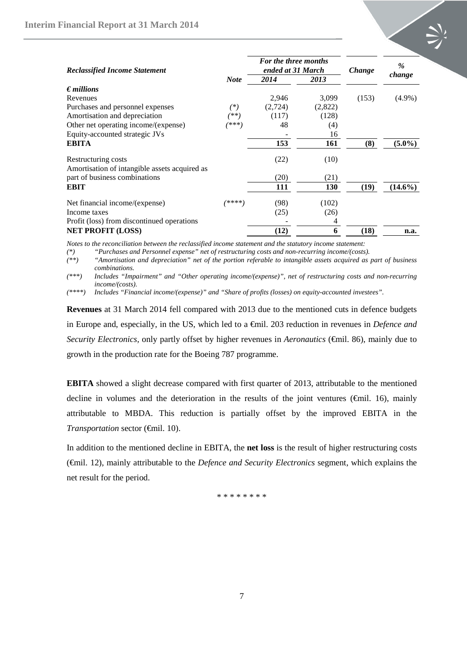

| <b>Reclassified Income Statement</b>                                 |             | <b>For the three months</b><br>ended at 31 March |         | Change | $\frac{0}{0}$<br>change |  |
|----------------------------------------------------------------------|-------------|--------------------------------------------------|---------|--------|-------------------------|--|
|                                                                      | <b>Note</b> | 2014                                             | 2013    |        |                         |  |
| $\epsilon$ <i>millions</i>                                           |             |                                                  |         |        |                         |  |
| Revenues                                                             |             | 2,946                                            | 3,099   | (153)  | $(4.9\%)$               |  |
| Purchases and personnel expenses                                     | (*)         | (2,724)                                          | (2,822) |        |                         |  |
| Amortisation and depreciation                                        | (**)        | (117)                                            | (128)   |        |                         |  |
| Other net operating income/(expense)                                 | (***)       | 48                                               | (4)     |        |                         |  |
| Equity-accounted strategic JVs                                       |             |                                                  | 16      |        |                         |  |
| <b>EBITA</b>                                                         |             | 153                                              | 161     | (8)    | $(5.0\%)$               |  |
| Restructuring costs<br>Amortisation of intangible assets acquired as |             | (22)                                             | (10)    |        |                         |  |
| part of business combinations                                        |             | (20)                                             | (21)    |        |                         |  |
| <b>EBIT</b>                                                          |             | 111                                              | 130     | (19)   | $(14.6\%)$              |  |
| Net financial income/(expense)                                       | ****        | (98)                                             | (102)   |        |                         |  |
| Income taxes                                                         |             | (25)                                             | (26)    |        |                         |  |
| Profit (loss) from discontinued operations                           |             |                                                  | 4       |        |                         |  |
| <b>NET PROFIT (LOSS)</b>                                             |             | (12)                                             | 6       | (18)   | n.a.                    |  |

*Notes to the reconciliation between the reclassified income statement and the statutory income statement:* 

*(\*) "Purchases and Personnel expense" net of restructuring costs and non-recurring income/(costs).*

*(\*\*) "Amortisation and depreciation" net of the portion referable to intangible assets acquired as part of business combinations.*

*(\*\*\*) Includes "Impairment" and "Other operating income/(expense)", net of restructuring costs and non-recurring income/(costs).*

*(\*\*\*\*) Includes "Financial income/(expense)" and "Share of profits (losses) on equity-accounted investees".*

**Revenues** at 31 March 2014 fell compared with 2013 due to the mentioned cuts in defence budgets in Europe and, especially, in the US, which led to a €mil. 203 reduction in revenues in *Defence and Security Electronics,* only partly offset by higher revenues in *Aeronautics* (€mil. 86), mainly due to growth in the production rate for the Boeing 787 programme.

**EBITA** showed a slight decrease compared with first quarter of 2013, attributable to the mentioned decline in volumes and the deterioration in the results of the joint ventures (€mil. 16), mainly attributable to MBDA. This reduction is partially offset by the improved EBITA in the *Transportation* sector (€mil. 10).

In addition to the mentioned decline in EBITA, the **net loss** is the result of higher restructuring costs (€mil. 12), mainly attributable to the *Defence and Security Electronics* segment, which explains the net result for the period.

\* \* \* \* \* \* \* \*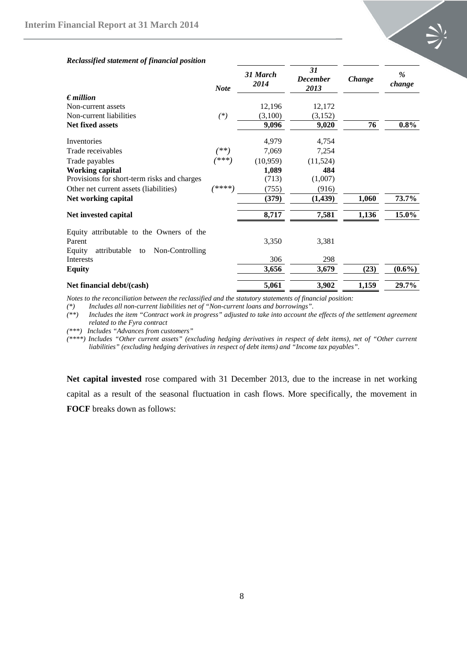

#### *Reclassified statement of financial position*

|                                                 | <b>Note</b> | 31 March<br>2014 | 31<br><b>December</b><br>2013 | Change | $\frac{0}{0}$<br>change |
|-------------------------------------------------|-------------|------------------|-------------------------------|--------|-------------------------|
| $\epsilon$ <i>million</i>                       |             |                  |                               |        |                         |
| Non-current assets                              |             | 12,196           | 12,172                        |        |                         |
| Non-current liabilities                         | $(*)$       | (3,100)          | (3,152)                       |        |                         |
| <b>Net fixed assets</b>                         |             | 9,096            | 9,020                         | 76     | $0.8\%$                 |
| Inventories                                     |             | 4,979            | 4,754                         |        |                         |
| Trade receivables                               | (**)        | 7,069            | 7,254                         |        |                         |
| Trade payables                                  | (***)       | (10, 959)        | (11,524)                      |        |                         |
| <b>Working capital</b>                          |             | 1,089            | 484                           |        |                         |
| Provisions for short-term risks and charges     |             | (713)            | (1,007)                       |        |                         |
| Other net current assets (liabilities)          | /****)      | (755)            | (916)                         |        |                         |
| Net working capital                             |             | (379)            | (1,439)                       | 1,060  | 73.7%                   |
| Net invested capital                            |             | 8,717            | 7,581                         | 1,136  | 15.0%                   |
| Equity attributable to the Owners of the        |             |                  |                               |        |                         |
| Parent                                          |             | 3,350            | 3,381                         |        |                         |
| attributable<br>Equity<br>Non-Controlling<br>to |             |                  |                               |        |                         |
| <b>Interests</b>                                |             | 306              | 298                           |        |                         |
| <b>Equity</b>                                   |             | 3,656            | 3,679                         | (23)   | $(0.6\%)$               |
| Net financial debt/(cash)                       |             | 5,061            | 3,902                         | 1,159  | 29.7%                   |

*Notes to the reconciliation between the reclassified and the statutory statements of financial position:*<br>(\*) Includes all non-current liabilities net of "Non-current loans and borrowings".

*(\*) Includes all non-current liabilities net of "Non-current loans and borrowings".*

*(\*\*) Includes the item "Contract work in progress" adjusted to take into account the effects of the settlement agreement related to the Fyra contract*

*(\*\*\*) Includes "Advances from customers"*

*(\*\*\*\*) Includes "Other current assets" (excluding hedging derivatives in respect of debt items), net of "Other current liabilities" (excluding hedging derivatives in respect of debt items) and "Income tax payables".*

**Net capital invested** rose compared with 31 December 2013, due to the increase in net working capital as a result of the seasonal fluctuation in cash flows. More specifically, the movement in **FOCF** breaks down as follows: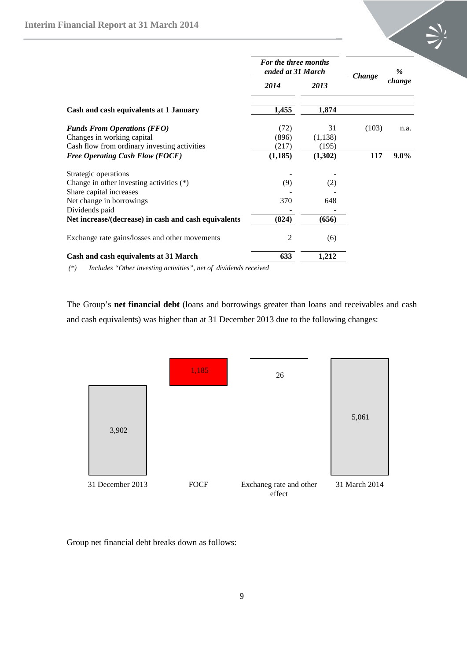|                                                      | For the three months<br>ended at 31 March |         | <b>Change</b> | $\%$    |
|------------------------------------------------------|-------------------------------------------|---------|---------------|---------|
|                                                      | 2014                                      | 2013    |               | change  |
| Cash and cash equivalents at 1 January               | 1,455                                     | 1,874   |               |         |
| <b>Funds From Operations (FFO)</b>                   | (72)                                      | 31      | (103)         | n.a.    |
| Changes in working capital                           | (896)                                     | (1,138) |               |         |
| Cash flow from ordinary investing activities         | (217)                                     | (195)   |               |         |
| <b>Free Operating Cash Flow (FOCF)</b>               | (1, 185)                                  | (1,302) | 117           | $9.0\%$ |
| Strategic operations                                 |                                           |         |               |         |
| Change in other investing activities $(*)$           | (9)                                       | (2)     |               |         |
| Share capital increases                              |                                           |         |               |         |
| Net change in borrowings                             | 370                                       | 648     |               |         |
| Dividends paid                                       |                                           |         |               |         |
| Net increase/(decrease) in cash and cash equivalents | (824)                                     | (656)   |               |         |
| Exchange rate gains/losses and other movements       | 2                                         | (6)     |               |         |
| Cash and cash equivalents at 31 March                | 633                                       | 1,212   |               |         |

*(\*) Includes "Other investing activities", net of dividends received*

The Group's **net financial debt** (loans and borrowings greater than loans and receivables and cash and cash equivalents) was higher than at 31 December 2013 due to the following changes:



Group net financial debt breaks down as follows: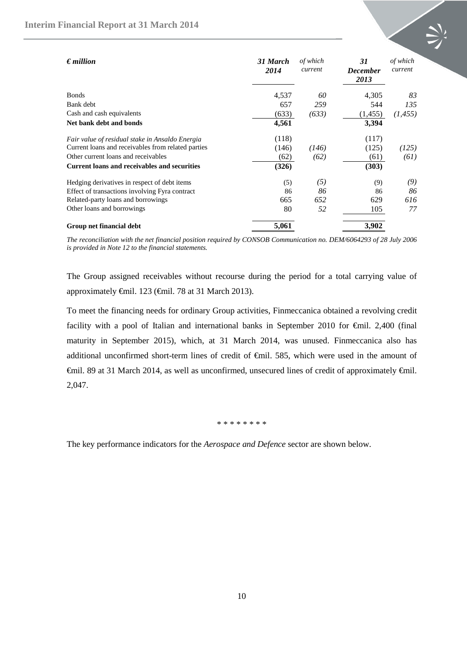

| $\epsilon$ million                                  | 31 March<br>2014 | of which<br>current | 31<br><b>December</b><br>2013 | of which<br>current |
|-----------------------------------------------------|------------------|---------------------|-------------------------------|---------------------|
| <b>Bonds</b>                                        | 4,537            | 60                  | 4,305                         | 83                  |
| Bank debt                                           | 657              | 259                 | 544                           | 135                 |
| Cash and cash equivalents                           | (633)            | (633)               | (1, 455)                      | (1, 455)            |
| Net bank debt and bonds                             | 4,561            |                     | 3,394                         |                     |
| Fair value of residual stake in Ansaldo Energia     | (118)            |                     | (117)                         |                     |
| Current loans and receivables from related parties  | (146)            | (146)               | (125)                         | (125)               |
| Other current loans and receivables                 | (62)             | (62)                | (61)                          | (61)                |
| <b>Current loans and receivables and securities</b> | (326)            |                     | (303)                         |                     |
| Hedging derivatives in respect of debt items        | (5)              | (5)                 | (9)                           | (9)                 |
| Effect of transactions involving Fyra contract      | 86               | 86                  | 86                            | 86                  |
| Related-party loans and borrowings                  | 665              | 652                 | 629                           | 616                 |
| Other loans and borrowings                          | 80               | 52                  | 105                           | 77                  |
| Group net financial debt                            | 5,061            |                     | 3,902                         |                     |

*The reconciliation with the net financial position required by CONSOB Communication no. DEM/6064293 of 28 July 2006 is provided in Note 12 to the financial statements.* 

The Group assigned receivables without recourse during the period for a total carrying value of approximately €mil. 123 (€mil. 78 at 31 March 2013).

To meet the financing needs for ordinary Group activities, Finmeccanica obtained a revolving credit facility with a pool of Italian and international banks in September 2010 for €mil. 2,400 (final maturity in September 2015), which, at 31 March 2014, was unused. Finmeccanica also has additional unconfirmed short-term lines of credit of €mil. 585, which were used in the amount of €mil. 89 at 31 March 2014, as well as unconfirmed, unsecured lines of credit of approximately €mil. 2,047.

#### \* \* \* \* \* \* \* \*

The key performance indicators for the *Aerospace and Defence* sector are shown below.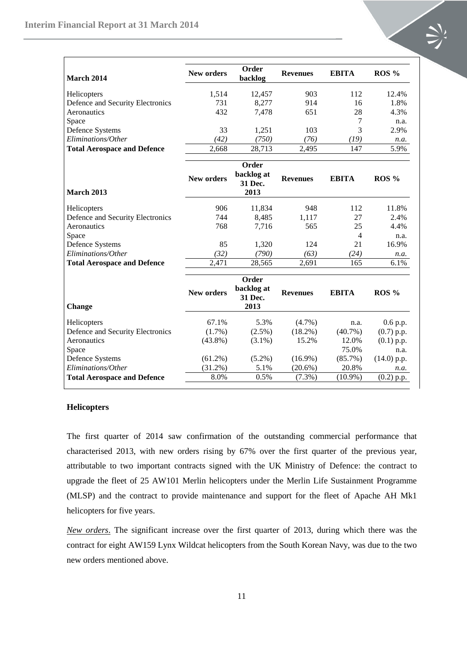

| March 2014                         | <b>New orders</b> | Order<br>backlog      | <b>Revenues</b> | <b>EBITA</b>   | ROS %         |
|------------------------------------|-------------------|-----------------------|-----------------|----------------|---------------|
| Helicopters                        | 1,514             | 12,457                | 903             | 112            | 12.4%         |
| Defence and Security Electronics   | 731               | 8,277                 | 914             | 16             | 1.8%          |
| Aeronautics                        | 432               | 7,478                 | 651             | 28             | 4.3%          |
| Space                              |                   |                       |                 | $\overline{7}$ | n.a.          |
| Defence Systems                    | 33                | 1,251                 | 103             | 3              | 2.9%          |
| Eliminations/Other                 | (42)              | (750)                 | (76)            | (19)           | n.a.          |
| <b>Total Aerospace and Defence</b> | 2,668             | 28,713                | 2,495           | 147            | 5.9%          |
|                                    |                   | Order                 |                 |                |               |
|                                    | <b>New orders</b> | backlog at<br>31 Dec. | <b>Revenues</b> | <b>EBITA</b>   | $ROS\%$       |
| <b>March 2013</b>                  |                   | 2013                  |                 |                |               |
| Helicopters                        | 906               | 11,834                | 948             | 112            | 11.8%         |
| Defence and Security Electronics   | 744               | 8,485                 | 1,117           | 27             | 2.4%          |
| Aeronautics                        | 768               | 7,716                 | 565             | 25             | 4.4%          |
| Space                              |                   |                       |                 | 4              | n.a.          |
| Defence Systems                    | 85                | 1,320                 | 124             | 21             | 16.9%         |
| Eliminations/Other                 | (32)              | (790)                 | (63)            | (24)           | n.a.          |
| <b>Total Aerospace and Defence</b> | 2,471             | 28,565                | 2,691           | 165            | 6.1%          |
|                                    |                   | Order                 |                 |                |               |
|                                    | <b>New orders</b> | backlog at<br>31 Dec. | <b>Revenues</b> | <b>EBITA</b>   | ROS %         |
| <b>Change</b>                      |                   | 2013                  |                 |                |               |
| Helicopters                        | 67.1%             | 5.3%                  | (4.7%)          | n.a.           | $0.6$ p.p.    |
| Defence and Security Electronics   | $(1.7\%)$         | $(2.5\%)$             | $(18.2\%)$      | $(40.7\%)$     | $(0.7)$ p.p.  |
| Aeronautics                        | $(43.8\%)$        | $(3.1\%)$             | 15.2%           | 12.0%          | $(0.1)$ p.p.  |
| Space                              |                   |                       |                 | 75.0%          | n.a.          |
| Defence Systems                    | $(61.2\%)$        | $(5.2\%)$             | $(16.9\%)$      | $(85.7\%)$     | $(14.0)$ p.p. |
| Eliminations/Other                 | $(31.2\%)$        | 5.1%                  | $(20.6\%)$      | 20.8%          | n.a.          |
| <b>Total Aerospace and Defence</b> | 8.0%              | 0.5%                  | $(7.3\%)$       | $(10.9\%)$     | (0.2) p.p.    |

#### **Helicopters**

The first quarter of 2014 saw confirmation of the outstanding commercial performance that characterised 2013, with new orders rising by 67% over the first quarter of the previous year, attributable to two important contracts signed with the UK Ministry of Defence: the contract to upgrade the fleet of 25 AW101 Merlin helicopters under the Merlin Life Sustainment Programme (MLSP) and the contract to provide maintenance and support for the fleet of Apache AH Mk1 helicopters for five years.

*New orders*. The significant increase over the first quarter of 2013, during which there was the contract for eight AW159 Lynx Wildcat helicopters from the South Korean Navy, was due to the two new orders mentioned above.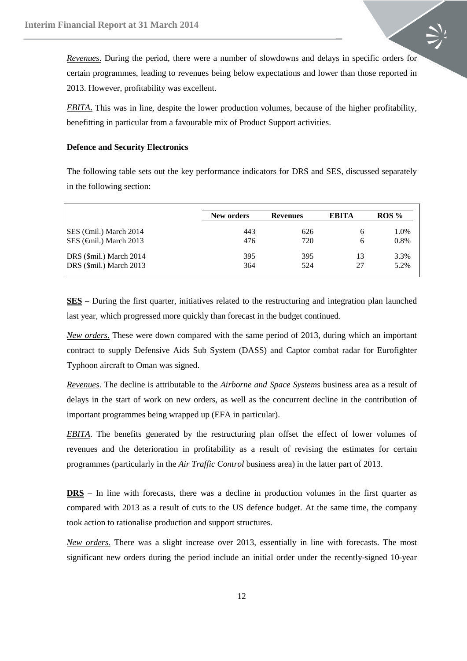*Revenues*. During the period, there were a number of slowdowns and delays in specific orders for certain programmes, leading to revenues being below expectations and lower than those reported in 2013. However, profitability was excellent.

*EBITA*. This was in line, despite the lower production volumes, because of the higher profitability, benefitting in particular from a favourable mix of Product Support activities.

#### **Defence and Security Electronics**

The following table sets out the key performance indicators for DRS and SES, discussed separately in the following section:

|                                 | New orders | <b>Revenues</b> | <b>EBITA</b> | ROS% |
|---------------------------------|------------|-----------------|--------------|------|
| SES $(\epsilon)$ March 2014     | 443        | 626             | h            | 1.0% |
| SES $(\text{Gmil.})$ March 2013 | 476        | 720             | 6            | 0.8% |
| DRS (\$mil.) March 2014         | 395        | 395             | 13           | 3.3% |
| DRS (\$mil.) March 2013         | 364        | 524             | 27           | 5.2% |

**SES** – During the first quarter, initiatives related to the restructuring and integration plan launched last year, which progressed more quickly than forecast in the budget continued.

*New orders*. These were down compared with the same period of 2013, during which an important contract to supply Defensive Aids Sub System (DASS) and Captor combat radar for Eurofighter Typhoon aircraft to Oman was signed.

*Revenues*. The decline is attributable to the *Airborne and Space Systems* business area as a result of delays in the start of work on new orders, as well as the concurrent decline in the contribution of important programmes being wrapped up (EFA in particular).

*EBITA*. The benefits generated by the restructuring plan offset the effect of lower volumes of revenues and the deterioration in profitability as a result of revising the estimates for certain programmes (particularly in the *Air Traffic Control* business area) in the latter part of 2013.

**DRS** – In line with forecasts, there was a decline in production volumes in the first quarter as compared with 2013 as a result of cuts to the US defence budget. At the same time, the company took action to rationalise production and support structures.

*New orders.* There was a slight increase over 2013, essentially in line with forecasts. The most significant new orders during the period include an initial order under the recently-signed 10-year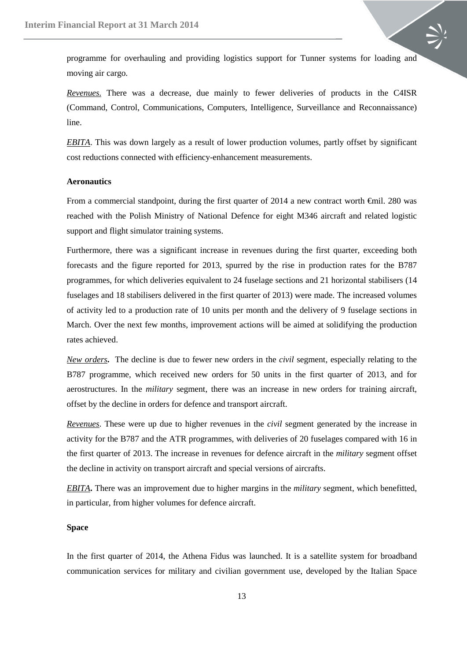programme for overhauling and providing logistics support for Tunner systems for loading and moving air cargo.

*Revenues.* There was a decrease, due mainly to fewer deliveries of products in the C4ISR (Command, Control, Communications, Computers, Intelligence, Surveillance and Reconnaissance) line.

*EBITA* . This was down largely as a result of lower production volumes, partly offset by significant cost reductions connected with efficiency-enhancement measurements.

#### **Aeronautics**

From a commercial standpoint, during the first quarter of 2014 a new contract worth €mil. 280 was reached with the Polish Ministry of National Defence for eight M346 aircraft and related logistic support and flight simulator training systems.

Furthermore, there was a significant increase in revenues during the first quarter, exceeding both forecasts and the figure reported for 2013, spurred by the rise in production rates for the B787 programmes, for which deliveries equivalent to 24 fuselage sections and 21 horizontal stabilisers (14 fuselages and 18 stabilisers delivered in the first quarter of 2013) were made. The increased volumes of activity led to a production rate of 10 units per month and the delivery of 9 fuselage sections in March. Over the next few months, improvement actions will be aimed at solidifying the production rates achieved.

*New orders***.** The decline is due to fewer new orders in the *civil* segment, especially relating to the B787 programme, which received new orders for 50 units in the first quarter of 2013, and for aerostructures. In the *military* segment, there was an increase in new orders for training aircraft, offset by the decline in orders for defence and transport aircraft.

*Revenues*. These were up due to higher revenues in the *civil* segment generated by the increase in activity for the B787 and the ATR programmes, with deliveries of 20 fuselages compared with 16 in the first quarter of 2013. The increase in revenues for defence aircraft in the *military* segment offset the decline in activity on transport aircraft and special versions of aircrafts.

*EBITA* **.** There was an improvement due to higher margins in the *military* segment, which benefitted, in particular, from higher volumes for defence aircraft.

#### **Space**

In the first quarter of 2014, the Athena Fidus was launched. It is a satellite system for broadband communication services for military and civilian government use, developed by the Italian Space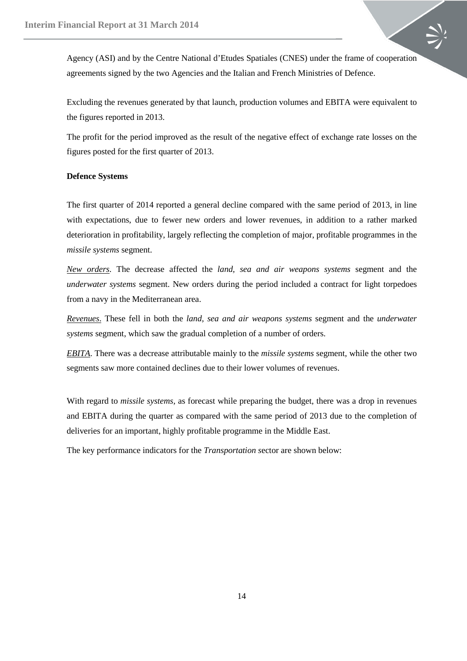Agency (ASI) and by the Centre National d'Etudes Spatiales (CNES) under the frame of cooperation agreements signed by the two Agencies and the Italian and French Ministries of Defence.

Excluding the revenues generated by that launch, production volumes and EBITA were equivalent to the figures reported in 2013.

The profit for the period improved as the result of the negative effect of exchange rate losses on the figures posted for the first quarter of 2013.

#### **Defence Systems**

The first quarter of 2014 reported a general decline compared with the same period of 2013, in line with expectations, due to fewer new orders and lower revenues, in addition to a rather marked deterioration in profitability, largely reflecting the completion of major, profitable programmes in the *missile systems* segment.

*New orders*. The decrease affected the *land, sea and air weapons systems* segment and the *underwater systems* segment. New orders during the period included a contract for light torpedoes from a navy in the Mediterranean area.

*Revenues*. These fell in both the *land, sea and air weapons systems* segment and the *underwater systems* segment, which saw the gradual completion of a number of orders.

*EBITA*. There was a decrease attributable mainly to the *missile systems* segment, while the other two segments saw more contained declines due to their lower volumes of revenues.

With regard to *missile systems,* as forecast while preparing the budget, there was a drop in revenues and EBITA during the quarter as compared with the same period of 2013 due to the completion of deliveries for an important, highly profitable programme in the Middle East.

The key performance indicators for the *Transportation s*ector are shown below: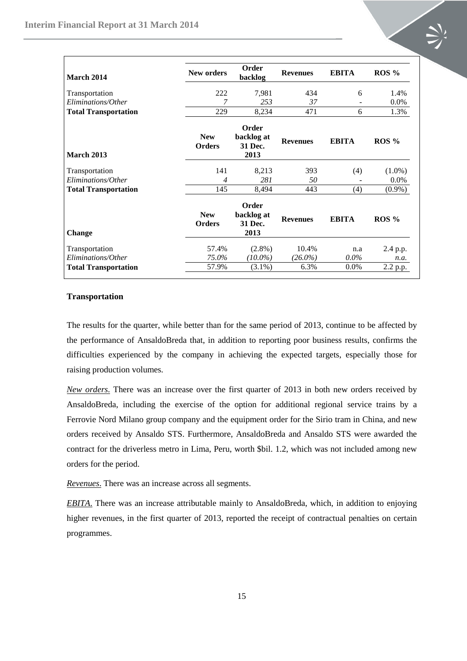

| March 2014                  | <b>New orders</b>           | Order<br>backlog                       | <b>Revenues</b> | <b>EBITA</b> | $ROS\%$   |
|-----------------------------|-----------------------------|----------------------------------------|-----------------|--------------|-----------|
| Transportation              | 222                         | 7,981                                  | 434             | 6            | 1.4%      |
| Eliminations/Other          |                             | 253                                    | 37              |              | 0.0%      |
| <b>Total Transportation</b> | 229                         | 8,234                                  | 471             | 6            | 1.3%      |
| <b>March 2013</b>           | <b>New</b><br><b>Orders</b> | Order<br>backlog at<br>31 Dec.<br>2013 | <b>Revenues</b> | <b>EBITA</b> | $ROS\%$   |
| Transportation              | 141                         | 8,213                                  | 393             | (4)          | $(1.0\%)$ |
| Eliminations/Other          | 4                           | 281                                    | 50              |              | $0.0\%$   |
| <b>Total Transportation</b> | 145                         | 8,494                                  | 443             | (4)          | $(0.9\%)$ |
| <b>Change</b>               | <b>New</b><br><b>Orders</b> | Order<br>backlog at<br>31 Dec.<br>2013 | <b>Revenues</b> | <b>EBITA</b> | $ROS\%$   |
| Transportation              | 57.4%                       | $(2.8\%)$                              | 10.4%           | n.a          | 2.4 p.p.  |
| Eliminations/Other          | 75.0%                       | $(10.0\%)$                             | $(26.0\%)$      | $0.0\%$      | n.a.      |
| <b>Total Transportation</b> | 57.9%                       | $(3.1\%)$                              | 6.3%            | $0.0\%$      | 2.2 p.p.  |

#### **Transportation**

The results for the quarter, while better than for the same period of 2013, continue to be affected by the performance of AnsaldoBreda that, in addition to reporting poor business results, confirms the difficulties experienced by the company in achieving the expected targets, especially those for raising production volumes.

*New orders*. There was an increase over the first quarter of 2013 in both new orders received by AnsaldoBreda, including the exercise of the option for additional regional service trains by a Ferrovie Nord Milano group company and the equipment order for the Sirio tram in China, and new orders received by Ansaldo STS. Furthermore, AnsaldoBreda and Ansaldo STS were awarded the contract for the driverless metro in Lima, Peru, worth \$bil. 1.2, which was not included among new orders for the period.

*Revenues*. There was an increase across all segments.

*EBITA*. There was an increase attributable mainly to AnsaldoBreda, which, in addition to enjoying higher revenues, in the first quarter of 2013, reported the receipt of contractual penalties on certain programmes.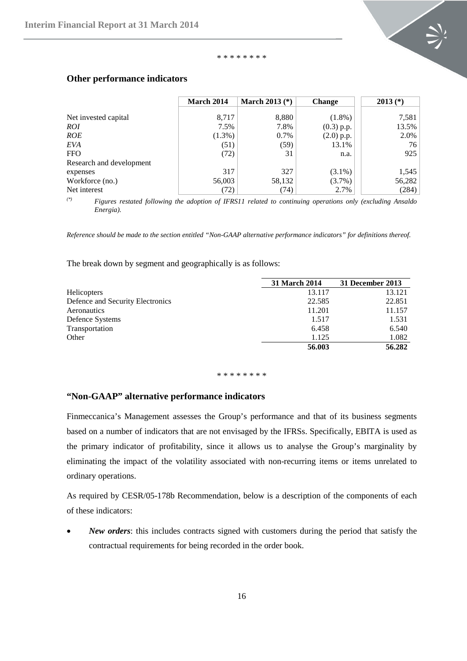

#### \* \* \* \* \* \* \* \*

|                          | March 2014 | March 2013 $(*)$ | <b>Change</b> | $2013$ (*) |
|--------------------------|------------|------------------|---------------|------------|
| Net invested capital     | 8,717      | 8,880            | $(1.8\%)$     | 7,581      |
| <i>ROI</i>               | 7.5%       | 7.8%             | $(0.3)$ p.p.  | 13.5%      |
| <b>ROE</b>               | $(1.3\%)$  | 0.7%             | $(2.0)$ p.p.  | 2.0%       |
| EVA                      | (51)       | (59)             | 13.1%         | 76         |
| FFO.                     | (72)       | 31               | n.a.          | 925        |
| Research and development |            |                  |               |            |
| expenses                 | 317        | 327              | $(3.1\%)$     | 1,545      |
| Workforce (no.)          | 56,003     | 58,132           | $(3.7\%)$     | 56,282     |
| Net interest             | (72)       | (74)             | 2.7%          | (284)      |

#### <span id="page-15-0"></span>**Other performance indicators**

*(\*) Figures restated following the adoption of IFRS11 related to continuing operations only (excluding Ansaldo Energia).* 

*Reference should be made to the section entitled "Non-GAAP alternative performance indicators" for definitions thereof.*

The break down by segment and geographically is as follows:

|                                  | 31 March 2014 | 31 December 2013 |
|----------------------------------|---------------|------------------|
| <b>Helicopters</b>               | 13.117        | 13.121           |
| Defence and Security Electronics | 22.585        | 22.851           |
| Aeronautics                      | 11.201        | 11.157           |
| Defence Systems                  | 1.517         | 1.531            |
| Transportation                   | 6.458         | 6.540            |
| Other                            | 1.125         | 1.082            |
|                                  | 56.003        | 56.282           |

\* \* \* \* \* \* \* \*

# **"Non-GAAP" alternative performance indicators**

Finmeccanica's Management assesses the Group's performance and that of its business segments based on a number of indicators that are not envisaged by the IFRSs. Specifically, EBITA is used as the primary indicator of profitability, since it allows us to analyse the Group's marginality by eliminating the impact of the volatility associated with non-recurring items or items unrelated to ordinary operations.

As required by CESR/05-178b Recommendation, below is a description of the components of each of these indicators:

New orders: this includes contracts signed with customers during the period that satisfy the contractual requirements for being recorded in the order book.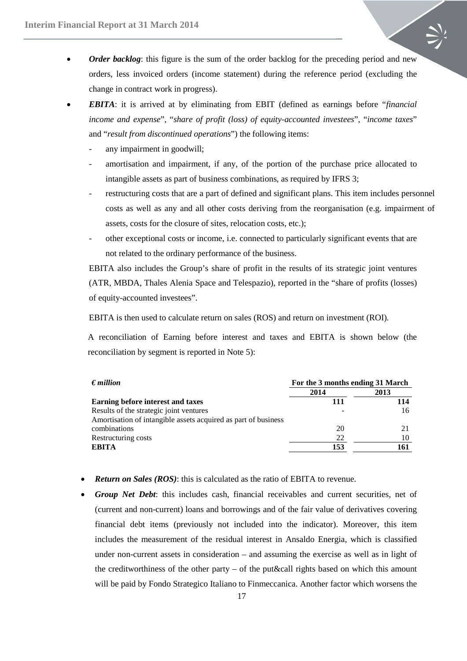- *Order backlog*: this figure is the sum of the order backlog for the preceding period and new orders, less invoiced orders (income statement) during the reference period (excluding the change in contract work in progress).
- *EBITA*: it is arrived at by eliminating from EBIT (defined as earnings before "*financial income and expense*", "*share of profit (loss) of equity-accounted investees*", "*income taxes*" and "*result from discontinued operations*") the following items:
	- any impairment in goodwill;
	- amortisation and impairment, if any, of the portion of the purchase price allocated to intangible assets as part of business combinations, as required by IFRS 3;
	- restructuring costs that are a part of defined and significant plans. This item includes personnel costs as well as any and all other costs deriving from the reorganisation (e.g. impairment of assets, costs for the closure of sites, relocation costs, etc.);
	- other exceptional costs or income, i.e. connected to particularly significant events that are not related to the ordinary performance of the business.

EBITA also includes the Group's share of profit in the results of its strategic joint ventures (ATR, MBDA, Thales Alenia Space and Telespazio), reported in the "share of profits (losses) of equity-accounted investees".

EBITA is then used to calculate return on sales (ROS) and return on investment (ROI)*.*

A reconciliation of Earning before interest and taxes and EBITA is shown below (the reconciliation by segment is reported in Note 5):

| $\epsilon$ <i>million</i>                                      | For the 3 months ending 31 March |      |  |  |
|----------------------------------------------------------------|----------------------------------|------|--|--|
|                                                                | 2014                             | 2013 |  |  |
| Earning before interest and taxes                              | 111                              | 114  |  |  |
| Results of the strategic joint ventures                        |                                  | 16   |  |  |
| Amortisation of intangible assets acquired as part of business |                                  |      |  |  |
| combinations                                                   | 20                               |      |  |  |
| Restructuring costs                                            | 22                               |      |  |  |
| ERITA                                                          | 153                              |      |  |  |

- *Return on Sales (ROS)*: this is calculated as the ratio of EBITA to revenue.
- *Group Net Debt*: this includes cash, financial receivables and current securities, net of (current and non-current) loans and borrowings and of the fair value of derivatives covering financial debt items (previously not included into the indicator). Moreover, this item includes the measurement of the residual interest in Ansaldo Energia, which is classified under non-current assets in consideration – and assuming the exercise as well as in light of the creditworthiness of the other party – of the put&call rights based on which this amount will be paid by Fondo Strategico Italiano to Finmeccanica. Another factor which worsens the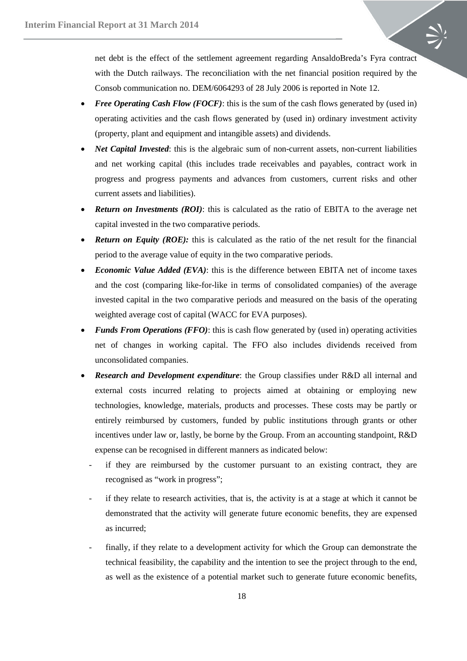net debt is the effect of the settlement agreement regarding AnsaldoBreda's Fyra contract with the Dutch railways. The reconciliation with the net financial position required by the Consob communication no. DEM/6064293 of 28 July 2006 is reported in Note 12.

- *Free Operating Cash Flow (FOCF)*: this is the sum of the cash flows generated by (used in) operating activities and the cash flows generated by (used in) ordinary investment activity (property, plant and equipment and intangible assets) and dividends.
- *Net Capital Invested*: this is the algebraic sum of non-current assets, non-current liabilities and net working capital (this includes trade receivables and payables, contract work in progress and progress payments and advances from customers, current risks and other current assets and liabilities).
- *Return on Investments (ROI)*: this is calculated as the ratio of EBITA to the average net capital invested in the two comparative periods.
- **Return on Equity (ROE):** this is calculated as the ratio of the net result for the financial period to the average value of equity in the two comparative periods.
- *Economic Value Added (EVA)*: this is the difference between EBITA net of income taxes and the cost (comparing like-for-like in terms of consolidated companies) of the average invested capital in the two comparative periods and measured on the basis of the operating weighted average cost of capital (WACC for EVA purposes).
- *Funds From Operations (FFO)*: this is cash flow generated by (used in) operating activities net of changes in working capital. The FFO also includes dividends received from unconsolidated companies.
- *Research and Development expenditure*: the Group classifies under R&D all internal and external costs incurred relating to projects aimed at obtaining or employing new technologies, knowledge, materials, products and processes. These costs may be partly or entirely reimbursed by customers, funded by public institutions through grants or other incentives under law or, lastly, be borne by the Group. From an accounting standpoint, R&D expense can be recognised in different manners as indicated below:
	- if they are reimbursed by the customer pursuant to an existing contract, they are recognised as "work in progress";
	- if they relate to research activities, that is, the activity is at a stage at which it cannot be demonstrated that the activity will generate future economic benefits, they are expensed as incurred;
	- finally, if they relate to a development activity for which the Group can demonstrate the technical feasibility, the capability and the intention to see the project through to the end, as well as the existence of a potential market such to generate future economic benefits,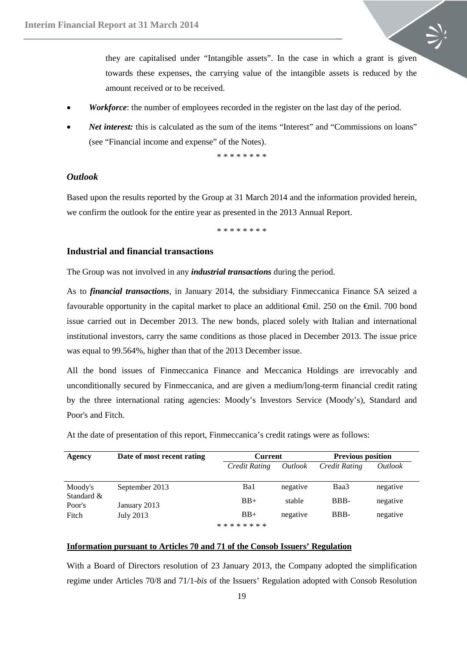they are capitalised under "Intangible assets". In the case in which a grant is given towards these expenses, the carrying value of the intangible assets is reduced by the amount received or to be received.

- *Workforce*: the number of employees recorded in the register on the last day of the period.
- *Net interest:* this is calculated as the sum of the items "Interest" and "Commissions on loans" (see "Financial income and expense" of the Notes).

\* \* \* \* \* \* \* \*

## <span id="page-18-0"></span>*Outlook*

Based upon the results reported by the Group at 31 March 2014 and the information provided herein, we confirm the outlook for the entire year as presented in the 2013 Annual Report.

\* \* \* \* \* \* \* \*

#### <span id="page-18-1"></span>**Industrial and financial transactions**

The Group was not involved in any *industrial transactions* during the period.

As to *financial transactions*, in January 2014, the subsidiary Finmeccanica Finance SA seized a favourable opportunity in the capital market to place an additional  $\theta$ mil. 250 on the  $\theta$ mil. 700 bond issue carried out in December 2013. The new bonds, placed solely with Italian and international institutional investors, carry the same conditions as those placed in December 2013. The issue price was equal to 99.564%, higher than that of the 2013 December issue.

All the bond issues of Finmeccanica Finance and Meccanica Holdings are irrevocably and unconditionally secured by Finmeccanica, and are given a medium/long-term financial credit rating by the three international rating agencies: Moody's Investors Service (Moody's), Standard and Poor's and Fitch.

At the date of presentation of this report, Finmeccanica's credit ratings were as follows:

| Agency               | Date of most recent rating | <b>Current</b>  |                | <b>Previous position</b> |                |  |
|----------------------|----------------------------|-----------------|----------------|--------------------------|----------------|--|
|                      |                            | Credit Rating   | <i>Outlook</i> | Credit Rating            | <i>Outlook</i> |  |
| Moody's              | September 2013             | Ba1             | negative       | Baa3                     | negative       |  |
| Standard &<br>Poor's | January 2013               | $BB+$           | stable         | BBB-                     | negative       |  |
| Fitch                | July 2013                  | $BB+$           | negative       | BBB-                     | negative       |  |
|                      |                            | * * * * * * * * |                |                          |                |  |

#### **Information pursuant to Articles 70 and 71 of the Consob Issuers' Regulation**

With a Board of Directors resolution of 23 January 2013, the Company adopted the simplification regime under Articles 70/8 and 71/1-*bis* of the Issuers' Regulation adopted with Consob Resolution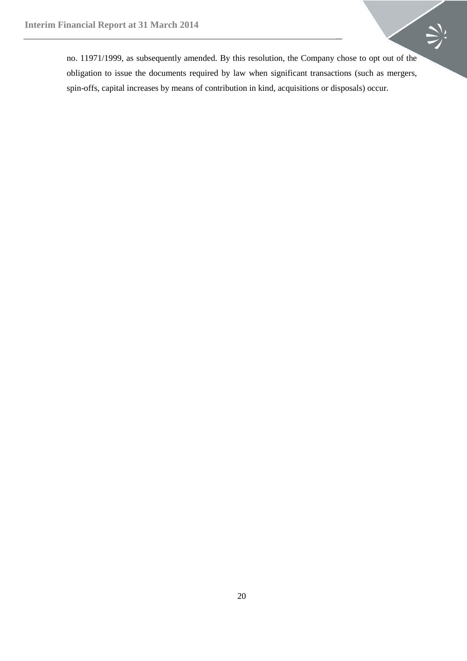no. 11971/1999, as subsequently amended. By this resolution, the Company chose to opt out of the obligation to issue the documents required by law when significant transactions (such as mergers, spin-offs, capital increases by means of contribution in kind, acquisitions or disposals) occur.

 $\sum$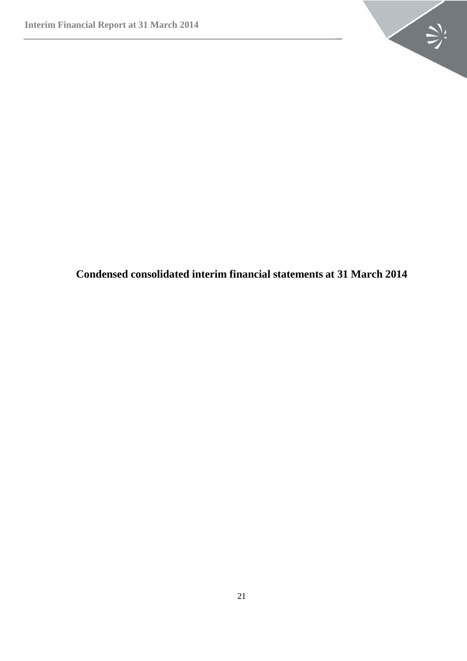

<span id="page-20-0"></span>**Condensed consolidated interim financial statements at 31 March 2014**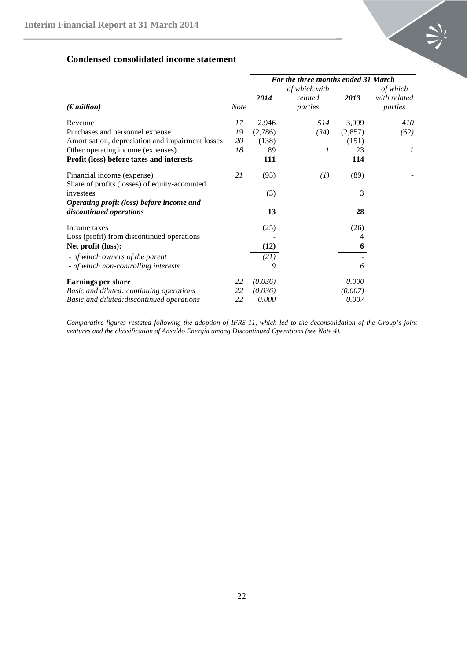

# <span id="page-21-0"></span>**Condensed consolidated income statement**

|                                                                             |    | For the three months ended 31 March |                                     |         |                                     |  |
|-----------------------------------------------------------------------------|----|-------------------------------------|-------------------------------------|---------|-------------------------------------|--|
| $(\epsilon$ <i>million</i> )                                                |    | 2014                                | of which with<br>related<br>parties | 2013    | of which<br>with related<br>parties |  |
| Revenue                                                                     | 17 | 2,946                               | 514                                 | 3,099   | 410                                 |  |
| Purchases and personnel expense                                             | 19 | (2,786)                             | (34)                                | (2,857) | (62)                                |  |
| Amortisation, depreciation and impairment losses                            | 20 | (138)                               |                                     | (151)   |                                     |  |
| Other operating income (expenses)                                           | 18 | 89                                  | 1                                   | 23      | 1                                   |  |
| Profit (loss) before taxes and interests                                    |    | 111                                 |                                     | 114     |                                     |  |
| Financial income (expense)<br>Share of profits (losses) of equity-accounted | 21 | (95)                                | (1)                                 | (89)    |                                     |  |
| investees                                                                   |    | (3)                                 |                                     | 3       |                                     |  |
| Operating profit (loss) before income and<br>discontinued operations        |    | 13                                  |                                     | 28      |                                     |  |
| Income taxes                                                                |    | (25)                                |                                     | (26)    |                                     |  |
| Loss (profit) from discontinued operations                                  |    |                                     |                                     |         |                                     |  |
| Net profit (loss):                                                          |    | (12)                                |                                     | 6       |                                     |  |
| - of which owners of the parent<br>- of which non-controlling interests     |    | (21)<br>9                           |                                     | 6       |                                     |  |
| <b>Earnings per share</b>                                                   | 22 | (0.036)                             |                                     | 0.000   |                                     |  |
| Basic and diluted: continuing operations                                    | 22 | (0.036)                             |                                     | (0.007) |                                     |  |
| Basic and diluted: discontinued operations                                  | 22 | 0.000                               |                                     | 0.007   |                                     |  |

*Comparative figures restated following the adoption of IFRS 11, which led to the deconsolidation of the Group's joint ventures and the classification of Ansaldo Energia among Discontinued Operations (see Note 4).*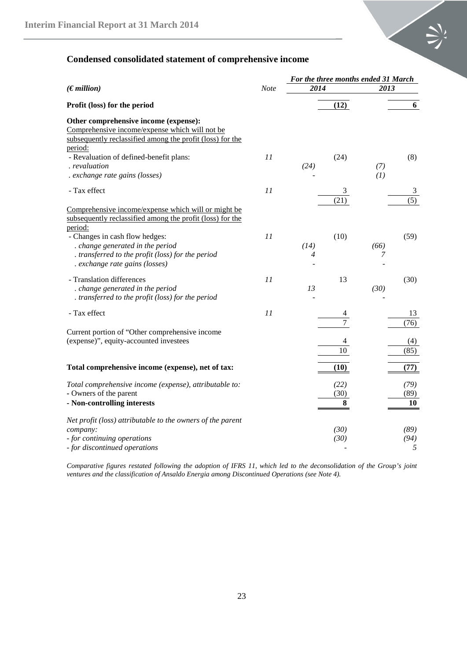

# <span id="page-22-0"></span>**Condensed consolidated statement of comprehensive income**

|                                                                                                                                                                 |      | For the three months ended 31 March |                   |            |                       |
|-----------------------------------------------------------------------------------------------------------------------------------------------------------------|------|-------------------------------------|-------------------|------------|-----------------------|
| (Emillion)                                                                                                                                                      | Note | 2014                                |                   | 2013       |                       |
| Profit (loss) for the period                                                                                                                                    |      |                                     | (12)              |            | 6                     |
| Other comprehensive income (expense):<br>Comprehensive income/expense which will not be<br>subsequently reclassified among the profit (loss) for the<br>period: |      |                                     |                   |            |                       |
| - Revaluation of defined-benefit plans:<br>revaluation<br>. exchange rate gains (losses)                                                                        | 11   | (24)                                | (24)              | (7)<br>(1) | (8)                   |
| - Tax effect                                                                                                                                                    | 11   |                                     | 3<br>(21)         |            | 3<br>$\overline{(5)}$ |
| Comprehensive income/expense which will or might be<br>subsequently reclassified among the profit (loss) for the<br>period:<br>- Changes in cash flow hedges:   | 11   |                                     | (10)              |            | (59)                  |
| . change generated in the period<br>. transferred to the profit (loss) for the period<br>. exchange rate gains (losses)                                         |      | (14)<br>4                           |                   | (66)<br>7  |                       |
| - Translation differences<br>. change generated in the period<br>. transferred to the profit (loss) for the period                                              | 11   | 13                                  | 13                | (30)       | (30)                  |
| - Tax effect                                                                                                                                                    | 11   |                                     |                   |            | 13<br>(76)            |
| Current portion of "Other comprehensive income<br>(expense)", equity-accounted investees                                                                        |      |                                     | 10                |            | (4)<br>(85)           |
| Total comprehensive income (expense), net of tax:                                                                                                               |      |                                     | (10)              |            | (77)                  |
| Total comprehensive income (expense), attributable to:<br>- Owners of the parent<br>- Non-controlling interests                                                 |      |                                     | (22)<br>(30)<br>8 |            | (79)<br>(89)<br>10    |
| Net profit (loss) attributable to the owners of the parent<br>company:<br>- for continuing operations<br>- for discontinued operations                          |      |                                     | (30)<br>(30)      |            | (89)<br>(94)<br>5     |

*Comparative figures restated following the adoption of IFRS 11, which led to the deconsolidation of the Group's joint ventures and the classification of Ansaldo Energia among Discontinued Operations (see Note 4).*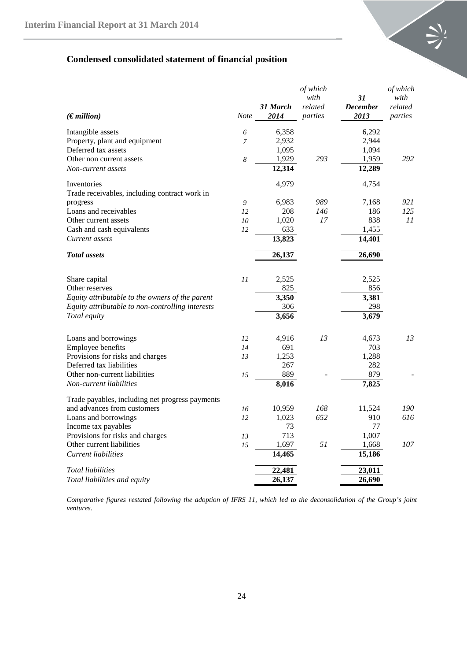

# <span id="page-23-0"></span>**Condensed consolidated statement of financial position**

|                                                  |         |                    | of which |                 | of which |  |
|--------------------------------------------------|---------|--------------------|----------|-----------------|----------|--|
|                                                  |         |                    | with     | 31              | with     |  |
|                                                  |         | 31 March           | related  | <b>December</b> | related  |  |
| (Emillion)                                       | Note    | 2014               | parties  | 2013            | parties  |  |
| Intangible assets                                | 6       | 6,358              |          | 6,292           |          |  |
| Property, plant and equipment                    | 7       | 2,932              |          | 2,944           |          |  |
| Deferred tax assets                              |         | 1,095              |          | 1,094           |          |  |
| Other non current assets                         | 8       | 1,929              | 293      | 1,959           | 292      |  |
| Non-current assets                               |         | 12,314             |          | 12,289          |          |  |
| Inventories                                      |         | 4,979              |          | 4,754           |          |  |
| Trade receivables, including contract work in    |         |                    |          |                 |          |  |
| progress                                         | 9       | 6,983              | 989      | 7,168           | 921      |  |
| Loans and receivables                            | 12      | 208                | 146      | 186             | 125      |  |
| Other current assets                             | 10      | 1,020              | 17       | 838             | 11       |  |
| Cash and cash equivalents                        | 12      | 633                |          | 1,455           |          |  |
| Current assets                                   |         | 13,823             |          | 14,401          |          |  |
| <b>Total</b> assets                              |         | 26,137             |          | 26,690          |          |  |
|                                                  |         |                    |          |                 |          |  |
| Share capital                                    | $_{II}$ | 2,525              |          | 2,525           |          |  |
| Other reserves                                   |         | 825                |          | 856             |          |  |
| Equity attributable to the owners of the parent  |         | $\overline{3,350}$ |          | 3,381           |          |  |
| Equity attributable to non-controlling interests |         | 306                |          | 298             |          |  |
| Total equity                                     |         | 3,656              |          | 3,679           |          |  |
|                                                  |         |                    |          |                 |          |  |
| Loans and borrowings                             | 12      | 4,916              | 13       | 4,673           | 13       |  |
| Employee benefits                                | 14      | 691                |          | 703             |          |  |
| Provisions for risks and charges                 | 13      | 1,253              |          | 1,288           |          |  |
| Deferred tax liabilities                         |         | 267                |          | 282             |          |  |
| Other non-current liabilities                    | 15      | 889                |          | 879             |          |  |
| Non-current liabilities                          |         | 8,016              |          | 7,825           |          |  |
| Trade payables, including net progress payments  |         |                    |          |                 |          |  |
| and advances from customers                      | 16      | 10,959             | 168      | 11,524          | 190      |  |
| Loans and borrowings                             | 12      | 1,023              | 652      | 910             | 616      |  |
| Income tax payables                              |         | 73                 |          | 77              |          |  |
| Provisions for risks and charges                 | 13      | 713                |          | 1,007           |          |  |
| Other current liabilities                        | 15      | 1,697              | 51       | 1,668           | 107      |  |
| <b>Current liabilities</b>                       |         | 14,465             |          | 15,186          |          |  |
| Total liabilities                                |         | 22,481             |          | 23,011          |          |  |
| Total liabilities and equity                     |         | 26,137             |          | 26,690          |          |  |

*Comparative figures restated following the adoption of IFRS 11, which led to the deconsolidation of the Group's joint ventures.*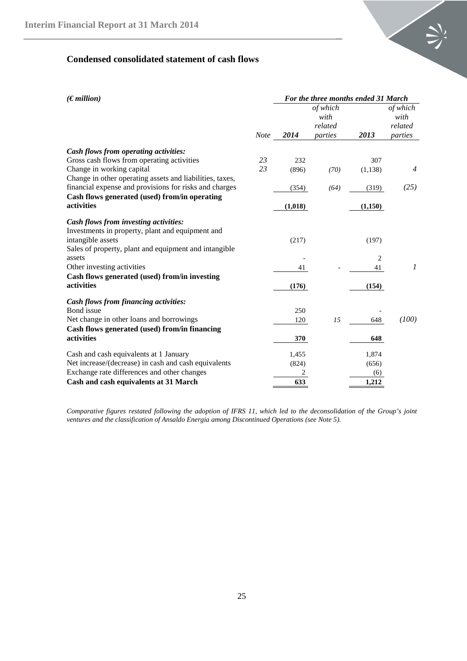

# <span id="page-24-0"></span>**Condensed consolidated statement of cash flows**

| (Emillion)                                                                                | For the three months ended 31 March |         |                    |                |                    |  |
|-------------------------------------------------------------------------------------------|-------------------------------------|---------|--------------------|----------------|--------------------|--|
|                                                                                           |                                     |         | of which<br>with   |                | of which<br>with   |  |
|                                                                                           | <b>Note</b>                         | 2014    | related<br>parties | 2013           | related<br>parties |  |
|                                                                                           |                                     |         |                    |                |                    |  |
| Cash flows from operating activities:                                                     |                                     |         |                    |                |                    |  |
| Gross cash flows from operating activities                                                | 23                                  | 232     |                    | 307            |                    |  |
| Change in working capital                                                                 | 23                                  | (896)   | (70)               | (1,138)        | $\overline{4}$     |  |
| Change in other operating assets and liabilities, taxes,                                  |                                     |         |                    |                |                    |  |
| financial expense and provisions for risks and charges                                    |                                     | (354)   | (64)               | (319)          | (25)               |  |
| Cash flows generated (used) from/in operating                                             |                                     |         |                    |                |                    |  |
| activities                                                                                |                                     | (1,018) |                    | (1,150)        |                    |  |
| Cash flows from investing activities:<br>Investments in property, plant and equipment and |                                     |         |                    |                |                    |  |
| intangible assets                                                                         |                                     | (217)   |                    | (197)          |                    |  |
| Sales of property, plant and equipment and intangible                                     |                                     |         |                    |                |                    |  |
| assets                                                                                    |                                     |         |                    | $\overline{c}$ |                    |  |
| Other investing activities                                                                |                                     | 41      |                    | 41             | 1                  |  |
| Cash flows generated (used) from/in investing                                             |                                     |         |                    |                |                    |  |
| activities                                                                                |                                     | (176)   |                    | (154)          |                    |  |
| <b>Cash flows from financing activities:</b>                                              |                                     |         |                    |                |                    |  |
| Bond issue                                                                                |                                     | 250     |                    |                |                    |  |
| Net change in other loans and borrowings                                                  |                                     | 120     | 15                 | 648            | (100)              |  |
| Cash flows generated (used) from/in financing                                             |                                     |         |                    |                |                    |  |
| activities                                                                                |                                     | 370     |                    | 648            |                    |  |
| Cash and cash equivalents at 1 January                                                    |                                     | 1,455   |                    | 1,874          |                    |  |
| Net increase/(decrease) in cash and cash equivalents                                      |                                     | (824)   |                    | (656)          |                    |  |
| Exchange rate differences and other changes                                               |                                     |         |                    | (6)            |                    |  |
| Cash and cash equivalents at 31 March                                                     |                                     | 633     |                    | 1,212          |                    |  |

*Comparative figures restated following the adoption of IFRS 11, which led to the deconsolidation of the Group's joint ventures and the classification of Ansaldo Energia among Discontinued Operations (see Note 5).*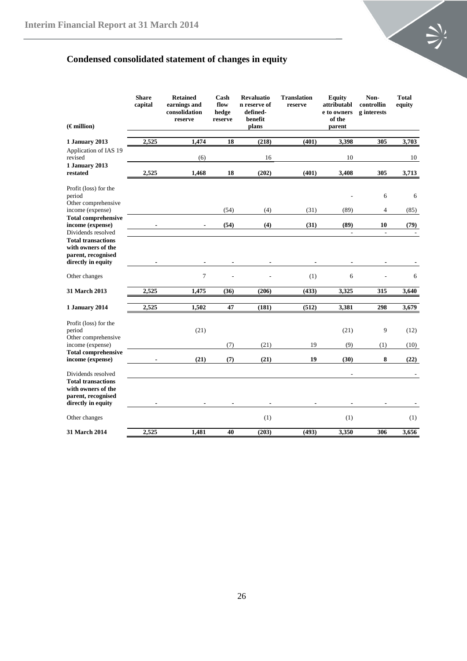

# <span id="page-25-0"></span>**Condensed consolidated statement of changes in equity**

| $(\epsilon$ million)                                                                                              | <b>Share</b><br>capital | <b>Retained</b><br>earnings and<br>consolidation<br>reserve | Cash<br>flow<br>hedge<br>reserve | <b>Revaluatio</b><br>n reserve of<br>defined-<br>benefit<br>plans | <b>Translation</b><br>reserve | <b>Equity</b><br>attributabl<br>e to owners<br>of the<br>parent | Non-<br>controllin<br>g interests | <b>Total</b><br>equity |
|-------------------------------------------------------------------------------------------------------------------|-------------------------|-------------------------------------------------------------|----------------------------------|-------------------------------------------------------------------|-------------------------------|-----------------------------------------------------------------|-----------------------------------|------------------------|
| 1 January 2013                                                                                                    | 2,525                   | 1,474                                                       | 18                               | (218)                                                             | (401)                         | 3,398                                                           | 305                               | 3,703                  |
| Application of IAS 19<br>revised                                                                                  |                         | (6)                                                         |                                  | 16                                                                |                               | 10                                                              |                                   | 10                     |
| 1 January 2013<br>restated                                                                                        | 2,525                   | 1,468                                                       | 18                               | (202)                                                             | (401)                         | 3,408                                                           | 305                               | 3,713                  |
| Profit (loss) for the<br>period                                                                                   |                         |                                                             |                                  |                                                                   |                               |                                                                 | 6                                 | 6                      |
| Other comprehensive<br>income (expense)                                                                           |                         |                                                             | (54)                             | (4)                                                               | (31)                          | (89)                                                            | 4                                 | (85)                   |
| <b>Total comprehensive</b><br>income (expense)<br>Dividends resolved                                              |                         |                                                             | (54)                             | (4)                                                               | (31)                          | (89)<br>$\frac{1}{2}$                                           | 10<br>$\sim$                      | (79)                   |
| <b>Total transactions</b><br>with owners of the<br>parent, recognised<br>directly in equity                       |                         |                                                             |                                  |                                                                   |                               |                                                                 |                                   |                        |
| Other changes                                                                                                     |                         | $\overline{7}$                                              |                                  |                                                                   | (1)                           | 6                                                               |                                   | 6                      |
| <b>31 March 2013</b>                                                                                              | 2,525                   | 1,475                                                       | (36)                             | (206)                                                             | (433)                         | 3,325                                                           | 315                               | 3,640                  |
| 1 January 2014                                                                                                    | 2,525                   | 1,502                                                       | 47                               | (181)                                                             | (512)                         | 3,381                                                           | 298                               | 3,679                  |
| Profit (loss) for the<br>period<br>Other comprehensive                                                            |                         | (21)                                                        |                                  |                                                                   |                               | (21)                                                            | 9                                 | (12)                   |
| income (expense)                                                                                                  |                         |                                                             | (7)                              | (21)                                                              | 19                            | (9)                                                             | (1)                               | (10)                   |
| <b>Total comprehensive</b><br>income (expense)                                                                    |                         | (21)                                                        | (7)                              | (21)                                                              | 19                            | (30)                                                            | 8                                 | (22)                   |
| Dividends resolved<br><b>Total transactions</b><br>with owners of the<br>parent, recognised<br>directly in equity |                         |                                                             |                                  |                                                                   |                               |                                                                 |                                   |                        |
| Other changes                                                                                                     |                         |                                                             |                                  | (1)                                                               |                               | (1)                                                             |                                   | (1)                    |
| 31 March 2014                                                                                                     | 2,525                   | 1,481                                                       | 40                               | (203)                                                             | (493)                         | 3,350                                                           | 306                               | 3,656                  |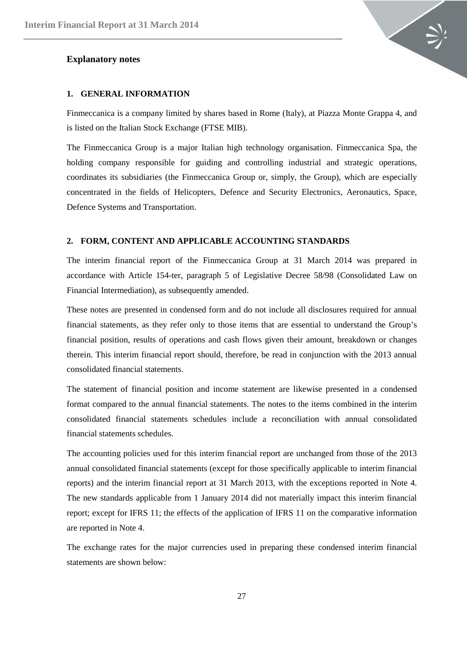#### <span id="page-26-0"></span>**Explanatory notes**



#### <span id="page-26-1"></span>**1. GENERAL INFORMATION**

Finmeccanica is a company limited by shares based in Rome (Italy), at Piazza Monte Grappa 4, and is listed on the Italian Stock Exchange (FTSE MIB).

The Finmeccanica Group is a major Italian high technology organisation. Finmeccanica Spa, the holding company responsible for guiding and controlling industrial and strategic operations, coordinates its subsidiaries (the Finmeccanica Group or, simply, the Group), which are especially concentrated in the fields of Helicopters, Defence and Security Electronics, Aeronautics, Space, Defence Systems and Transportation.

## <span id="page-26-2"></span>**2. FORM, CONTENT AND APPLICABLE ACCOUNTING STANDARDS**

The interim financial report of the Finmeccanica Group at 31 March 2014 was prepared in accordance with Article 154-ter, paragraph 5 of Legislative Decree 58/98 (Consolidated Law on Financial Intermediation), as subsequently amended.

These notes are presented in condensed form and do not include all disclosures required for annual financial statements, as they refer only to those items that are essential to understand the Group's financial position, results of operations and cash flows given their amount, breakdown or changes therein. This interim financial report should, therefore, be read in conjunction with the 2013 annual consolidated financial statements.

The statement of financial position and income statement are likewise presented in a condensed format compared to the annual financial statements. The notes to the items combined in the interim consolidated financial statements schedules include a reconciliation with annual consolidated financial statements schedules.

The accounting policies used for this interim financial report are unchanged from those of the 2013 annual consolidated financial statements (except for those specifically applicable to interim financial reports) and the interim financial report at 31 March 2013, with the exceptions reported in Note 4. The new standards applicable from 1 January 2014 did not materially impact this interim financial report; except for IFRS 11; the effects of the application of IFRS 11 on the comparative information are reported in Note 4.

The exchange rates for the major currencies used in preparing these condensed interim financial statements are shown below: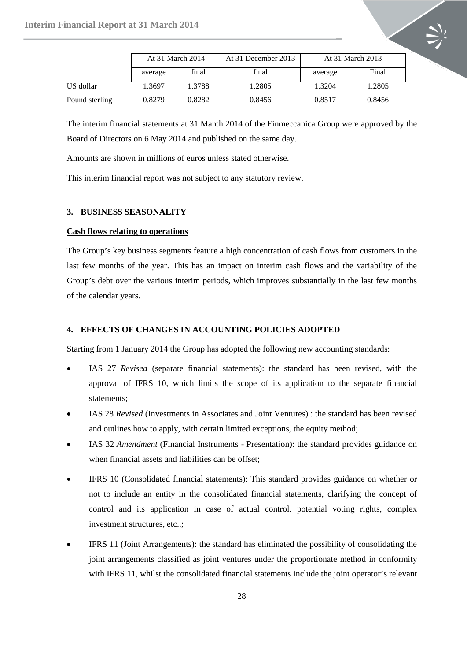

The interim financial statements at 31 March 2014 of the Finmeccanica Group were approved by the Board of Directors on 6 May 2014 and published on the same day.

Amounts are shown in millions of euros unless stated otherwise.

This interim financial report was not subject to any statutory review.

#### <span id="page-27-0"></span>**3. BUSINESS SEASONALITY**

#### **Cash flows relating to operations**

The Group's key business segments feature a high concentration of cash flows from customers in the last few months of the year. This has an impact on interim cash flows and the variability of the Group's debt over the various interim periods, which improves substantially in the last few months of the calendar years.

#### <span id="page-27-1"></span>**4. EFFECTS OF CHANGES IN ACCOUNTING POLICIES ADOPTED**

Starting from 1 January 2014 the Group has adopted the following new accounting standards:

- IAS 27 *Revised* (separate financial statements): the standard has been revised, with the approval of IFRS 10, which limits the scope of its application to the separate financial statements;
- IAS 28 *Revised* (Investments in Associates and Joint Ventures) : the standard has been revised and outlines how to apply, with certain limited exceptions, the equity method;
- IAS 32 *Amendment* (Financial Instruments Presentation): the standard provides guidance on when financial assets and liabilities can be offset;
- IFRS 10 (Consolidated financial statements): This standard provides guidance on whether or not to include an entity in the consolidated financial statements, clarifying the concept of control and its application in case of actual control, potential voting rights, complex investment structures, etc..;
- IFRS 11 (Joint Arrangements): the standard has eliminated the possibility of consolidating the joint arrangements classified as joint ventures under the proportionate method in conformity with IFRS 11, whilst the consolidated financial statements include the joint operator's relevant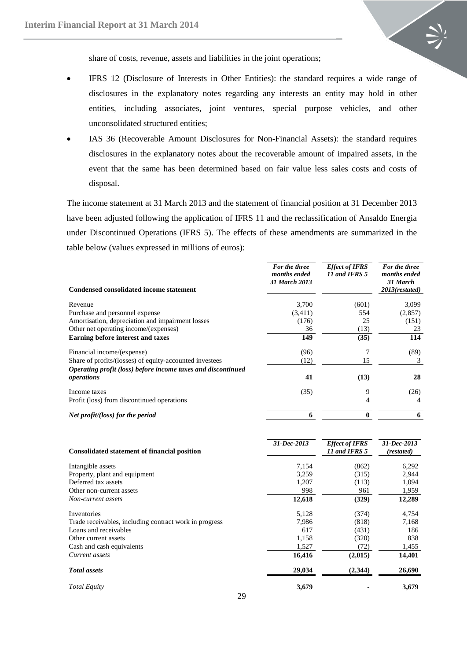

share of costs, revenue, assets and liabilities in the joint operations;

- IFRS 12 (Disclosure of Interests in Other Entities): the standard requires a wide range of disclosures in the explanatory notes regarding any interests an entity may hold in other entities, including associates, joint ventures, special purpose vehicles, and other unconsolidated structured entities;
- IAS 36 (Recoverable Amount Disclosures for Non-Financial Assets): the standard requires disclosures in the explanatory notes about the recoverable amount of impaired assets, in the event that the same has been determined based on fair value less sales costs and costs of disposal.

The income statement at 31 March 2013 and the statement of financial position at 31 December 2013 have been adjusted following the application of IFRS 11 and the reclassification of Ansaldo Energia under Discontinued Operations (IFRS 5). The effects of these amendments are summarized in the table below (values expressed in millions of euros):

|                                                                            | For the three<br>months ended<br>31 March 2013 | <b>Effect of IFRS</b><br>11 and IFRS 5 | For the three<br>months ended<br>31 March |
|----------------------------------------------------------------------------|------------------------------------------------|----------------------------------------|-------------------------------------------|
| <b>Condensed consolidated income statement</b>                             |                                                |                                        | 2013(restated)                            |
| Revenue                                                                    | 3,700                                          | (601)                                  | 3,099                                     |
| Purchase and personnel expense                                             | (3,411)                                        | 554                                    | (2,857)                                   |
| Amortisation, depreciation and impairment losses                           | (176)                                          | 25                                     | (151)                                     |
| Other net operating income/(expenses)                                      | 36                                             | (13)                                   | 23                                        |
| Earning before interest and taxes                                          | 149                                            | (35)                                   | 114                                       |
| Financial income/(expense)                                                 | (96)                                           |                                        | (89)                                      |
| Share of profits/(losses) of equity-accounted investees                    | (12)                                           | 15                                     | 3                                         |
| Operating profit (loss) before income taxes and discontinued<br>operations | 41                                             | (13)                                   | 28                                        |
| Income taxes                                                               | (35)                                           | 9                                      | (26)                                      |
| Profit (loss) from discontinued operations                                 |                                                | 4                                      |                                           |
| Net profit/(loss) for the period                                           | 6                                              |                                        | 6                                         |

| <b>Consolidated statement of financial position</b>    | 31-Dec-2013 | <b>Effect of IFRS</b><br>11 and IFRS 5 | 31-Dec-2013<br>(restated) |
|--------------------------------------------------------|-------------|----------------------------------------|---------------------------|
| Intangible assets                                      | 7,154       | (862)                                  | 6,292                     |
| Property, plant and equipment                          | 3,259       | (315)                                  | 2,944                     |
| Deferred tax assets                                    | 1,207       | (113)                                  | 1,094                     |
| Other non-current assets                               | 998         | 961                                    | 1,959                     |
| Non-current assets                                     | 12,618      | (329)                                  | 12,289                    |
| Inventories                                            | 5,128       | (374)                                  | 4,754                     |
| Trade receivables, including contract work in progress | 7.986       | (818)                                  | 7,168                     |
| Loans and receivables                                  | 617         | (431)                                  | 186                       |
| Other current assets                                   | 1,158       | (320)                                  | 838                       |
| Cash and cash equivalents                              | 1,527       | (72)                                   | 1,455                     |
| Current assets                                         | 16,416      | (2,015)                                | 14,401                    |
| <b>Total</b> assets                                    | 29,034      | (2,344)                                | 26,690                    |
| <b>Total Equity</b>                                    | 3,679       |                                        | 3,679                     |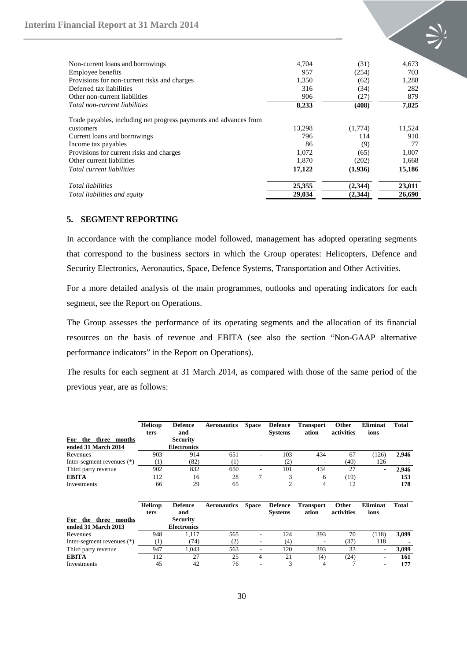

| Non-current loans and borrowings                                  | 4.704  | (31)    | 4,673  |
|-------------------------------------------------------------------|--------|---------|--------|
| Employee benefits                                                 | 957    | (254)   | 703    |
| Provisions for non-current risks and charges                      | 1,350  | (62)    | 1,288  |
| Deferred tax liabilities                                          | 316    | (34)    | 282    |
| Other non-current liabilities                                     | 906    | (27)    | 879    |
| Total non-current liabilities                                     | 8,233  | (408)   | 7,825  |
| Trade payables, including net progress payments and advances from |        |         |        |
| customers                                                         | 13,298 | (1,774) | 11,524 |
| Current loans and borrowings                                      | 796    | 114     | 910    |
| Income tax payables                                               | 86     | (9)     | 77     |
| Provisions for current risks and charges                          | 1,072  | (65)    | 1,007  |
| Other current liabilities                                         | 1,870  | (202)   | 1,668  |
| Total current liabilities                                         | 17,122 | (1,936) | 15,186 |
| <b>Total liabilities</b>                                          | 25,355 | (2,344) | 23,011 |
| <i>Total liabilities and equity</i>                               | 29,034 | (2,344) | 26,690 |

## <span id="page-29-0"></span>**5. SEGMENT REPORTING**

In accordance with the compliance model followed, management has adopted operating segments that correspond to the business sectors in which the Group operates: Helicopters, Defence and Security Electronics, Aeronautics, Space, Defence Systems, Transportation and Other Activities.

For a more detailed analysis of the main programmes, outlooks and operating indicators for each segment, see the Report on Operations.

The Group assesses the performance of its operating segments and the allocation of its financial resources on the basis of revenue and EBITA (see also the section "Non-GAAP alternative performance indicators" in the Report on Operations).

The results for each segment at 31 March 2014, as compared with those of the same period of the previous year, are as follows:

|                            | <b>Helicop</b><br>ters | <b>Defence</b><br>and | <b>Aeronautics</b> | <b>Space</b> | <b>Defence</b><br><b>Systems</b> | <b>Transport</b><br>ation | Other<br>activities | Eliminat<br>ions | Total |
|----------------------------|------------------------|-----------------------|--------------------|--------------|----------------------------------|---------------------------|---------------------|------------------|-------|
| For<br>three months<br>the |                        | <b>Security</b>       |                    |              |                                  |                           |                     |                  |       |
| ended 31 March 2014        |                        | <b>Electronics</b>    |                    |              |                                  |                           |                     |                  |       |
| Revenues                   | 903                    | 914                   | 651                |              | 103                              | 434                       | 67                  | (126)            | 2,946 |
| Inter-segment revenues (*) | (1)                    | (82)                  | (1)                |              | (2)                              |                           | (40)                | 126              |       |
| Third party revenue        | 902                    | 832                   | 650                |              | 101                              | 434                       | 27                  | ٠                | 2,946 |
| <b>EBITA</b>               | 112                    | 16                    | 28                 | 7            | 3                                | 6                         | (19)                |                  | 153   |
| Investments                | 66                     | 29                    | 65                 |              | $\overline{2}$                   | 4                         | 12                  |                  | 178   |
|                            | <b>Helicop</b>         | <b>Defence</b>        | <b>Aeronautics</b> | <b>Space</b> | <b>Defence</b>                   | <b>Transport</b>          | Other               | <b>Eliminat</b>  | Total |
|                            | ters                   | and                   |                    |              | <b>Systems</b>                   | ation                     | activities          | ions             |       |
| For<br>the three months    |                        | <b>Security</b>       |                    |              |                                  |                           |                     |                  |       |
| ended 31 March 2013        |                        | <b>Electronics</b>    |                    |              |                                  |                           |                     |                  |       |
| Revenues                   | 948                    | 1,117                 | 565                |              | 124                              | 393                       | 70                  | (118)            | 3,099 |
| Inter-segment revenues (*) | (1)                    | (74)                  | (2)                |              | (4)                              |                           | (37)                | 118              |       |
| Third party revenue        | 947                    | 1,043                 | 563                |              | 120                              | 393                       | 33                  | $\qquad \qquad$  | 3,099 |
| <b>EBITA</b>               | 112                    | 27                    | 25                 | 4            | 21                               | (4)                       | (24)                | ٠                | 161   |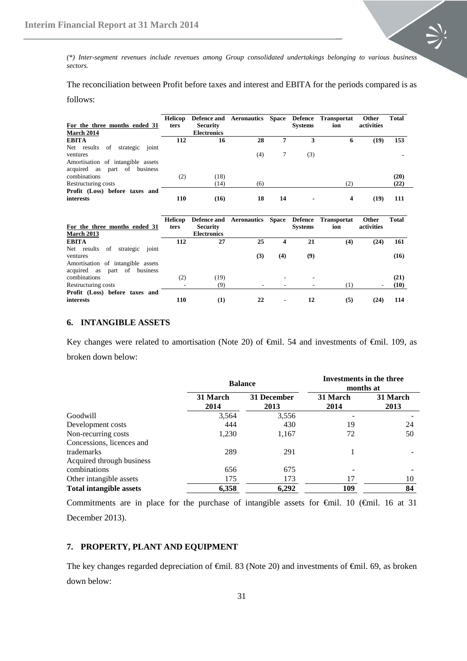

*(\*) Inter-segment revenues include revenues among Group consolidated undertakings belonging to various business sectors.*

The reconciliation between Profit before taxes and interest and EBITA for the periods compared is as

follows:

| For the three months ended 31<br><b>March 2014</b>                   | Helicop<br>ters | <b>Security</b><br><b>Electronics</b> | Defence and Aeronautics Space Defence Transportat |    | <b>Systems</b> | ion | Other<br>activities | <b>Total</b> |
|----------------------------------------------------------------------|-----------------|---------------------------------------|---------------------------------------------------|----|----------------|-----|---------------------|--------------|
| <b>EBITA</b>                                                         | 112             | 16                                    | 28                                                | 7  | 3              | 6   | (19)                | 153          |
| Net results<br>of<br>joint<br>strategic                              |                 |                                       |                                                   |    |                |     |                     |              |
| ventures                                                             |                 |                                       | (4)                                               |    | (3)            |     |                     |              |
| Amortisation of intangible assets<br>business<br>acquired as part of |                 |                                       |                                                   |    |                |     |                     |              |
| combinations                                                         | (2)             | (18)                                  |                                                   |    |                |     |                     | (20)         |
| Restructuring costs                                                  |                 | (14)                                  | (6)                                               |    |                | (2) |                     | (22)         |
| Profit (Loss) before taxes and<br>interests                          | 110             | (16)                                  | 18                                                | 14 |                | 4   | (19)                | 111          |

| For the three months ended 31<br><b>March 2013</b> | Helicop<br>ters | <b>Security</b><br><b>Electronics</b> | Defence and Aeronautics Space Defence Transportat |     | <b>Systems</b> | ion              | Other<br>activities | <b>Total</b> |
|----------------------------------------------------|-----------------|---------------------------------------|---------------------------------------------------|-----|----------------|------------------|---------------------|--------------|
| <b>EBITA</b>                                       | 112             | 27                                    | 25                                                | 4   | 21             | (4)              | (24)                | 161          |
| strategic joint<br>Net results<br>of               |                 |                                       |                                                   |     |                |                  |                     |              |
| ventures                                           |                 |                                       | (3)                                               | (4) | (9)            |                  |                     | (16)         |
| Amortisation of intangible assets                  |                 |                                       |                                                   |     |                |                  |                     |              |
| acquired as part of<br>business                    |                 |                                       |                                                   |     |                |                  |                     |              |
| combinations                                       | (2)             | (19)                                  |                                                   |     |                |                  |                     | (21)         |
| Restructuring costs                                |                 | (9)                                   |                                                   |     |                | $\left(1\right)$ |                     | (10)         |
| Profit (Loss) before taxes and                     |                 |                                       |                                                   |     |                |                  |                     |              |
| interests                                          | 110             | (1)                                   | 22                                                | ۰   | 12             | (5)              | (24)                | 114          |

## <span id="page-30-0"></span>**6. INTANGIBLE ASSETS**

Key changes were related to amortisation (Note 20) of €mil. 54 and investments of €mil. 109, as broken down below:

|                                |                  | <b>Balance</b>      | Investments in the three<br>months at |                  |  |
|--------------------------------|------------------|---------------------|---------------------------------------|------------------|--|
|                                | 31 March<br>2014 | 31 December<br>2013 | 31 March<br>2014                      | 31 March<br>2013 |  |
| Goodwill                       | 3,564            | 3,556               |                                       |                  |  |
| Development costs              | 444              | 430                 | 19                                    | 24               |  |
| Non-recurring costs            | 1,230            | 1,167               | 72                                    | 50               |  |
| Concessions, licences and      |                  |                     |                                       |                  |  |
| trademarks                     | 289              | 291                 |                                       |                  |  |
| Acquired through business      |                  |                     |                                       |                  |  |
| combinations                   | 656              | 675                 |                                       |                  |  |
| Other intangible assets        | 175              | 173                 | 17                                    | 10               |  |
| <b>Total intangible assets</b> | 6,358            | 6,292               | 109                                   | 84               |  |

Commitments are in place for the purchase of intangible assets for €mil. 10 (€mil. 16 at 31 December 2013).

#### <span id="page-30-1"></span>**7. PROPERTY, PLANT AND EQUIPMENT**

The key changes regarded depreciation of  $\oplus$ mil. 83 (Note 20) and investments of  $\oplus$ mil. 69, as broken down below: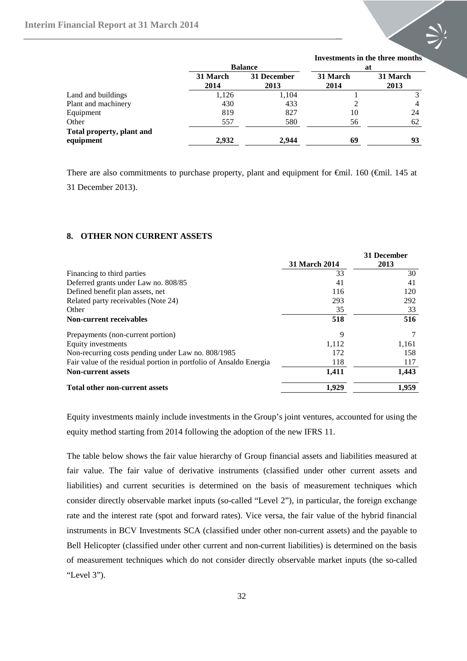

|                                        |                  |                     | mvestments in the till ee months |                  |  |  |
|----------------------------------------|------------------|---------------------|----------------------------------|------------------|--|--|
|                                        |                  | <b>Balance</b>      | at                               |                  |  |  |
|                                        | 31 March<br>2014 | 31 December<br>2013 | 31 March<br>2014                 | 31 March<br>2013 |  |  |
| Land and buildings                     | 1,126            | 1,104               |                                  |                  |  |  |
| Plant and machinery                    | 430              | 433                 |                                  |                  |  |  |
| Equipment                              | 819              | 827                 | 10                               | 24               |  |  |
| Other                                  | 557              | 580                 | 56                               | 62               |  |  |
| Total property, plant and<br>equipment | 2,932            | 2,944               | 69                               | 93               |  |  |

There are also commitments to purchase property, plant and equipment for €mil. 160 (€mil. 145 at

31 December 2013).

#### <span id="page-31-0"></span>**8. OTHER NON CURRENT ASSETS**

|                                                                    |                      | 31 December |
|--------------------------------------------------------------------|----------------------|-------------|
|                                                                    | <b>31 March 2014</b> | 2013        |
| Financing to third parties                                         | 33                   | 30          |
| Deferred grants under Law no. 808/85                               | 41                   | 41          |
| Defined benefit plan assets, net                                   | 116                  | 120         |
| Related party receivables (Note 24)                                | 293                  | 292         |
| Other                                                              | 35                   | 33          |
| <b>Non-current receivables</b>                                     | 518                  | 516         |
| Prepayments (non-current portion)                                  | 9                    |             |
| Equity investments                                                 | 1.112                | 1,161       |
| Non-recurring costs pending under Law no. 808/1985                 | 172                  | 158         |
| Fair value of the residual portion in portfolio of Ansaldo Energia | 118                  | 117         |
| <b>Non-current assets</b>                                          | 1,411                | 1,443       |
| <b>Total other non-current assets</b>                              | 1.929                | 1,959       |

Equity investments mainly include investments in the Group's joint ventures, accounted for using the equity method starting from 2014 following the adoption of the new IFRS 11.

The table below shows the fair value hierarchy of Group financial assets and liabilities measured at fair value. The fair value of derivative instruments (classified under other current assets and liabilities) and current securities is determined on the basis of measurement techniques which consider directly observable market inputs (so-called "Level 2"), in particular, the foreign exchange rate and the interest rate (spot and forward rates). Vice versa, the fair value of the hybrid financial instruments in BCV Investments SCA (classified under other non-current assets) and the payable to Bell Helicopter (classified under other current and non-current liabilities) is determined on the basis of measurement techniques which do not consider directly observable market inputs (the so-called "Level 3").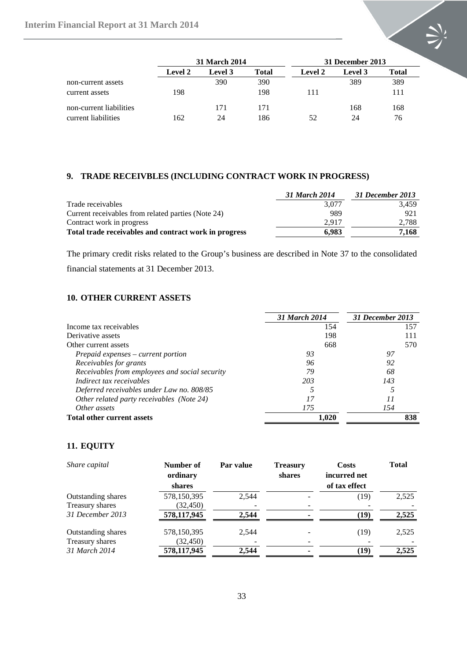

|                         |         | <b>31 March 2014</b> |       |                | 31 December 2013 |       |  |  |
|-------------------------|---------|----------------------|-------|----------------|------------------|-------|--|--|
|                         | Level 2 | Level 3              | Total | <b>Level 2</b> | Level 3          | Total |  |  |
| non-current assets      |         | 390                  | 390   |                | 389              | 389   |  |  |
| current assets          | 198     |                      | 198   | 111            |                  | 111   |  |  |
| non-current liabilities |         | 171                  | 171   |                | 168              | 168   |  |  |
| current liabilities     | 162     | 24                   | 186   | 52             | 24               | 76    |  |  |

## <span id="page-32-0"></span>**9. TRADE RECEIVBLES (INCLUDING CONTRACT WORK IN PROGRESS)**

|                                                       | 31 March 2014 | 31 December 2013 |
|-------------------------------------------------------|---------------|------------------|
| Trade receivables                                     | 3.077         | 3.459            |
| Current receivables from related parties (Note 24)    | 989           | 921              |
| Contract work in progress                             | 2.917         | 2,788            |
| Total trade receivables and contract work in progress | 6.983         | 7,168            |

The primary credit risks related to the Group's business are described in Note 37 to the consolidated financial statements at 31 December 2013.

## <span id="page-32-1"></span>**10. OTHER CURRENT ASSETS**

|                                                | 31 March 2014 | 31 December 2013 |
|------------------------------------------------|---------------|------------------|
| Income tax receivables                         | 154           | 157              |
| Derivative assets                              | 198           | 111              |
| Other current assets                           | 668           | 570              |
| Prepaid expenses – current portion             | 93            | 97               |
| Receivables for grants                         | 96            | 92               |
| Receivables from employees and social security | 79            | 68               |
| Indirect tax receivables                       | 203           | 143              |
| Deferred receivables under Law no. 808/85      |               |                  |
| Other related party receivables (Note 24)      | 17            | 11               |
| Other assets                                   | 175           | 154              |
| <b>Total other current assets</b>              | 1.020         | 838              |

## <span id="page-32-2"></span>**11. EQUITY**

| Share capital             | Number of<br>ordinary<br>shares | Par value | <b>Treasury</b><br>shares | <b>Costs</b><br>incurred net<br>of tax effect | <b>Total</b> |
|---------------------------|---------------------------------|-----------|---------------------------|-----------------------------------------------|--------------|
| <b>Outstanding shares</b> | 578,150,395                     | 2.544     |                           | (19)                                          | 2,525        |
| Treasury shares           | (32, 450)                       |           |                           |                                               |              |
| 31 December 2013          | 578,117,945                     | 2.544     |                           | (19)                                          | 2,525        |
| <b>Outstanding shares</b> | 578,150,395                     | 2.544     |                           | (19)                                          | 2,525        |
| Treasury shares           | (32, 450)                       |           |                           |                                               |              |
| 31 March 2014             | 578,117,945                     | 2.544     |                           | (19)                                          | 2.525        |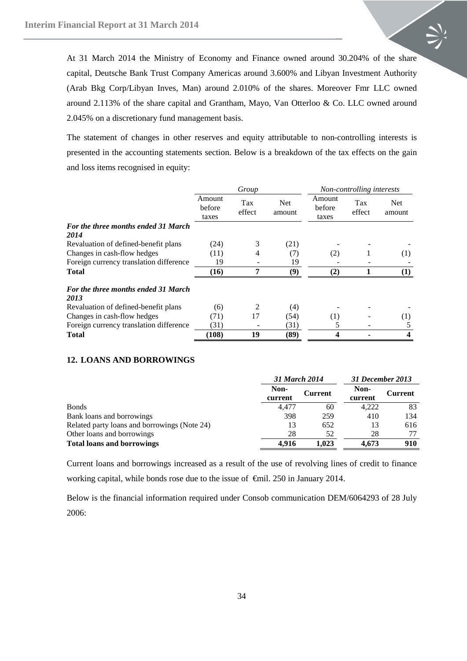At 31 March 2014 the Ministry of Economy and Finance owned around 30.204% of the share capital, Deutsche Bank Trust Company Americas around 3.600% and Libyan Investment Authority (Arab Bkg Corp/Libyan Inves, Man) around 2.010% of the shares. Moreover Fmr LLC owned around 2.113% of the share capital and Grantham, Mayo, Van Otterloo & Co. LLC owned around 2.045% on a discretionary fund management basis.

The statement of changes in other reserves and equity attributable to non-controlling interests is presented in the accounting statements section. Below is a breakdown of the tax effects on the gain and loss items recognised in equity:

|                                             | Group                     |               |                      | Non-controlling interests |               |                      |
|---------------------------------------------|---------------------------|---------------|----------------------|---------------------------|---------------|----------------------|
|                                             | Amount<br>before<br>taxes | Tax<br>effect | <b>Net</b><br>amount | Amount<br>before<br>taxes | Tax<br>effect | <b>Net</b><br>amount |
| <b>For the three months ended 31 March</b>  |                           |               |                      |                           |               |                      |
| 2014                                        |                           |               |                      |                           |               |                      |
| Revaluation of defined-benefit plans        | (24)                      | 3             | (21)                 |                           |               |                      |
| Changes in cash-flow hedges                 | (11)                      | 4             | (7)                  | (2)                       |               | (1)                  |
| Foreign currency translation difference     | 19                        |               | 19                   |                           |               |                      |
| <b>Total</b>                                | (16)                      |               | (9)                  | (2)                       |               |                      |
| For the three months ended 31 March<br>2013 |                           |               |                      |                           |               |                      |
| Revaluation of defined-benefit plans        | (6)                       | 2             | (4)                  |                           |               |                      |
| Changes in cash-flow hedges                 | (71)                      | 17            | (54)                 | (1)                       |               | $\left(1\right)$     |
| Foreign currency translation difference     | (31)                      |               | (31)                 | 5                         |               |                      |
| <b>Total</b>                                | (108)                     | 19            | (89)                 | 4                         |               | 4                    |

#### <span id="page-33-0"></span>**12. LOANS AND BORROWINGS**

|                                              |                 | 31 March 2014  |                 | 31 December 2013 |
|----------------------------------------------|-----------------|----------------|-----------------|------------------|
|                                              | Non-<br>current | <b>Current</b> | Non-<br>current | <b>Current</b>   |
| <b>Bonds</b>                                 | 4.477           | 60             | 4,222           | 83               |
| Bank loans and borrowings                    | 398             | 259            | 410             | 134              |
| Related party loans and borrowings (Note 24) | 13              | 652            | 13              | 616              |
| Other loans and borrowings                   | 28              | 52             | 28              |                  |
| <b>Total loans and borrowings</b>            | 4.916           | 1.023          | 4.673           | 910              |

Current loans and borrowings increased as a result of the use of revolving lines of credit to finance working capital, while bonds rose due to the issue of €mil. 250 in January 2014.

Below is the financial information required under Consob communication DEM/6064293 of 28 July 2006: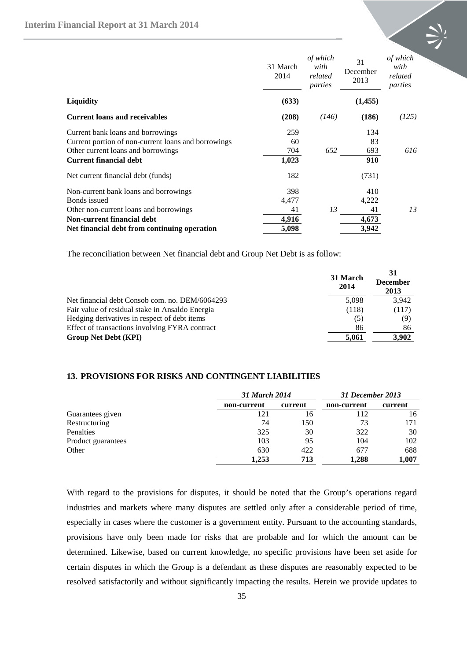|                                                     | 31 March<br>2014 | of which<br>with<br>related<br>parties | 31<br>December<br>2013 | of which<br>with<br>related<br>parties |
|-----------------------------------------------------|------------------|----------------------------------------|------------------------|----------------------------------------|
| <b>Liquidity</b>                                    | (633)            |                                        | (1,455)                |                                        |
| <b>Current loans and receivables</b>                | (208)            | (146)                                  | (186)                  | (125)                                  |
| Current bank loans and borrowings                   | 259              |                                        | 134                    |                                        |
| Current portion of non-current loans and borrowings | 60               |                                        | 83                     |                                        |
| Other current loans and borrowings                  | 704              | 652                                    | 693                    | 616                                    |
| <b>Current financial debt</b>                       | 1,023            |                                        | 910                    |                                        |
| Net current financial debt (funds)                  | 182              |                                        | (731)                  |                                        |
| Non-current bank loans and borrowings               | 398              |                                        | 410                    |                                        |
| Bonds issued                                        | 4,477            |                                        | 4,222                  |                                        |
| Other non-current loans and borrowings              | 41               | 13                                     | 41                     | 13                                     |
| <b>Non-current financial debt</b>                   | 4,916            |                                        | 4,673                  |                                        |
| Net financial debt from continuing operation        | 5,098            |                                        | 3,942                  |                                        |

The reconciliation between Net financial debt and Group Net Debt is as follow:

|                                                 | 31 March<br>2014 | 31<br><b>December</b><br>2013 |
|-------------------------------------------------|------------------|-------------------------------|
| Net financial debt Consob com. no. DEM/6064293  | 5,098            | 3,942                         |
| Fair value of residual stake in Ansaldo Energia | (118)            | (117)                         |
| Hedging derivatives in respect of debt items    | (5)              | (9)                           |
| Effect of transactions involving FYRA contract  | 86               | 86                            |
| <b>Group Net Debt (KPI)</b>                     | 5.061            | 3,902                         |

# <span id="page-34-0"></span>**13. PROVISIONS FOR RISKS AND CONTINGENT LIABILITIES**

|                    |             | 31 March 2014 |             | 31 December 2013 |  |  |
|--------------------|-------------|---------------|-------------|------------------|--|--|
|                    | non-current | current       | non-current | current          |  |  |
| Guarantees given   |             | 16            | 112         | 16               |  |  |
| Restructuring      | 74          | 150           | 73          | 171              |  |  |
| Penalties          | 325         | 30            | 322         | 30               |  |  |
| Product guarantees | 103         | 95            | 104         | 102              |  |  |
| Other              | 630         | 422           | 677         | 688              |  |  |
|                    | 1.253       | 713           | 1.288       | 1,007            |  |  |

With regard to the provisions for disputes, it should be noted that the Group's operations regard industries and markets where many disputes are settled only after a considerable period of time, especially in cases where the customer is a government entity. Pursuant to the accounting standards, provisions have only been made for risks that are probable and for which the amount can be determined. Likewise, based on current knowledge, no specific provisions have been set aside for certain disputes in which the Group is a defendant as these disputes are reasonably expected to be resolved satisfactorily and without significantly impacting the results. Herein we provide updates to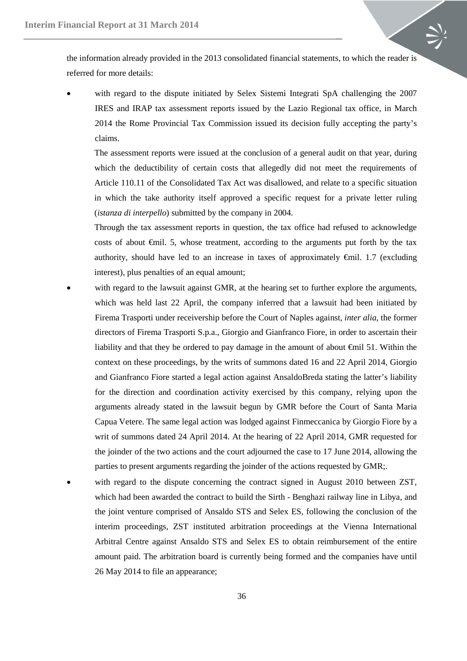the information already provided in the 2013 consolidated financial statements, to which the reader is referred for more details:

• with regard to the dispute initiated by Selex Sistemi Integrati SpA challenging the 2007 IRES and IRAP tax assessment reports issued by the Lazio Regional tax office, in March 2014 the Rome Provincial Tax Commission issued its decision fully accepting the party's claims.

The assessment reports were issued at the conclusion of a general audit on that year, during which the deductibility of certain costs that allegedly did not meet the requirements of Article 110.11 of the Consolidated Tax Act was disallowed, and relate to a specific situation in which the take authority itself approved a specific request for a private letter ruling (*istanza di interpello*) submitted by the company in 2004.

Through the tax assessment reports in question, the tax office had refused to acknowledge costs of about €mil. 5, whose treatment, according to the arguments put forth by the tax authority, should have led to an increase in taxes of approximately €mil. 1.7 (excluding interest), plus penalties of an equal amount;

- with regard to the lawsuit against GMR, at the hearing set to further explore the arguments, which was held last 22 April, the company inferred that a lawsuit had been initiated by Firema Trasporti under receivership before the Court of Naples against, *inter alia*, the former directors of Firema Trasporti S.p.a., Giorgio and Gianfranco Fiore, in order to ascertain their liability and that they be ordered to pay damage in the amount of about €mil 51. Within the context on these proceedings, by the writs of summons dated 16 and 22 April 2014, Giorgio and Gianfranco Fiore started a legal action against AnsaldoBreda stating the latter's liability for the direction and coordination activity exercised by this company, relying upon the arguments already stated in the lawsuit begun by GMR before the Court of Santa Maria Capua Vetere. The same legal action was lodged against Finmeccanica by Giorgio Fiore by a writ of summons dated 24 April 2014. At the hearing of 22 April 2014, GMR requested for the joinder of the two actions and the court adjourned the case to 17 June 2014, allowing the parties to present arguments regarding the joinder of the actions requested by GMR;.
- with regard to the dispute concerning the contract signed in August 2010 between ZST, which had been awarded the contract to build the Sirth - Benghazi railway line in Libya, and the joint venture comprised of Ansaldo STS and Selex ES, following the conclusion of the interim proceedings, ZST instituted arbitration proceedings at the Vienna International Arbitral Centre against Ansaldo STS and Selex ES to obtain reimbursement of the entire amount paid. The arbitration board is currently being formed and the companies have until 26 May 2014 to file an appearance;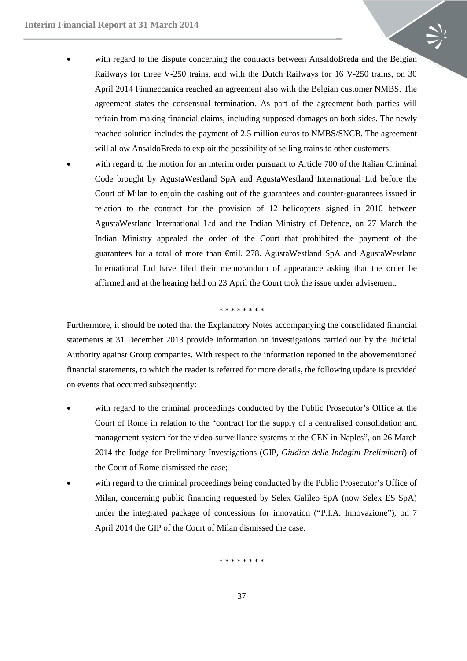- with regard to the dispute concerning the contracts between AnsaldoBreda and the Belgian Railways for three V-250 trains, and with the Dutch Railways for 16 V-250 trains, on 30 April 2014 Finmeccanica reached an agreement also with the Belgian customer NMBS. The agreement states the consensual termination. As part of the agreement both parties will refrain from making financial claims, including supposed damages on both sides. The newly reached solution includes the payment of 2.5 million euros to NMBS/SNCB. The agreement will allow AnsaldoBreda to exploit the possibility of selling trains to other customers;
	- with regard to the motion for an interim order pursuant to Article 700 of the Italian Criminal Code brought by AgustaWestland SpA and AgustaWestland International Ltd before the Court of Milan to enjoin the cashing out of the guarantees and counter-guarantees issued in relation to the contract for the provision of 12 helicopters signed in 2010 between AgustaWestland International Ltd and the Indian Ministry of Defence, on 27 March the Indian Ministry appealed the order of the Court that prohibited the payment of the guarantees for a total of more than €mil. 278. AgustaWestland SpA and AgustaWestland International Ltd have filed their memorandum of appearance asking that the order be affirmed and at the hearing held on 23 April the Court took the issue under advisement.

#### \* \* \* \* \* \* \* \*

Furthermore, it should be noted that the Explanatory Notes accompanying the consolidated financial statements at 31 December 2013 provide information on investigations carried out by the Judicial Authority against Group companies. With respect to the information reported in the abovementioned financial statements, to which the reader is referred for more details, the following update is provided on events that occurred subsequently:

- with regard to the criminal proceedings conducted by the Public Prosecutor's Office at the Court of Rome in relation to the "contract for the supply of a centralised consolidation and management system for the video-surveillance systems at the CEN in Naples", on 26 March 2014 the Judge for Preliminary Investigations (GIP, *Giudice delle Indagini Preliminari*) of the Court of Rome dismissed the case;
- with regard to the criminal proceedings being conducted by the Public Prosecutor's Office of Milan, concerning public financing requested by Selex Galileo SpA (now Selex ES SpA) under the integrated package of concessions for innovation ("P.I.A. Innovazione"), on 7 April 2014 the GIP of the Court of Milan dismissed the case.

\* \* \* \* \* \* \* \*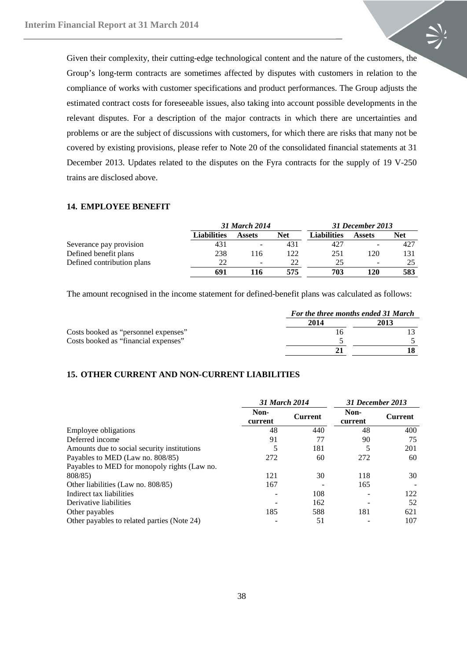Given their complexity, their cutting-edge technological content and the nature of the customers, the Group's long-term contracts are sometimes affected by disputes with customers in relation to the compliance of works with customer specifications and product performances. The Group adjusts the estimated contract costs for foreseeable issues, also taking into account possible developments in the relevant disputes. For a description of the major contracts in which there are uncertainties and problems or are the subject of discussions with customers, for which there are risks that many not be covered by existing provisions, please refer to Note 20 of the consolidated financial statements at 31 December 2013. Updates related to the disputes on the Fyra contracts for the supply of 19 V-250 trains are disclosed above.

#### <span id="page-37-0"></span>**14. EMPLOYEE BENEFIT**

|                            |             | 31 March 2014            |     |                    | 31 December 2013         |            |
|----------------------------|-------------|--------------------------|-----|--------------------|--------------------------|------------|
|                            | Liabilities | <b>Assets</b>            | Net | <b>Liabilities</b> | <b>Assets</b>            | <b>Net</b> |
| Severance pay provision    | 431         | -                        | 431 | 427                |                          | 427        |
| Defined benefit plans      | 238         | 116                      | 122 | 251                | 120                      | 131        |
| Defined contribution plans | 22          | $\overline{\phantom{a}}$ | 22  | 25                 | $\overline{\phantom{0}}$ |            |
|                            | 691         | 116                      | 575 | 703                | 120                      | 583        |

The amount recognised in the income statement for defined-benefit plans was calculated as follows:

|                                      | For the three months ended 31 March |  |  |
|--------------------------------------|-------------------------------------|--|--|
|                                      | 2014                                |  |  |
| Costs booked as "personnel expenses" |                                     |  |  |
| Costs booked as "financial expenses" |                                     |  |  |
|                                      |                                     |  |  |

#### **15. OTHER CURRENT AND NON-CURRENT LIABILITIES**

|                                              | 31 March 2014   |                |                 |                |  | <b>31 December 2013</b> |  |
|----------------------------------------------|-----------------|----------------|-----------------|----------------|--|-------------------------|--|
|                                              | Non-<br>current | <b>Current</b> | Non-<br>current | <b>Current</b> |  |                         |  |
| Employee obligations                         | 48              | 440            | 48              | 400            |  |                         |  |
| Deferred income                              | 91              | 77             | 90              | 75             |  |                         |  |
| Amounts due to social security institutions  | 5               | 181            |                 | 201            |  |                         |  |
| Payables to MED (Law no. 808/85)             | 272             | 60             | 272             | 60             |  |                         |  |
| Payables to MED for monopoly rights (Law no. |                 |                |                 |                |  |                         |  |
| 808/85)                                      | 121             | 30             | 118             | 30             |  |                         |  |
| Other liabilities (Law no. 808/85)           | 167             |                | 165             |                |  |                         |  |
| Indirect tax liabilities                     |                 | 108            |                 | 122            |  |                         |  |
| Derivative liabilities                       |                 | 162            |                 | 52             |  |                         |  |
| Other payables                               | 185             | 588            | 181             | 621            |  |                         |  |
| Other payables to related parties (Note 24)  |                 | 51             |                 | 107            |  |                         |  |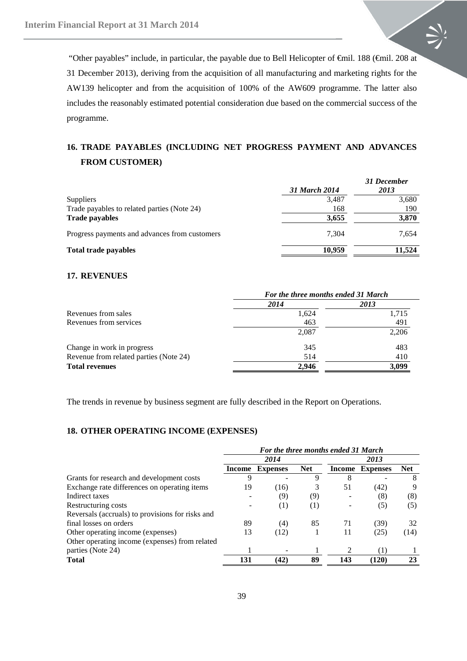"Other payables" include, in particular, the payable due to Bell Helicopter of €mil. 188 (€mil. 208 at 31 December 2013), deriving from the acquisition of all manufacturing and marketing rights for the AW139 helicopter and from the acquisition of 100% of the AW609 programme. The latter also includes the reasonably estimated potential consideration due based on the commercial success of the programme.

# <span id="page-38-0"></span>**16. TRADE PAYABLES (INCLUDING NET PROGRESS PAYMENT AND ADVANCES FROM CUSTOMER)**

|                                               | 31 March 2014 | 31 December<br>2013 |
|-----------------------------------------------|---------------|---------------------|
| <b>Suppliers</b>                              | 3,487         | 3,680               |
| Trade payables to related parties (Note 24)   | 168           | 190                 |
| <b>Trade payables</b>                         | 3,655         | 3,870               |
| Progress payments and advances from customers | 7.304         | 7.654               |
| <b>Total trade payables</b>                   | 10.959        | 11.524              |

#### <span id="page-38-1"></span>**17. REVENUES**

|                                        | For the three months ended 31 March |       |  |
|----------------------------------------|-------------------------------------|-------|--|
|                                        | 2014                                | 2013  |  |
| Revenues from sales                    | 1,624                               | 1,715 |  |
| Revenues from services                 | 463                                 | 491   |  |
|                                        | 2,087                               | 2,206 |  |
| Change in work in progress             | 345                                 | 483   |  |
| Revenue from related parties (Note 24) | 514                                 | 410   |  |
| <b>Total revenues</b>                  | 2.946                               | 3,099 |  |

The trends in revenue by business segment are fully described in the Report on Operations.

#### <span id="page-38-2"></span>**18. OTHER OPERATING INCOME (EXPENSES)**

|                                                  | For the three months ended 31 March |                 |            |        |                 |            |
|--------------------------------------------------|-------------------------------------|-----------------|------------|--------|-----------------|------------|
|                                                  |                                     | 2014            |            |        | 2013            |            |
|                                                  | Income                              | <b>Expenses</b> | <b>Net</b> | Income | <b>Expenses</b> | <b>Net</b> |
| Grants for research and development costs        | 9                                   |                 | 9          | 8      |                 | 8          |
| Exchange rate differences on operating items     | 19                                  | (16)            |            | 51     | (42)            | 9          |
| Indirect taxes                                   |                                     | (9)             | (9)        |        | (8)             | (8)        |
| Restructuring costs                              |                                     | (1)             | (1)        |        | (5)             | (5)        |
| Reversals (accruals) to provisions for risks and |                                     |                 |            |        |                 |            |
| final losses on orders                           | 89                                  | (4)             | 85         | 71     | (39)            | 32         |
| Other operating income (expenses)                | 13                                  | (12)            |            | 11     | (25)            | (14)       |
| Other operating income (expenses) from related   |                                     |                 |            |        |                 |            |
| parties (Note 24)                                |                                     |                 |            |        | (1)             |            |
| <b>Total</b>                                     | 131                                 | (42)            | 89         | 143    | (120)           | 23         |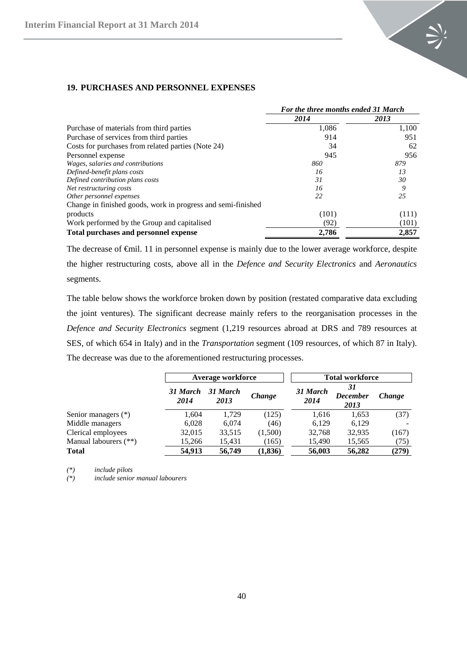

|                                                              | For the three months ended 31 March |       |  |
|--------------------------------------------------------------|-------------------------------------|-------|--|
|                                                              | 2014                                | 2013  |  |
| Purchase of materials from third parties                     | 1.086                               | 1,100 |  |
| Purchase of services from third parties                      | 914                                 | 951   |  |
| Costs for purchases from related parties (Note 24)           | 34                                  | 62    |  |
| Personnel expense                                            | 945                                 | 956   |  |
| Wages, salaries and contributions                            | 860                                 | 879   |  |
| Defined-benefit plans costs                                  | 16                                  | 13    |  |
| Defined contribution plans costs                             | 31                                  | 30    |  |
| Net restructuring costs                                      | 16                                  | 9     |  |
| Other personnel expenses                                     | 22                                  | 25    |  |
| Change in finished goods, work in progress and semi-finished |                                     |       |  |
| products                                                     | (101)                               | (111) |  |
| Work performed by the Group and capitalised                  | (92)                                | (101) |  |
| Total purchases and personnel expense                        | 2,786                               | 2,857 |  |

#### <span id="page-39-0"></span>**19. PURCHASES AND PERSONNEL EXPENSES**

The decrease of €mil. 11 in personnel expense is mainly due to the lower average workforce, despite the higher restructuring costs, above all in the *Defence and Security Electronics* and *Aeronautics* segments.

The table below shows the workforce broken down by position (restated comparative data excluding the joint ventures). The significant decrease mainly refers to the reorganisation processes in the *Defence and Security Electronics* segment (1,219 resources abroad at DRS and 789 resources at SES, of which 654 in Italy) and in the *Transportation* segment (109 resources, of which 87 in Italy). The decrease was due to the aforementioned restructuring processes.

|                       |                  | Average workforce |          |                  | <b>Total workforce</b>        |               |
|-----------------------|------------------|-------------------|----------|------------------|-------------------------------|---------------|
|                       | 31 March<br>2014 | 31 March<br>2013  | Change   | 31 March<br>2014 | 31<br><b>December</b><br>2013 | <b>Change</b> |
| Senior managers (*)   | 1,604            | 1,729             | (125)    | 1,616            | 1,653                         | (37)          |
| Middle managers       | 6,028            | 6.074             | (46)     | 6.129            | 6,129                         |               |
| Clerical employees    | 32,015           | 33,515            | (1,500)  | 32,768           | 32,935                        | (167)         |
| Manual labourers (**) | 15,266           | 15,431            | (165)    | 15,490           | 15,565                        | (75)          |
| <b>Total</b>          | 54,913           | 56,749            | (1, 836) | 56,003           | 56,282                        | (279)         |

*(\*) include pilots*

*(\*) include senior manual labourers*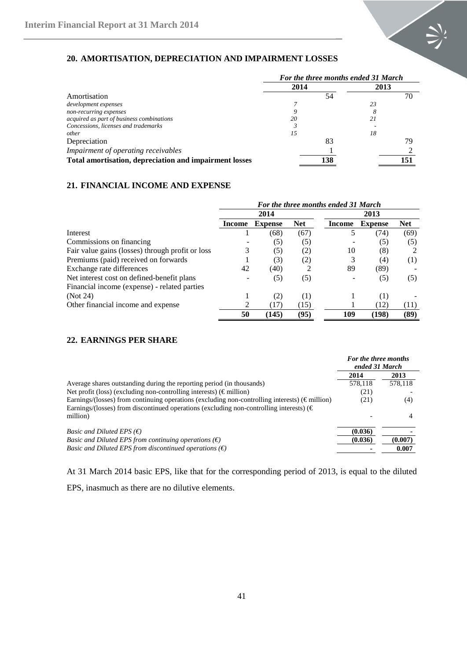

# <span id="page-40-0"></span>**20. AMORTISATION, DEPRECIATION AND IMPAIRMENT LOSSES**

|                                                        | For the three months ended 31 March |     |      |     |  |
|--------------------------------------------------------|-------------------------------------|-----|------|-----|--|
|                                                        | 2014                                |     | 2013 |     |  |
| Amortisation                                           |                                     |     |      | 70  |  |
| development expenses                                   |                                     |     | 23   |     |  |
| non-recurring expenses                                 |                                     |     |      |     |  |
| acquired as part of business combinations              | 20                                  |     | 21   |     |  |
| Concessions, licenses and trademarks                   |                                     |     |      |     |  |
| other                                                  | 15                                  |     | 18   |     |  |
| Depreciation                                           |                                     | 83  |      | 79  |  |
| Impairment of operating receivables                    |                                     |     |      |     |  |
| Total amortisation, depreciation and impairment losses |                                     | 138 |      | 151 |  |

## <span id="page-40-1"></span>**21. FINANCIAL INCOME AND EXPENSE**

|                                                  | For the three months ended 31 March |                |            |        |                |            |
|--------------------------------------------------|-------------------------------------|----------------|------------|--------|----------------|------------|
|                                                  |                                     | 2014           |            |        |                |            |
|                                                  | Income                              | <b>Expense</b> | <b>Net</b> | Income | <b>Expense</b> | <b>Net</b> |
| Interest                                         |                                     | (68)           | (67)       | 5      | (74)           | (69)       |
| Commissions on financing                         |                                     | (5)            | (5)        |        | (5)            | (5)        |
| Fair value gains (losses) through profit or loss | 3                                   | (5)            | (2)        | 10     | (8)            |            |
| Premiums (paid) received on forwards             |                                     | (3)            | (2)        | 3      | (4)            | (1)        |
| Exchange rate differences                        | 42                                  | (40)           |            | 89     | (89)           |            |
| Net interest cost on defined-benefit plans       |                                     | (5)            | (5)        |        | (5)            | (5)        |
| Financial income (expense) - related parties     |                                     |                |            |        |                |            |
| (Not 24)                                         |                                     | (2)            | (1)        |        | (1)            |            |
| Other financial income and expense               |                                     | (17)           | (15)       |        | (12)           | (11)       |
|                                                  | 50                                  | (145)          | (95)       | 109    | (198)          | (89)       |

# <span id="page-40-2"></span>**22. EARNINGS PER SHARE**

|                                                                                                                                                                                                               | For the three months<br>ended 31 March |         |
|---------------------------------------------------------------------------------------------------------------------------------------------------------------------------------------------------------------|----------------------------------------|---------|
|                                                                                                                                                                                                               | 2014                                   | 2013    |
| Average shares outstanding during the reporting period (in thousands)                                                                                                                                         | 578,118                                | 578,118 |
| Net profit (loss) (excluding non-controlling interests) ( $\epsilon$ million)                                                                                                                                 | (21)                                   |         |
| Earnings/(losses) from continuing operations (excluding non-controlling interests) ( $\epsilon$ million)<br>Earnings/(losses) from discontinued operations (excluding non-controlling interests) ( $\epsilon$ | (21)                                   | (4)     |
| million)                                                                                                                                                                                                      |                                        |         |
| <i>Basic and Diluted EPS</i> $(\epsilon)$                                                                                                                                                                     | (0.036)                                |         |
| <i>Basic and Diluted EPS from continuing operations</i> $(\epsilon)$                                                                                                                                          | (0.036)                                | (0.007) |
| <i>Basic and Diluted EPS from discontinued operations</i> $(\epsilon)$                                                                                                                                        |                                        | 0.007   |

At 31 March 2014 basic EPS, like that for the corresponding period of 2013, is equal to the diluted

EPS, inasmuch as there are no dilutive elements.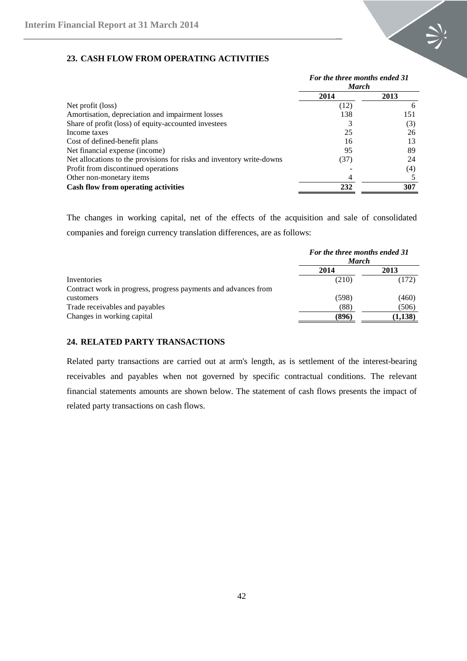

# <span id="page-41-0"></span>**23. CASH FLOW FROM OPERATING ACTIVITIES**

|                                                                       | For the three months ended 31<br><b>March</b> |              |  |
|-----------------------------------------------------------------------|-----------------------------------------------|--------------|--|
|                                                                       | 2014                                          | 2013         |  |
| Net profit (loss)                                                     | (12)                                          | <sub>0</sub> |  |
| Amortisation, depreciation and impairment losses                      | 138                                           | 151          |  |
| Share of profit (loss) of equity-accounted investees                  |                                               | (3)          |  |
| Income taxes                                                          | 25                                            | 26           |  |
| Cost of defined-benefit plans                                         | 16                                            | 13           |  |
| Net financial expense (income)                                        | 95                                            | 89           |  |
| Net allocations to the provisions for risks and inventory write-downs | (37)                                          | 24           |  |
| Profit from discontinued operations                                   |                                               | (4)          |  |
| Other non-monetary items                                              |                                               |              |  |
| Cash flow from operating activities                                   | 232                                           | 307          |  |

The changes in working capital, net of the effects of the acquisition and sale of consolidated companies and foreign currency translation differences, are as follows:

|                                                                | For the three months ended 31<br><b>March</b> |         |  |  |
|----------------------------------------------------------------|-----------------------------------------------|---------|--|--|
|                                                                | 2014                                          | 2013    |  |  |
| Inventories                                                    | (210)                                         | (172)   |  |  |
| Contract work in progress, progress payments and advances from |                                               |         |  |  |
| customers                                                      | (598)                                         | (460)   |  |  |
| Trade receivables and payables                                 | (88)                                          | (506)   |  |  |
| Changes in working capital                                     | (896)                                         | (1,138) |  |  |

## <span id="page-41-1"></span>**24. RELATED PARTY TRANSACTIONS**

Related party transactions are carried out at arm's length, as is settlement of the interest-bearing receivables and payables when not governed by specific contractual conditions. The relevant financial statements amounts are shown below. The statement of cash flows presents the impact of related party transactions on cash flows.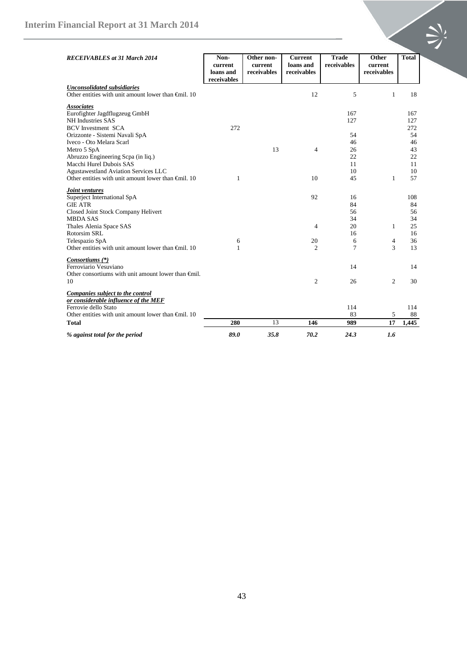| <b>RECEIVABLES</b> at 31 March 2014                                                                                                                                                                                                                              | Non-<br>current<br>loans and<br>receivables | Other non-<br>current<br>receivables | <b>Current</b><br>loans and<br>receivables   | <b>Trade</b><br>receivables                | Other<br>current<br>receivables | <b>Total</b>                                  |
|------------------------------------------------------------------------------------------------------------------------------------------------------------------------------------------------------------------------------------------------------------------|---------------------------------------------|--------------------------------------|----------------------------------------------|--------------------------------------------|---------------------------------|-----------------------------------------------|
| <b>Unconsolidated subsidiaries</b><br>Other entities with unit amount lower than $\bigoplus$ fill. 10                                                                                                                                                            |                                             |                                      | 12                                           | 5                                          | $\mathbf{1}$                    | 18                                            |
| <b>Associates</b><br>Eurofighter Jagdflugzeug GmbH<br>NH Industries SAS<br><b>BCV</b> Investment SCA<br>Orizzonte - Sistemi Navali SpA                                                                                                                           | 272                                         |                                      |                                              | 167<br>127<br>54                           |                                 | 167<br>127<br>272<br>54                       |
| Iveco - Oto Melara Scarl<br>Metro 5 SpA<br>Abruzzo Engineering Scpa (in liq.)<br>Macchi Hurel Dubois SAS<br><b>Agustawestland Aviation Services LLC</b>                                                                                                          |                                             | 13                                   | $\overline{4}$                               | 46<br>26<br>22<br>11<br>10                 |                                 | 46<br>43<br>22<br>11<br>10                    |
| Other entities with unit amount lower than $\bigoplus$ fill. 10                                                                                                                                                                                                  | 1                                           |                                      | 10                                           | 45                                         | 1                               | 57                                            |
| <b>Joint ventures</b><br>Superject International SpA<br><b>GIE ATR</b><br>Closed Joint Stock Company Helivert<br><b>MBDA SAS</b><br>Thales Alenia Space SAS<br>Rotorsim SRL<br>Telespazio SpA<br>Other entities with unit amount lower than $\bigoplus$ fill. 10 | 6<br>$\mathbf{1}$                           |                                      | 92<br>$\overline{4}$<br>20<br>$\overline{c}$ | 16<br>84<br>56<br>34<br>20<br>16<br>6<br>7 | $\mathbf{1}$<br>4<br>3          | 108<br>84<br>56<br>34<br>25<br>16<br>36<br>13 |
| Consortiums (*)<br>Ferroviario Vesuviano<br>Other consortiums with unit amount lower than $\bigoplus$ ill.<br>10                                                                                                                                                 |                                             |                                      | $\mathfrak{2}$                               | 14<br>26                                   | $\overline{c}$                  | 14<br>30                                      |
| Companies subject to the control<br>or considerable influence of the MEF<br>Ferrovie dello Stato<br>Other entities with unit amount lower than $\bigoplus$ fill. 10                                                                                              |                                             |                                      |                                              | 114<br>83                                  | 5                               | 114<br>88                                     |
| <b>Total</b>                                                                                                                                                                                                                                                     | 280                                         | 13                                   | 146                                          | 989                                        | 17                              | 1,445                                         |
| % against total for the period                                                                                                                                                                                                                                   | 89.0                                        | 35.8                                 | 70.2                                         | 24.3                                       | 1.6                             |                                               |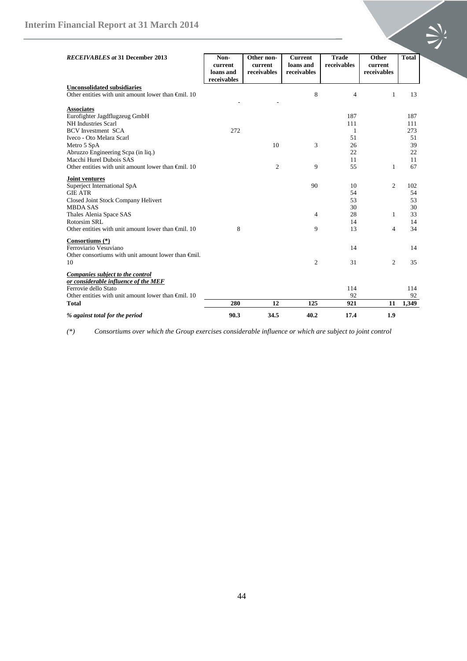| <b>RECEIVABLES</b> at 31 December 2013                                                                                                                                                                                                                                              | Non-<br>current<br>loans and<br>receivables | Other non-<br>current<br>receivables | <b>Current</b><br>loans and<br>receivables | <b>Trade</b><br>receivables                   | Other<br>current<br>receivables     | <b>Total</b>                                    |
|-------------------------------------------------------------------------------------------------------------------------------------------------------------------------------------------------------------------------------------------------------------------------------------|---------------------------------------------|--------------------------------------|--------------------------------------------|-----------------------------------------------|-------------------------------------|-------------------------------------------------|
| <b>Unconsolidated subsidiaries</b><br>Other entities with unit amount lower than $\bigoplus$ 10                                                                                                                                                                                     |                                             |                                      | 8                                          | $\overline{4}$                                | 1                                   | 13                                              |
| <b>Associates</b><br>Eurofighter Jagdflugzeug GmbH<br>NH Industries Scarl<br><b>BCV</b> Investment SCA<br>Iveco - Oto Melara Scarl<br>Metro 5 SpA<br>Abruzzo Engineering Scpa (in liq.)<br>Macchi Hurel Dubois SAS<br>Other entities with unit amount lower than $\bigoplus$ il. 10 | 272                                         | 10<br>$\overline{c}$                 | 3<br>9                                     | 187<br>111<br>1<br>51<br>26<br>22<br>11<br>55 | $\mathbf{1}$                        | 187<br>111<br>273<br>51<br>39<br>22<br>11<br>67 |
| Joint ventures<br>Superject International SpA<br><b>GIE ATR</b><br>Closed Joint Stock Company Helivert<br><b>MBDA SAS</b><br>Thales Alenia Space SAS<br><b>Rotorsim SRL</b><br>Other entities with unit amount lower than $\bigoplus$ il. 10                                        | 8                                           |                                      | 90<br>4<br>9                               | 10<br>54<br>53<br>30<br>28<br>14<br>13        | 2<br>$\mathbf{1}$<br>$\overline{4}$ | 102<br>54<br>53<br>30<br>33<br>14<br>34         |
| Consortiums (*)<br>Ferroviario Vesuviano<br>Other consortiums with unit amount lower than $\bigoplus$ ill.<br>10                                                                                                                                                                    |                                             |                                      | $\overline{c}$                             | 14<br>31                                      | $\overline{c}$                      | 14<br>35                                        |
| Companies subject to the control<br>or considerable influence of the MEF<br>Ferrovie dello Stato<br>Other entities with unit amount lower than $\bigoplus$ il. 10<br><b>Total</b>                                                                                                   | 280                                         | 12                                   | 125                                        | 114<br>92<br>921                              | 11                                  | 114<br>92<br>1,349                              |
| % against total for the period                                                                                                                                                                                                                                                      | 90.3                                        | 34.5                                 | 40.2                                       | 17.4                                          | 1.9                                 |                                                 |

*(\*) Consortiums over which the Group exercises considerable influence or which are subject to joint control*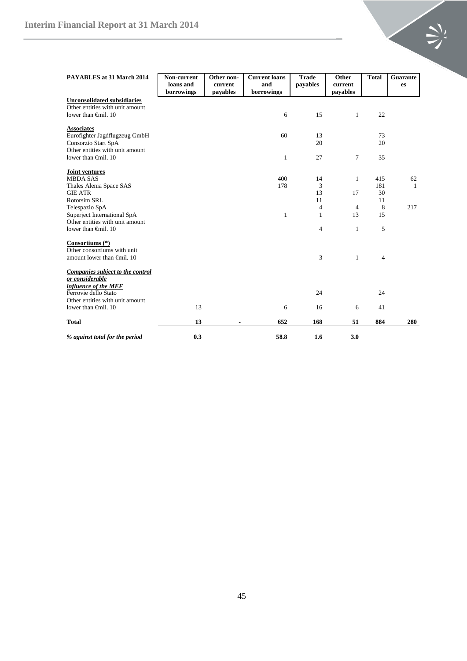| <b>PAYABLES</b> at 31 March 2014                                                                   | Non-current<br>loans and<br>borrowings | Other non-<br>current<br>payables | <b>Current</b> loans<br>and<br>borrowings | Trade<br>payables              | Other<br>current<br>payables | <b>Total</b>   | Guarante<br>es |
|----------------------------------------------------------------------------------------------------|----------------------------------------|-----------------------------------|-------------------------------------------|--------------------------------|------------------------------|----------------|----------------|
| <b>Unconsolidated subsidiaries</b><br>Other entities with unit amount<br>lower than $\bigoplus$ 10 |                                        |                                   | 6                                         | 15                             | $\mathbf{1}$                 | 22             |                |
| <b>Associates</b><br>Eurofighter Jagdflugzeug GmbH<br>Consorzio Start SpA                          |                                        |                                   | 60                                        | 13<br>20                       |                              | 73<br>20       |                |
| Other entities with unit amount<br>lower than $\oplus$ finil. 10                                   |                                        |                                   | $\mathbf{1}$                              | 27                             | 7                            | 35             |                |
| Joint ventures<br><b>MBDA SAS</b>                                                                  |                                        |                                   | 400                                       | 14                             | 1                            | 415            | 62             |
| Thales Alenia Space SAS<br><b>GIE ATR</b><br><b>Rotorsim SRL</b>                                   |                                        |                                   | 178                                       | 3<br>13<br>11                  | 17                           | 181<br>30      | 1              |
| Telespazio SpA<br>Superject International SpA                                                      |                                        |                                   | $\mathbf{1}$                              | $\overline{4}$<br>$\mathbf{1}$ | 4<br>13                      | 11<br>8<br>15  | 217            |
| Other entities with unit amount<br>lower than $\bigoplus$ 10                                       |                                        |                                   |                                           | $\overline{4}$                 | $\mathbf{1}$                 | 5              |                |
| Consortiums (*)<br>Other consortiums with unit                                                     |                                        |                                   |                                           |                                |                              |                |                |
| amount lower than $\bigoplus$ fill. 10                                                             |                                        |                                   |                                           | 3                              | $\mathbf{1}$                 | $\overline{4}$ |                |
| Companies subject to the control<br>or considerable                                                |                                        |                                   |                                           |                                |                              |                |                |
| influence of the MEF<br>Ferrovie dello Stato<br>Other entities with unit amount                    |                                        |                                   |                                           | 24                             |                              | 24             |                |
| lower than $\bigoplus$ 10                                                                          | 13                                     |                                   | 6                                         | 16                             | 6                            | 41             |                |
| <b>Total</b>                                                                                       | 13                                     | $\blacksquare$                    | 652                                       | 168                            | 51                           | 884            | 280            |
| % against total for the period                                                                     | 0.3                                    |                                   | 58.8                                      | 1.6                            | 3.0                          |                |                |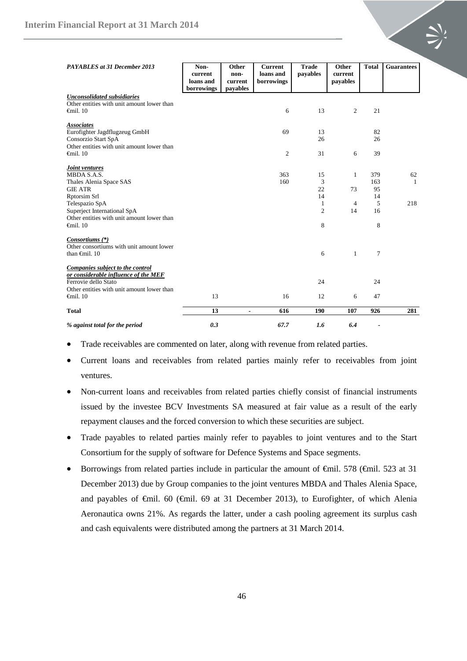| PAYABLES at 31 December 2013                                                                                                                   | Non-<br>current         | Other<br>non-       | <b>Current</b><br>loans and | <b>Trade</b><br>payables | Other<br>current | <b>Total</b>             | <b>Guarantees</b> |
|------------------------------------------------------------------------------------------------------------------------------------------------|-------------------------|---------------------|-----------------------------|--------------------------|------------------|--------------------------|-------------------|
|                                                                                                                                                | loans and<br>borrowings | current<br>payables | borrowings                  |                          | payables         |                          |                   |
| <b>Unconsolidated subsidiaries</b><br>Other entities with unit amount lower than<br>$\epsilon$ mil. 10                                         |                         |                     | 6                           | 13                       | $\overline{c}$   | 21                       |                   |
| <b>Associates</b><br>Eurofighter Jagdflugzeug GmbH<br>Consorzio Start SpA<br>Other entities with unit amount lower than                        |                         |                     | 69                          | 13<br>26                 |                  | 82<br>26                 |                   |
| $\epsilon$ mil. 10                                                                                                                             |                         |                     | $\mathfrak{2}$              | 31                       | 6                | 39                       |                   |
| <b>Joint ventures</b><br>MBDA S.A.S.<br>Thales Alenia Space SAS<br><b>GIE ATR</b><br>Rptorsim Srl                                              |                         |                     | 363<br>160                  | 15<br>3<br>22<br>14      | 1<br>73          | 379<br>163<br>95<br>14   | 62<br>-1          |
| Telespazio SpA<br>Superject International SpA<br>Other entities with unit amount lower than<br>$\epsilon$ mil. 10                              |                         |                     |                             | 1<br>$\overline{c}$<br>8 | 4<br>14          | 5<br>16<br>8             | 218               |
| Consortiums (*)<br>Other consortiums with unit amount lower<br>than $\oplus$ finil. 10                                                         |                         |                     |                             | 6                        | 1                | $\overline{7}$           |                   |
| Companies subject to the control<br>or considerable influence of the MEF<br>Ferrovie dello Stato<br>Other entities with unit amount lower than |                         |                     |                             | 24                       |                  | 24                       |                   |
| $\epsilon$ mil. 10                                                                                                                             | 13                      |                     | 16                          | 12                       | 6                | 47                       |                   |
| <b>Total</b>                                                                                                                                   | 13                      | $\blacksquare$      | 616                         | 190                      | 107              | 926                      | 281               |
| % against total for the period                                                                                                                 | 0.3                     |                     | 67.7                        | 1.6                      | 6.4              | $\overline{\phantom{0}}$ |                   |

- Trade receivables are commented on later, along with revenue from related parties.
- Current loans and receivables from related parties mainly refer to receivables from joint ventures.
- Non-current loans and receivables from related parties chiefly consist of financial instruments issued by the investee BCV Investments SA measured at fair value as a result of the early repayment clauses and the forced conversion to which these securities are subject.
- Trade payables to related parties mainly refer to payables to joint ventures and to the Start Consortium for the supply of software for Defence Systems and Space segments.
- Borrowings from related parties include in particular the amount of  $\theta$ mil. 578 ( $\theta$ mil. 523 at 31 December 2013) due by Group companies to the joint ventures MBDA and Thales Alenia Space, and payables of €mil. 60 (€mil. 69 at 31 December 2013), to Eurofighter, of which Alenia Aeronautica owns 21%. As regards the latter, under a cash pooling agreement its surplus cash and cash equivalents were distributed among the partners at 31 March 2014.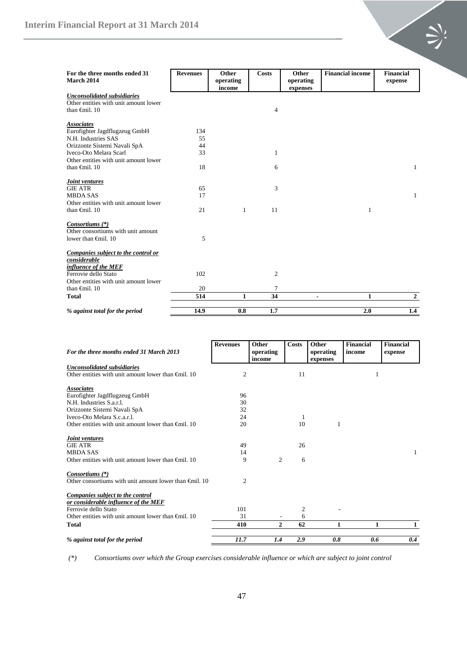| For the three months ended 31<br><b>March 2014</b> | <b>Revenues</b> | Other<br>operating<br>income | <b>Costs</b> | Other<br>operating<br>expenses | <b>Financial income</b> | <b>Financial</b><br>expense |
|----------------------------------------------------|-----------------|------------------------------|--------------|--------------------------------|-------------------------|-----------------------------|
| <b>Unconsolidated subsidiaries</b>                 |                 |                              |              |                                |                         |                             |
| Other entities with unit amount lower              |                 |                              |              |                                |                         |                             |
| than $\oplus$ nil. 10                              |                 |                              | 4            |                                |                         |                             |
| <b>Associates</b>                                  |                 |                              |              |                                |                         |                             |
| Eurofighter Jagdflugzeug GmbH                      | 134             |                              |              |                                |                         |                             |
| N.H. Industries SAS                                | 55              |                              |              |                                |                         |                             |
| Orizzonte Sistemi Navali SpA                       | 44              |                              |              |                                |                         |                             |
| Iveco-Oto Melara Scarl                             | 33              |                              | 1            |                                |                         |                             |
| Other entities with unit amount lower              |                 |                              |              |                                |                         |                             |
| than $\oplus$ finil. 10                            | 18              |                              | 6            |                                |                         | 1                           |
| Joint ventures                                     |                 |                              |              |                                |                         |                             |
| <b>GIE ATR</b>                                     | 65              |                              | 3            |                                |                         |                             |
| <b>MBDA SAS</b>                                    | 17              |                              |              |                                |                         | 1                           |
| Other entities with unit amount lower              |                 |                              |              |                                |                         |                             |
| than $\oplus$ finil. 10                            | 21              | 1                            | 11           |                                | 1                       |                             |
| Consortiums (*)                                    |                 |                              |              |                                |                         |                             |
| Other consortiums with unit amount                 |                 |                              |              |                                |                         |                             |
| lower than $\bigoplus$ 10                          | 5               |                              |              |                                |                         |                             |
| Companies subject to the control or                |                 |                              |              |                                |                         |                             |
| considerable                                       |                 |                              |              |                                |                         |                             |
| influence of the MEF                               |                 |                              |              |                                |                         |                             |
| Ferrovie dello Stato                               | 102             |                              | 2            |                                |                         |                             |
| Other entities with unit amount lower              |                 |                              |              |                                |                         |                             |
| than $\oplus$ finil. 10                            | 20              |                              | 7            |                                |                         |                             |
| <b>Total</b>                                       | 514             | 1                            | 34           | $\blacksquare$                 | $\mathbf{1}$            | $\mathbf{2}$                |
| % against total for the period                     | 14.9            | 0.8                          | 1.7          |                                | 2.0                     | 1.4                         |

| For the three months ended 31 March 2013                         | <b>Revenues</b> | Other               | <b>Costs</b> | Other                 | <b>Financial</b><br>income | <b>Financial</b> |
|------------------------------------------------------------------|-----------------|---------------------|--------------|-----------------------|----------------------------|------------------|
|                                                                  |                 | operating<br>income |              | operating<br>expenses |                            | expense          |
| Unconsolidated subsidiaries                                      |                 |                     |              |                       |                            |                  |
| Other entities with unit amount lower than $\theta$ mil. 10      | 2               |                     | 11           |                       | 1                          |                  |
| <b>Associates</b>                                                |                 |                     |              |                       |                            |                  |
| Eurofighter Jagdflugzeug GmbH                                    | 96              |                     |              |                       |                            |                  |
| N.H. Industries S.a.r.l.                                         | 30              |                     |              |                       |                            |                  |
| Orizzonte Sistemi Navali SpA                                     | 32              |                     |              |                       |                            |                  |
| Iveco-Oto Melara S.c.a.r.l.                                      | 24              |                     | 1            |                       |                            |                  |
| Other entities with unit amount lower than $\theta$ mil. 10      | 20              |                     | 10           | 1                     |                            |                  |
| Joint ventures                                                   |                 |                     |              |                       |                            |                  |
| <b>GIE ATR</b>                                                   | 49              |                     | 26           |                       |                            |                  |
| <b>MBDA SAS</b>                                                  | 14              |                     |              |                       |                            | $\mathbf{1}$     |
| Other entities with unit amount lower than $\theta$ mil. 10      | 9               | $\overline{c}$      | 6            |                       |                            |                  |
| Consortiums (*)                                                  |                 |                     |              |                       |                            |                  |
| Other consortiums with unit amount lower than $\bigoplus$ il. 10 | $\overline{c}$  |                     |              |                       |                            |                  |
| Companies subject to the control                                 |                 |                     |              |                       |                            |                  |
| or considerable influence of the MEF                             |                 |                     |              |                       |                            |                  |
| Ferrovie dello Stato                                             | 101             |                     | 2            |                       |                            |                  |
| Other entities with unit amount lower than $\theta$ mil. 10      | 31              |                     | 6            |                       |                            |                  |
| <b>Total</b>                                                     | 410             | 2                   | 62           | 1                     | 1                          | 1                |
| % against total for the period                                   | 11.7            | 1.4                 | 2.9          | 0.8                   | 0.6                        | 0.4              |

*(\*) Consortiums over which the Group exercises considerable influence or which are subject to joint control*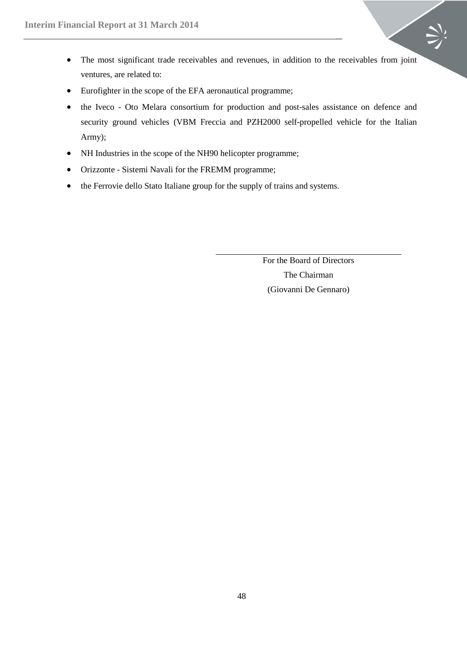- The most significant trade receivables and revenues, in addition to the receivables from joint ventures, are related to:
- Eurofighter in the scope of the EFA aeronautical programme;
- the Iveco Oto Melara consortium for production and post-sales assistance on defence and security ground vehicles (VBM Freccia and PZH2000 self-propelled vehicle for the Italian Army);
- NH Industries in the scope of the NH90 helicopter programme;
- Orizzonte Sistemi Navali for the FREMM programme;
- the Ferrovie dello Stato Italiane group for the supply of trains and systems.

For the Board of Directors The Chairman (Giovanni De Gennaro)

 $\geq$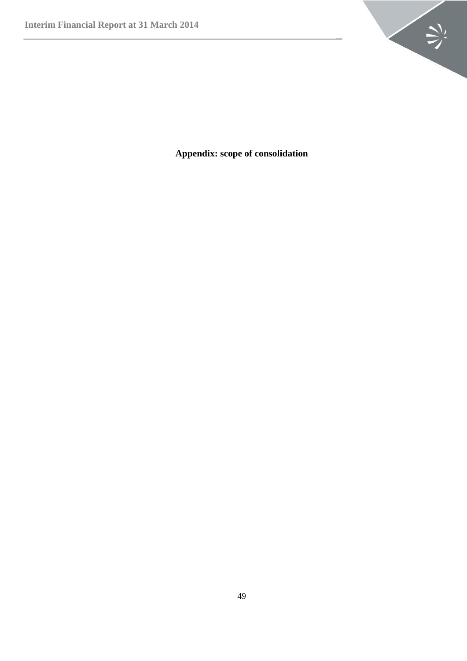

<span id="page-48-0"></span>**Appendix: scope of consolidation**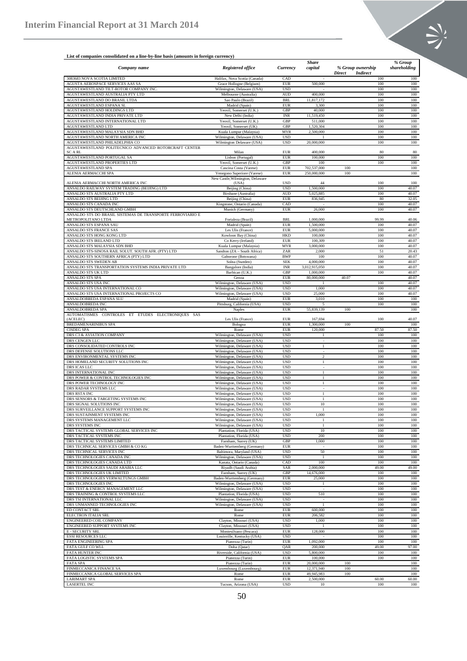

# **List of companies consolidated on a line-by-line basis (amounts in foreign currency)**

|                                                                            |                                      |                          | <b>Share</b>   |                                  |       | % Group        |
|----------------------------------------------------------------------------|--------------------------------------|--------------------------|----------------|----------------------------------|-------|----------------|
| Company name                                                               | <b>Registered office</b>             | Currency                 | capital        | % Group ownership                |       | shareholding   |
|                                                                            |                                      |                          |                | <b>Direct</b><br><b>Indirect</b> |       |                |
| 3083683 NOVA SCOTIA LIMITED                                                | Halifax, Nova Scotia (Canada)        | CAD                      |                |                                  | 100   | 100            |
| AGUSTA AEROSPACE SERVICES AAS SA                                           | Grace Hollogne (Belgium)             | <b>EUR</b>               | 500,000        |                                  | 100   | 100            |
| AGUSTAWESTLAND TILT-ROTOR COMPANY INC                                      | Wilmington, Delaware (USA)           | <b>USD</b>               |                |                                  | 100   | 100            |
| AGUSTAWESTLAND AUSTRALIA PTY LTD                                           | Melbourne (Australia)                | <b>AUD</b>               | 400,000        |                                  | 100   | 100            |
| AGUSTAWESTLAND DO BRASIL LTDA                                              | Sao Paulo (Brazil)                   | BRI.                     | 11,817,172     |                                  | 100   | 100            |
| AGUSTAWESTLAND ESPANA SL                                                   | Madrid (Spain)                       | <b>EUR</b>               | 3,300          |                                  | 100   | 100            |
| AGUSTAWESTLAND HOLDINGS LTD                                                | Yeovil, Somerset (U.K.)              | GBP                      | 40,000         |                                  | 100   | 100            |
| AGUSTAWESTLAND INDIA PRIVATE LTD                                           | New Delhi (India)                    | <b>INR</b>               | 11.519.450     |                                  | 100   | 100            |
| AGUSTAWESTLAND INTERNATIONAL LTD                                           | Yeovil, Somerset (U.K.)              | GBF                      | 511,000        |                                  | 100   | 100            |
| AGUSTAWESTLAND LTD                                                         | Yeovil, Somerset (UK)                | GBP                      | 1,520,304      |                                  | 100   | 100            |
| AGUSTAWESTLAND MALAYSIA SDN BHD                                            | Kuala Lumpur (Malaysia)              | MYR                      | 2,500,000      |                                  | 100   | 100            |
| AGUSTAWESTLAND NORTH AMERICA INC                                           | Wilmington, Delaware (USA)           | <b>USD</b>               |                |                                  | 100   | 100            |
| AGUSTAWESTLAND PHILADELPHIA CO                                             | Wilmington Delaware (USA)            | <b>USD</b>               | 20,000,000     |                                  | 100   | 100            |
| AGUSTAWESTLAND POLITECNICO ADVANCED ROTORCRAFT CENTER                      |                                      |                          |                |                                  |       |                |
| SC A RL                                                                    | Milan                                | <b>EUR</b>               | 400,000        |                                  | 80    | 80             |
| AGUSTAWESTLAND PORTUGAL SA                                                 | Lisbon (Portugal)                    | <b>EUR</b>               | 100,000        |                                  | 100   | 100            |
| AGUSTAWESTLAND PROPERTIES LTD                                              | Yeovil, Somerset (U.K.)              | GBP                      | 100            |                                  | 100   | 100            |
| AGUSTAWESTLAND SPA                                                         | Cascina Costa (Varese)               | <b>EUR</b>               | 702,537,000    | 100                              |       | 100            |
| ALENIA AERMACCHI SPA                                                       | Venegono Superiore (Varese)          | <b>EUR</b>               | 250,000,000    | 100                              |       | 100            |
|                                                                            | New Castle, Wilmington, Delaware     |                          |                |                                  |       |                |
| ALENIA AERMACCHI NORTH AMERICA INC                                         | (USA)                                | <b>USD</b>               | 44             |                                  | 100   | 100            |
| ANSALDO RAILWAY SYSTEM TRADING (BEIJING) LTD                               | Beijing (China)                      | <b>USD</b>               | 1,500,000      |                                  | 100   | 40.07          |
| ANSALDO STS AUSTRALIA PTY LTD                                              | Birsbane (Australia)                 | <b>AUD</b>               | 5,025,885      |                                  | 100   | 40.07          |
| ANSALDO STS BEIJING LTD                                                    | Beijing (China)                      | <b>EUR</b>               | 836,945        |                                  | 80    | 32.05          |
| ANSALDO STS CANADA INC                                                     | Kingstone, Ontario (Canada)          | CAD                      |                |                                  | 100   | 40.07          |
| ANSALDO STS DEUTSCHLAND GMBH                                               | Munich (Germany)                     | <b>EUR</b>               | 26,000         |                                  | 100   | 40.07          |
| ANSALDO STS DO BRASIL SISTEMAS DE TRANSPORTE FERROVIARIO E                 |                                      |                          |                |                                  |       |                |
| METROPOLITANO LTDA                                                         | Fortaleza (Brazil)                   | <b>BRL</b>               | 1,000,000      |                                  | 99.99 | 40.06          |
| ANSALDO STS ESPANA SAU                                                     | Madrid (Spain)                       | <b>EUR</b>               | 1,500,000      |                                  | 100   | 40.07          |
| ANSALDO STS FRANCE SAS                                                     | Les Ulis (France)                    | <b>EUR</b>               | 5,000,000      |                                  | 100   | 40.07          |
| ANSALDO STS HONG KONG LTD                                                  | Kowloon Bay (China)                  | HKD                      | 100,000        |                                  | 100   | 40.07          |
| ANSALDO STS IRELAND LTD                                                    | Co Kerry (Ireland)                   | <b>EUR</b>               | 100,309        |                                  | 100   | 40.07          |
| ANSALDO STS MALAYSIA SDN BHD                                               | Kuala Lumpur (Malaysia)              | MYR                      | 3,000,000      |                                  | 100   | 40.07          |
| ANSALDO STS-SINOSA RAIL SOLUT. SOUTH AFR. (PTY) LTD                        | Sandton (ZA - South Africa)          | ZAR                      | 2,000          |                                  | 51    | 20.43          |
| ANSALDO STS SOUTHERN AFRICA (PTY) LTD                                      | Gaborone (Botswana)                  | <b>BWP</b>               | 100            |                                  | 100   | 40.07          |
| ANSALDO STS SWEDEN AB                                                      | Solna (Sweden)                       | <b>SEK</b>               | 4,000,000      |                                  | 100   | 40.07          |
|                                                                            |                                      |                          |                |                                  |       |                |
| ANSALDO STS TRANSPORTATION SYSTEMS INDIA PRIVATE LTD<br>ANSALDO STS UK LTD | Bangalore (India)<br>Barbican (U.K.) | <b>INR</b><br><b>GBP</b> | 3,012,915,050  |                                  | 100   | 40.07<br>40.07 |
|                                                                            |                                      |                          | 1,000,000      |                                  | 100   |                |
| <b>ANSALDO STS SPA</b>                                                     | Genoa                                | <b>EUR</b>               | 80,000,000     | 40.07                            |       | 40.07          |
| ANSALDO STS USA INC                                                        | Wilmington, Delaware (USA)           | <b>USD</b>               |                |                                  | 100   | 40.07          |
| ANSALDO STS USA INTERNATIONAL CO                                           | Wilmington, Delaware (USA)           | <b>USD</b>               | 1,000          |                                  | 100   | 40.07          |
| ANSALDO STS USA INTERNATIONAL PROJECTS CO                                  | Wilmington, Delaware (USA)           | <b>USD</b>               | 25,000         |                                  | 100   | 40.07          |
| ANSALDOBREDA ESPANA SLU                                                    | Madrid (Spain)                       | <b>EUR</b>               | 3,010          |                                  | 100   | 100            |
| ANSALDOBREDA INC                                                           | Pittsburg, California (USA)          | <b>USD</b>               | $\overline{5}$ |                                  | 100   | 100            |
| ANSALDOBREDA SPA                                                           | <b>Naples</b>                        | <b>EUR</b>               | 55,839,139     | 100                              |       | 100            |
| AUTOMATISMES CONTROLES ET ETUDES ELECTRONIQUES SAS                         |                                      |                          |                |                                  |       |                |
| (ACELEC)                                                                   | Les Ulis (France)                    | <b>EUR</b>               | 167,694        |                                  | 100   | 40.07          |
| BREDAMENARINIBUS SPA                                                       | Bologna                              | <b>EUR</b>               | 1,300,000      | 100                              |       | 100            |
| <b>CISDEG SPA</b>                                                          | Rome                                 | <b>EUR</b>               | 120,000        |                                  | 87.50 | 87.50          |
| DRS C3 & AVIATION COMPANY                                                  | Wilmington, Delaware (USA)           | <b>USD</b>               | -1             |                                  | 100   | 100            |
| DRS CENGEN LLC                                                             | Wilmington, Delaware (USA)           | <b>USD</b>               |                |                                  | 100   | 100            |
| DRS CONSOLIDATED CONTROLS INC                                              | Wilmington, Delaware (USA)           | <b>USD</b>               | -1             |                                  | 100   | 100            |
| DRS DEFENSE SOLUTIONS LLC                                                  | Wilmington, Delaware (USA)           | <b>USD</b>               |                |                                  | 100   | 100            |
| DRS ENVIRONMENTAL SYSTEMS INC                                              | Wilmington, Delaware (USA)           | <b>USD</b>               | 2              |                                  | 100   | 100            |
| DRS HOMELAND SECURITY SOLUTIONS INC                                        | Wilmington, Delaware (USA)           | <b>USD</b>               | $\mathbf{1}$   |                                  | 100   | 100            |
| DRS ICAS LLC                                                               | Wilmington, Delaware (USA)           | <b>USD</b>               | $\sim$         |                                  | 100   | 100            |
| DRS INTERNATIONAL INC                                                      | Wilmington, Delaware (USA)           | <b>USD</b>               | $\mathbf{1}$   |                                  | 100   | 100            |
| DRS POWER & CONTROL TECHNOLOGIES INC                                       | Wilmington, Delaware (USA)           | <b>USD</b>               | $\mathbf{1}$   |                                  | 100   | 100            |
| DRS POWER TECHNOLOGY INC                                                   | Wilmington, Delaware (USA)           | <b>USD</b>               | $\mathbf{1}$   |                                  | 100   | 100            |
| DRS RADAR SYSTEMS LLC                                                      | Wilmington, Delaware (USA)           | <b>USD</b>               | $\epsilon$     |                                  | 100   | 100            |
| DRS RSTA INC                                                               | Wilmington, Delaware (USA)           | <b>USD</b>               | -1             |                                  | 100   | 100            |
| DRS SENSORS & TARGETING SYSTEMS INC                                        | Wilmington, Delaware (USA)           | <b>USD</b>               | $\overline{1}$ |                                  | 100   | 100            |
| DRS SIGNAL SOLUTIONS INC                                                   | Wilmington, Delaware (USA)           | <b>USD</b>               | 10             |                                  | 100   | 100            |
| DRS SURVEILLANCE SUPPORT SYSTEMS INC                                       | Wilmington, Delaware (USA)           | <b>USD</b>               | $\overline{1}$ |                                  | 100   | 100            |
| DRS SUSTAINMENT SYSTEMS INC                                                | Wilmington, Delaware (USA)           | <b>USD</b>               | 1,000          |                                  | 100   | 100            |
| DRS SYSTEMS MANAGEMENT LLC                                                 | Wilmington, Delaware (USA)           | <b>USD</b>               | $\mathbf{1}$   |                                  | 100   | 100            |
| DRS SYSTEMS INC                                                            | Wilmington, Delaware (USA)           | <b>USD</b>               | $\mathbf{1}$   |                                  | 100   | 100            |
| DRS TACTICAL SYSTEMS GLOBAL SERVICES INC                                   | Plantation, Florida (USA)            | <b>USD</b>               | 10             |                                  | 100   | 100            |
| DRS TACTICAL SYSTEMS INC                                                   | Plantation, Florida (USA)            | <b>USD</b>               | 200            |                                  | 100   | 100            |
| DRS TACTICAL SYSTEMS LIMITED                                               | Farnham, Surrey (UK)                 | GBP                      | 1,000          |                                  | 100   | 100            |
| DRS TECHNICAL SERVICES GMBH & CO KG                                        | Baden-Wurttemberg (Germany)          | <b>EUR</b>               |                |                                  | 100   | 100            |
| DRS TECHNICAL SERVICES INC                                                 | Baltimora, Maryland (USA)            | <b>USD</b>               | 50             |                                  | 100   | 100            |
| DRS TECHNOLOGIES CANADA INC                                                | Wilmington, Delaware (USA)           | <b>USD</b>               | $\overline{1}$ |                                  | 100   | 100            |
| DRS TECHNOLOGIES CANADA LTD                                                | Kanata, Ontario (Canada)             | CAD                      | 100            |                                  | 100   | 100            |
| DRS TECHNOLOGIES SAUDI ARABIA LLC                                          | Riyadh (Saudi Arabia)                | SAR                      | 2,000,000      |                                  | 49.00 | 49.00          |
| DRS TECHNOLOGIES UK LIMITED                                                | Farnham, Surrey (UK)                 | GBP                      | 14,676,000     |                                  | 100   | 100            |
| DRS TECHNOLOGIES VERWALTUNGS GMBH                                          | Baden-Wurttemberg (Germany)          |                          |                |                                  |       |                |
|                                                                            |                                      | <b>EUR</b>               | 25,000         |                                  | 100   | 100            |
| DRS TECHNOLOGIES INC                                                       | Wilmington, Delaware (USA)           | <b>USD</b>               | -1             |                                  | 100   | 100            |
| DRS TEST & ENERGY MANAGEMENT LLC                                           | Wilmington, Delaware (USA)           | <b>USD</b>               |                |                                  | 100   | 100            |
| DRS TRAINING & CONTROL SYSTEMS LLC                                         | Plantation, Florida (USA)            | <b>USD</b>               | 510            |                                  | 100   | 100            |
| DRS TSI INTERNATIONAL LLC                                                  | Wilmington, Delaware (USA)           | <b>USD</b>               |                |                                  | 100   | 100            |
| DRS UNMANNED TECHNOLOGIES INC                                              | Wilmington, Delaware (USA)           | <b>USD</b>               | $\overline{1}$ |                                  | 100   | 100            |
| ED CONTACT SRL                                                             | Rome                                 | <b>EUR</b>               | 600,000        |                                  | 100   | 100            |
| ELECTRON ITALIA SRL                                                        | Rome                                 | <b>EUR</b>               | 206,582        |                                  | 100   | 100            |
| ENGINEERED COIL COMPANY                                                    | Clayton, Missouri (USA)              | <b>USD</b>               | 1,000          |                                  | 100   | 100            |
| ENGINEERED SUPPORT SYSTEMS INC                                             | Clayton, Missouri (USA)              | <b>USD</b>               |                |                                  | 100   | 100            |
| <b>E - SECURITY SRL</b>                                                    | Montesilvano (Pescara)               | <b>EUR</b>               | 128,000        |                                  | 100   | 100            |
| <b>ESSI RESOURCES LLC</b>                                                  | Louisville, Kentucky (USA)           | <b>USD</b>               |                |                                  | 100   | 100            |
| FATA ENGINEERING SPA                                                       | Pianezza (Turin)                     | EUR                      | 1,092,000      |                                  | 100   | 100            |
| FATA GULF CO WLL                                                           | Doha (Qatar)                         | QAR                      | 200,000        |                                  | 49.00 | 97.00          |
| FATA HUNTER INC                                                            | Riverside, California (USA)          | <b>USD</b>               | 5,800,000      |                                  | 100   | 100            |
| FATA LOGISTIC SYSTEMS SPA                                                  | Pianezza (Turin)                     | <b>EUR</b>               | 100,000        |                                  | 100   | 100            |
| <b>FATA SPA</b>                                                            | Pianezza (Turin)                     | <b>EUR</b>               | 20,000,000     | 100                              |       | 100            |
| FINMECCANICA FINANCE SA                                                    | Luxembourg (Luxembourg)              | <b>EUR</b>               | 12,371,940     | 100                              |       | 100            |
| FINMECCANICA GLOBAL SERVICES SPA                                           | Rome                                 | <b>EUR</b>               | 49,945,983     | 100                              |       | 100            |
| <b>LARIMART SPA</b>                                                        | Rome                                 | EUR                      | 2,500,000      |                                  | 60.00 | 60.00          |
| LASERTEL INC                                                               | Tucson, Arizona (USA)                | <b>USD</b>               | 10             |                                  | 100   | 100            |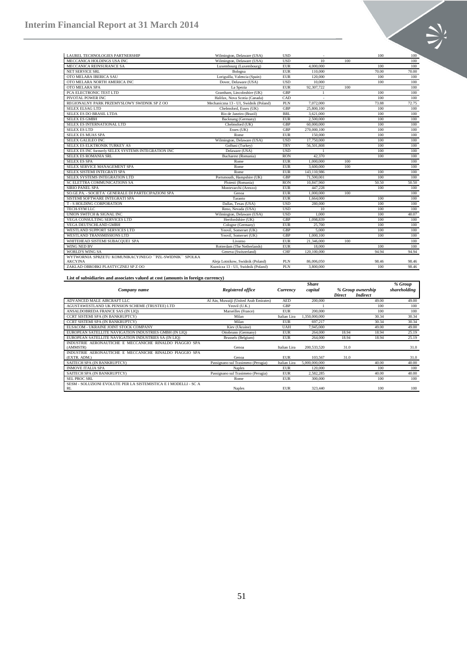| LAUREL TECHNOLOGIES PARTNERSHIP                        | Wilmington, Delaware (USA)            | <b>USD</b> |             |     | 100   | $100^\circ$ |
|--------------------------------------------------------|---------------------------------------|------------|-------------|-----|-------|-------------|
| MECCANICA HOLDINGS USA INC                             | Wilmington, Delaware (USA)            | <b>USD</b> | 10          | 100 |       | 100         |
| MECCANICA REINSURANCE SA                               | Luxembourg (Luxembourg)               | <b>EUR</b> | 4,000,000   |     | 100   | 100         |
| <b>NET SERVICE SRL</b>                                 | Bologna                               | <b>EUR</b> | 110,000     |     | 70.00 | 70.00       |
| OTO MELARA IBERICA SAU                                 | Loriguilla, Valencia (Spain)          | <b>EUR</b> | 120,000     |     | 100   | 100         |
| OTO MELARA NORTH AMERICA INC                           | Dover, Delaware (USA)                 | <b>USD</b> | 10,000      |     | 100   | 100         |
| OTO MELARA SPA                                         | La Spezia                             | <b>EUR</b> | 92,307,722  | 100 |       | 100         |
| PCA ELECTRONIC TEST LTD                                | Grantham, Lincolnshire (UK)           | <b>GBP</b> |             |     | 100   | 100         |
| PIVOTAL POWER INC                                      | Halifax, Nova Scotia (Canada)         | CAD        |             |     | 100   | 100         |
| REGIONALNY PARK PRZEMYSLOWY SWIDNIK SP Z OO            | Mechaniczna 13 - U1, Swidnik (Poland) | PLN        | 7.072.000   |     | 73.88 | 72.75       |
| <b>SELEX ELSAG LTD</b>                                 | Chelmsford, Essex (UK)                | GBP        | 25,800,100  |     | 100   | 100         |
| SELEX ES DO BRASIL LTDA                                | Rio de Janeiro (Brazil)               | <b>BRL</b> | 3,621,000   |     | 100   | 100         |
| <b>SELEX ES GMBH</b>                                   | Backnang (Germany)                    | <b>EUR</b> | 2,500,000   |     | 100   | 100         |
| SELEX ES INTERNATIONAL LTD                             | Chelmsford (UK)                       | GBP        | 60,000,000  |     | 100   | 100         |
| <b>SELEX ES LTD</b>                                    | Essex (UK)                            | <b>GBP</b> | 270,000,100 |     | 100   | 100         |
| <b>SELEX ES MUAS SPA</b>                               | Rome                                  | <b>EUR</b> | 150,000     |     | 100   | 100         |
| <b>SELEX GALILEO INC</b>                               | Wilmington, Delaware (USA)            | <b>USD</b> | 17,750,000  |     | 100   | 100         |
| SELEX ES ELKTRONIK TURKEY AS                           | Golbasi (Turkey)                      | <b>TRY</b> | 56,501,808  |     | 100   | 100         |
| SELEX ES INC formerly SELEX SYSTEMS INTEGRATION INC    | Delaware (USA)                        | <b>USD</b> |             |     | 100   | 100         |
| <b>SELEX ES ROMANIA SRL</b>                            | Bucharest (Romania)                   | <b>RON</b> | 42,370      |     | 100   | 100         |
| <b>SELEX ES SPA</b>                                    | Rome                                  | <b>EUR</b> | 1,000,000   | 100 |       | 100         |
| SELEX SERVICE MANAGEMENT SPA                           | Rome                                  | <b>EUR</b> | 3,600,000   | 100 |       | 100         |
| SELEX SISTEMI INTEGRATI SPA                            | Rome                                  | <b>EUR</b> | 143,110,986 |     | 100   | 100         |
| SELEX SYSTEMS INTEGRATION LTD                          | Portsmouth, Hampshire (UK)            | <b>GBP</b> | 71,500,001  |     | 100   | 100         |
| SC ELETTRA COMMUNICATIONS SA                           | Ploiesti (Romania)                    | <b>RON</b> | 10,847,960  |     | 50.50 | 50.50       |
| <b>SIRIO PANEL SPA</b>                                 | Montevarchi (Arezzo)                  | <b>EUR</b> | 447,228     |     | 100   | 100         |
| SO.GE.PA. - SOCIETA` GENERALE DI PARTECIPAZIONI SPA    | Genoa                                 | <b>EUR</b> | 1,000,000   | 100 |       | 100         |
| SISTEMI SOFTWARE INTEGRATI SPA                         | Taranto                               | <b>EUR</b> | 1.664.000   |     | 100   | 100         |
| <b>T-S HOLDING CORPORATION</b>                         | Dallas, Texas (USA)                   | <b>USD</b> | 280,000     |     | 100   | 100         |
| <b>TECH-SYM LLC</b>                                    | Reno, Nevada (USA)                    | <b>USD</b> | 10          |     | 100   | 100         |
| UNION SWITCH & SIGNAL INC                              | Wilmington, Delaware (USA)            | <b>USD</b> | 1.000       |     | 100   | 40.07       |
| <b>VEGA CONSULTING SERVICES LTD</b>                    | Hertfordshire (UK)                    | GBP        | 1,098,839   |     | 100   | 100         |
| VEGA DEUTSCHLAND GMBH                                  | Cologne (Germany)                     | <b>EUR</b> | 25,700      |     | 100   | 100         |
| WESTLAND SUPPORT SERVICES LTD                          | Yeovil, Somerset (UK)                 | GBP        | 5.000       |     | 100   | 100         |
| WESTLAND TRANSMISSIONS LTD                             | Yeovil, Somerset (UK)                 | <b>GBP</b> | 1,000,100   |     | 100   | 100         |
| WHITEHEAD SISTEMI SUBACQUEI SPA                        | Livorno                               | <b>EUR</b> | 21,346,000  | 100 |       | 100         |
| WING NED BV                                            | Rotterdam (The Netherlands)           | <b>EUR</b> | 18,000      |     | 100   | 100         |
| <b>WORLD'S WING SA</b>                                 | Geneva (Switzerland)                  | <b>CHF</b> | 120,100,000 |     | 94.94 | 94.94       |
| WYTWORNIA SPRZETU KOMUNIKACYJNEGO "PZL-SWIDNIK" SPOLKA |                                       |            |             |     |       |             |
| AKCYJNA                                                | Aleja Lotnikow, Swidnik (Poland)      | <b>PLN</b> | 86,006,050  |     | 98.46 | 98.46       |
| ZAKLAD OBROBKI PLASTYCZNEJ SP Z OO                     | Kuznicza 13 - U1. Swidnik (Poland)    | PLN        | 3,800,000   |     | 100   | 98.46       |

**List of subsidiaries and associates valued at cost (amounts in foreign currency)**

|                                                                 |                                        |              | Share         |               |                   | % Group      |
|-----------------------------------------------------------------|----------------------------------------|--------------|---------------|---------------|-------------------|--------------|
| Company name                                                    | Registered office                      | Currency     | capital       |               | % Group ownership | shareholding |
|                                                                 |                                        |              |               | <b>Direct</b> | <b>Indirect</b>   |              |
| ADVANCED MALE AIRCRAFT LLC                                      | Al Ain, Muwaiji (United Arab Emirates) | <b>AED</b>   | 200,000       |               | 49.00             | 49.00        |
| AGUSTAWESTLAND UK PENSION SCHEME (TRUSTEE) LTD                  | Yeovil (U.K.)                          | GBP          |               |               | 100               | 100          |
| ANSALDOBREDA FRANCE SAS (IN LIO)                                | Marseilles (France)                    | <b>EUR</b>   | 200,000       |               | 100               | 100          |
| CCRT SISTEMI SPA (IN BANKRUPTCY)                                | Milan                                  | Italian Lira | 1.350,000,000 |               | 30.34             | 30.34        |
| CCRT SISTEMI SPA (IN BANKRUPTCY)                                | Milan                                  | <b>EUR</b>   | 697.217       |               | 30.34             | 30.34        |
| ELSACOM - UKRAINE JOINT STOCK COMPANY                           | Kiev (Ukraine)                         | <b>UAH</b>   | 7.945.000     |               | 49.00             | 49.00        |
| EUROPEAN SATELLITE NAVIGATION INDUSTRIES GMBH (IN LIO)          | Ottobrunn (Germany)                    | <b>EUR</b>   | 264,000       | 18.94         | 18.94             | 25.19        |
| EUROPEAN SATELLITE NAVIGATION INDUSTRIES SA (IN LIO)            | Brussels (Belgium)                     | <b>EUR</b>   | 264,000       | 18.94         | 18.94             | 25.19        |
| INDUSTRIE AERONAUTICHE E MECCANICHE RINALDO PIAGGIO SPA         |                                        |              |               |               |                   |              |
| (AMMSTR)                                                        | Genoa                                  | Italian Lira | 200, 533, 520 | 31.0          |                   | 31.0         |
| INDUSTRIE AERONAUTICHE E MECCANICHE RINALDO PIAGGIO SPA         |                                        |              |               |               |                   |              |
| (EXTR. ADM.)                                                    | Genoa                                  | <b>EUR</b>   | 103,567       | 31.0          |                   | 31.0         |
| SAITECH SPA (IN BANKRUPTCY)                                     | Passignano sul Trasimeno (Perugia)     | Italian Lira | 5,000,000,000 |               | 40.00             | 40.00        |
| <b>INMOVE ITALIA SPA</b>                                        | <b>Naples</b>                          | <b>EUR</b>   | 120,000       |               | 100               | 100          |
| SAITECH SPA (IN BANKRUPTCY)                                     | Passignano sul Trasimeno (Perugia)     | <b>EUR</b>   | 2.582.285     |               | 40.00             | 40.00        |
| <b>SEL PROC SRL</b>                                             | Rome                                   | <b>EUR</b>   | 300,000       |               | 100               | 100          |
| SESM - SOLUZIONI EVOLUTE PER LA SISTEMISTICA E I MODELLI - SC A |                                        |              |               |               |                   |              |
| RL                                                              | <b>Naples</b>                          | <b>EUR</b>   | 323,440       |               | 100               | 100          |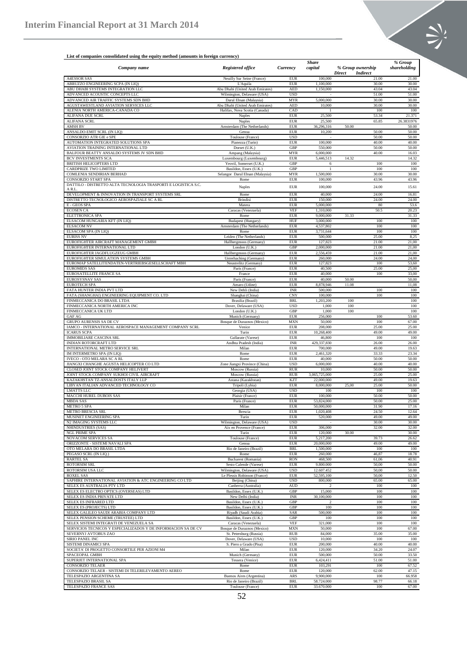

# **List of companies consolidated using the equity method (amounts in foreign currency)**

|                                                                         |                                                    |                          | <b>Share</b>             |                                    | % Group        |
|-------------------------------------------------------------------------|----------------------------------------------------|--------------------------|--------------------------|------------------------------------|----------------|
| Company name                                                            | <b>Registered office</b>                           | Currency                 | capital                  | % Group ownership                  | shareholding   |
| <b>A4ESSOR SAS</b>                                                      | Neuilly Sur Seine (France)                         | <b>EUR</b>               | 100,000                  | Direct<br><b>Indirect</b><br>21.00 | 21.00          |
| ABRUZZO ENGINEERING SCPA (IN LIQ)                                       | L'Aquila                                           | <b>EUR</b>               | 1,100,000                | 30.00                              | 30.00          |
| ABU DHABI SYSTEMS INTEGRATION LLC                                       | Abu Dhabi (United Arab Emirates)                   | <b>AED</b>               | 1,150,000                | 43.04                              | 43.04          |
| ADVANCED ACOUSTIC CONCEPTS LLC                                          | Wilmington, Delaware (USA)                         | <b>USD</b>               |                          | 51.00                              | 51.00          |
| ADVANCED AIR TRAFFIC SYSTEMS SDN BHD                                    | Darul Ehsan (Malaysia)                             | <b>MYR</b>               | 5,000,000                | 30.00                              | 30.00          |
| AGUSTAWESTLAND AVIATION SERVICES LLC<br>ALENIA NORTH AMERICA-CANADA CO  | Abu Dhabi (United Arab Emirates)                   | <b>AED</b><br>CAD        | 10,000                   | 30.00<br>100                       | 30.00          |
| <b>ALIFANA DUE SCRL</b>                                                 | Halifax, Nova Scotia (Canada)<br><b>Naples</b>     | <b>EUR</b>               | 25,500                   | 53.34                              | 100<br>21.371  |
| ALIFANA SCRL                                                            | Naples                                             | EUR                      | 25,500                   | 65.85                              | 26.3831976     |
| <b>AMSH BV</b>                                                          | Amsterdam (The Netherlands)                        | <b>EUR</b>               | 36,296,316               | 50.00                              | 50.00          |
| ANSALDO-EMIT SCRL (IN LIQ)                                              | Genoa                                              | EUR                      | 10,200                   | 50.00                              | 50.00          |
| CONSORZIO ATR GIE e SPE                                                 | Toulouse (France)                                  | <b>USD</b>               |                          | 50.00                              | 50.00          |
| AUTOMATION INTEGRATED SOLUTIONS SPA                                     | Pianezza (Turin)                                   | <b>EUR</b>               | 100,000                  | 40.00                              | 40.00          |
| AVIATION TRAINING INTERNATIONAL LTD                                     | Dorset (U.K.)                                      | GBP                      | 550,000                  | 50.00                              | 50.00          |
| BALFOUR BEATTY ANSALDO SYSTEMS JV SDN BHD<br><b>BCV INVESTMENTS SCA</b> | Ampang (Malaysia)                                  | <b>MYR</b><br><b>EUR</b> | 6,000,000<br>5,446,513   | 40.00<br>14.32                     | 16.03<br>14.32 |
| BRITISH HELICOPTERS LTD                                                 | Luxembourg (Luxembourg)<br>Yeovil, Somerset (U.K.) | GBP                      | 6                        | 100                                | 100            |
| CARDPRIZE TWO LIMITED                                                   | Basildon, Essex (U.K.)                             | GBP                      | 1                        | 100                                | 100            |
| COMLENIA SENDIRIAN BERHAD                                               | Selangor Darul Ehsan (Malaysia)                    | <b>MYR</b>               | 1,500,000                | 30.00                              | 30.00          |
| <b>CONSORZIO START SPA</b>                                              | Rome                                               | EUR                      | 100,000                  | 43.96                              | 43.96          |
| DATTILO - DISTRETTO ALTA TECNOLOGIA TRASPORTI E LOGISTICA S.C.          | Naples                                             | <b>EUR</b>               | 100,000                  | 24.00                              | 15.61          |
| A R.L                                                                   |                                                    |                          |                          |                                    |                |
| DEVELOPMENT & INNOVATION IN TRANSPORT SYSTEMS SRL                       | Rome                                               | <b>EUR</b><br><b>EUR</b> | 40,000                   | 24.00<br>24.00                     | 16.81          |
| DISTRETTO TECNOLOGICO AEROSPAZIALE SC A RL<br>E - GEOS SPA              | <b>Brindisi</b><br>Matera                          | <b>EUR</b>               | 150,000<br>5,000,000     | 80                                 | 24.00<br>53.6  |
| <b>ECOSEN CA</b>                                                        | Caracas (Venezuela)                                | <b>VEF</b>               | 1,310,000                | 50.5                               | 20.23          |
| <b>ELETTRONICA SPA</b>                                                  | Rome                                               | <b>EUR</b>               | 9,000,000                | 31.33                              | 31.33          |
| ELSACOM HUNGARIA KFT (IN LIQ)                                           | Budapest (Hungary)                                 | HUF                      | 3,000,000                | 100                                | 100            |
| <b>ELSACOM NV</b>                                                       | Amsterdam (The Netherlands)                        | <b>EUR</b>               | 4,537,802                | 100                                | 100            |
| ELSACOM SPA (IN LIQ)                                                    | Rome                                               | EUR                      | 3,731,644                | 100                                | 100            |
| <b>EURISS NV</b>                                                        | Leiden (The Netherlands)                           | <b>EUR</b>               | 500,000                  | 25.00                              | 8,25           |
| EUROFIGHTER AIRCRAFT MANAGEMENT GMBH                                    | Hallbergmoos (Germany)                             | <b>EUR</b>               | 127,823                  | 21.00                              | 21,00          |
| EUROFIGHTER INTERNATIONAL LTD                                           | London (U.K.)                                      | GBP                      | 2,000,000                | 21.00                              | 21,00          |
| EUROFIGHTER JAGDFLUGZEUG GMBH<br>EUROFIGHTER SIMULATION SYSTEMS GMBH    | Hallbergmoos (Germany)<br>Unterhaching (Germany)   | <b>EUR</b><br><b>EUR</b> | 2,556,459<br>260,000     | 21.00<br>24.00                     | 21,00<br>24,00 |
| EUROMAP SATELLITENDATEN-VERTRIEBSGESELLSCHAFT MBH                       | Neustrelitz (Germany)                              | <b>EUR</b>               | 127,823                  | 100                                | 53,60          |
| <b>EUROMIDS SAS</b>                                                     | Paris (France)                                     | <b>EUR</b>               | 40,500                   | 25.00                              | 25,00          |
| EUROSATELLITE FRANCE SA                                                 | France                                             | <b>EUR</b>               | 40,000                   | 100                                | 33,00          |
| <b>EUROSYSNAV SAS</b>                                                   | Paris (France)                                     | <b>EUR</b>               | 40,000                   | 50.00                              | 50,00          |
| <b>EUROTECH SPA</b>                                                     | Amaro (Udine)                                      | <b>EUR</b>               | 8,878,946                | 11.08                              | 11,08          |
| FATA HUNTER INDIA PVT LTD                                               | New Dehli (India)                                  | <b>INR</b>               | 500,000                  | 100                                | 100            |
| FATA (SHANGHAI) ENGINEERING EQUIPMENT CO. LTD                           | Shanghai (China)                                   | CNY                      | 100,000                  | 100                                | 100            |
| FINMECCANICA DO BRASIL LTDA                                             | Brasilia (Brazil)                                  | BRL                      | 1,203,200                | 100                                | 100            |
| FINMECCANICA NORTH AMERICA INC<br>FINMECCANICA UK LTD                   | Dover, Delaware (USA)<br>London (U.K.)             | <b>USD</b><br>GBP        | 1,000<br>1,000           | 100<br>100                         | 100<br>100     |
| GAF AG                                                                  | Munich (Germany)                                   | <b>EUR</b>               | 256,000                  | 100                                | 53.60          |
| GRUPO AURENSIS SA DE CV                                                 | Bosque de Duraznos (Mexico)                        | <b>MXN</b>               | 50,000                   | 100                                | 67.00          |
| IAMCO - INTERNATIONAL AEROSPACE MANAGEMENT COMPANY SCRL                 | Venice                                             | <b>EUR</b>               | 208,000                  | 25.00                              | 25.00          |
| <b>ICARUS SCPA</b>                                                      | Turin                                              | <b>EUR</b>               | 10,268,400               | 49.00                              | 49.00          |
| <b>IMMOBILIARE CASCINA SRL</b>                                          | Gallarate (Varese)                                 | EUR                      | 46,800                   | 100                                | 100            |
| INDIAN ROTORCRAFT LTD                                                   | Andhta Pradesh (India)                             | <b>INR</b>               | 429,337,830              | 26.00                              | 26.00          |
| INTERNATIONAL METRO SERVICE SRL                                         | Milan                                              | <b>EUR</b>               | 700,000                  | 49.00                              | 19.63          |
| IM INTERMETRO SPA (IN LIQ)<br>IVECO - OTO MELARA SC A RL                | Rome<br>Rome                                       | <b>EUR</b><br>EUR        | 2,461,320<br>40,000      | 33.33<br>50.00                     | 23.34<br>50.00 |
| JIANGXI CHANGHE AGUSTA HELICOPTER CO LTD                                | Zone Jiangxi Province (China)                      | <b>USD</b>               | 6,000,000                | 40.00                              | 40.00          |
| CLOSED JOINT STOCK COMPANY HELIVERT                                     | Moscow (Russia)                                    | <b>RUR</b>               | 10,000                   | 50.00                              | 50.00          |
| JOINT STOCK COMPANY SUKHOI CIVIL AIRCRAFT                               | Moscow (Russia)                                    | <b>RUB</b>               | 3,065,725,000            | 25.00                              | 25.00          |
| KAZAKHSTAN TZ-ANSALDOSTS ITALY LLP                                      | Astana (Kazakhstan)                                | KZT                      | 22,000,000               | 49.00                              | 19.63          |
| LIBYAN ITALIAN ADVANCED TECHNOLOGY CO                                   | Tripoli (Lybia)                                    | <b>EUR</b>               | 8,000,000                | 25.00<br>25,00                     | 50.00          |
| <b>LMATTS LLC</b>                                                       | Georgia (USA)                                      | <b>USD</b>               | 100                      | 100                                | 100            |
| MACCHI HUREL DUBOIS SAS                                                 | Plaisir (France)                                   | <b>EUR</b>               | 100,000                  | 50.00                              | 50.00          |
| <b>MBDA SAS</b><br><b>METRO 5 SPA</b>                                   | Paris (France)                                     | EUR<br><b>EUR</b>        | 53,824,000<br>50,000,000 | 50.00<br>31.90                     | 25.00<br>17.16 |
| METRO BRESCIA SRL                                                       | Milan<br>Brescia                                   | EUR                      | 1,020,408                | 24.50                              | 12.64          |
| MUSINET ENGINEERING SPA                                                 | Turin                                              | <b>EUR</b>               | 520,000                  | 49.00                              | 49.00          |
| N2 IMAGING SYSTEMS LLC                                                  | Wilmington, Delaware (USA)                         | <b>USD</b>               |                          | 30.00                              | 30.00          |
| NHINDUSTRIES (SAS)                                                      | Aix en Provence (France)                           | <b>EUR</b>               | 306,000                  | 32.00                              | 32.00          |
| NGL PRIME SPA                                                           | Turin                                              | <b>EUR</b>               | 120,000                  | 30.00                              | 30.00          |
| NOVACOM SERVICES SA                                                     | Toulouse (France)                                  | <b>EUR</b>               | 5.217.200                | 39.73                              | 26.62          |
| ORIZZONTE - SISTEMI NAVALI SPA                                          | Genoa                                              | <b>EUR</b>               | 20,000,000               | 49.00                              | 49.00          |
| OTO MELARA DO BRASIL LTDA                                               | Rio de Janeiro (Brazil)                            | <b>BRL</b><br><b>EUR</b> | 1,500,000                | 100                                | 100            |
| PEGASO SCRL (IN LIQ.)<br><b>RARTEL SA</b>                               | Rome<br>Bucharest (Romania)                        | <b>RON</b>               | 260,000<br>468,500       | 46,87<br>61,06                     | 18.78<br>40.91 |
| <b>ROTORSIM SRL</b>                                                     | Sesto Calende (Varese)                             | <b>EUR</b>               | 9.800,000                | 50,00                              | 50.00          |
| ROTORSIM USA LLC                                                        | Wilmington, Delaware (USA)                         | <b>USD</b>               | 12.607.452               | 50,00                              | 50.00          |
| <b>ROXEL SAS</b>                                                        | Le Plessis Robinson (France)                       | EUR                      | 52,595,100               | 50,00                              | 12.50          |
| SAPHIRE INTERNATIONAL AVIATION & ATC ENGINEERING CO LTD                 | Beijing (China)                                    | <b>USD</b>               | 800,000                  | 65.00                              | 65.00          |
| SELEX ES AUSTRALIA PTY LTD                                              | Canberra (Australia)                               | <b>AUD</b>               | $\mathcal{P}$            | 100                                | 100            |
| SELEX ES ELECTRO OPTICS (OVERSEAS) LTD                                  | Basildon, Essex (U.K.)                             | GBP                      | 15,000                   | 100                                | 100            |
| SELEX ES INDIA PRIVATE LTD                                              | New Delhi (India)                                  | <b>INR</b><br>GBP        | 30,100,000               | 100<br>100                         | 100            |
| SELEX ES INFRARED LTD<br>SELEX ES (PROJECTS) LTD                        | Basildon, Essex (U.K.)<br>Basildon, Essex (U.K.)   | GBP                      | $\overline{c}$<br>100    | 100                                | 100<br>100     |
| SELEX GALILEO SAUDI ARABIA COMPANY LTD                                  | Riyadh (Saudi Arabia)                              | SAR                      | 500,000                  | 100                                | 100            |
| SELEX PENSION SCHEME (TRUSTEE) LTD                                      | Basildon, Essex (U.K.)                             | GBP                      | 100                      | 100                                | 100            |
| SELEX SISTEMI INTEGRATI DE VENEZUELA SA                                 | Caracas (Venezuela)                                | <b>VEF</b>               | 321,000                  | 100                                | 100            |
| SERVICIOS TECNICOS Y ESPECIALIZADOS Y DE INFORMACION SA DE CV           | Bosque de Duraznos (Mexico)                        | <b>MXN</b>               | 50,000                   | 100                                | 67.00          |
| SEVERNYJ AVTOBUS ZAO                                                    | St. Petersburg (Russia)                            | <b>RUB</b>               | 84,000                   | 35.00                              | 35.00          |
| SIRIO PANEL INC                                                         | Dover, Delaware (USA)                              | <b>USD</b>               | 10,000                   | 100                                | 100            |
| SISTEMI DINAMICI SPA                                                    | S. Piero a Grado (Pisa)                            | <b>EUR</b>               | 200,000                  | 40.00                              | 40.00          |
| SOCIETA' DI PROGETTO CONSORTILE PER AZIONI M4<br>SPACEOPAL GMBH         | Milan<br>Munich (Germany)                          | <b>EUR</b><br><b>EUR</b> | 120,000<br>500,000       | 34.20<br>50.00                     | 24.07<br>33.50 |
| SUPERJET INTERNATIONAL SPA                                              | Tessera (Venice)                                   | <b>EUR</b>               | 6,424,411                | 51.00                              | 51.00          |
| <b>CONSORZIO TELAER</b>                                                 | Rome                                               | <b>EUR</b>               | 103,291                  | 100                                | 67.52          |
| CONSORZIO TELAER - SISTEMI DI TELERILEVAMENTO AEREO                     | Rome                                               | <b>EUR</b>               | 120,000                  | 62.00                              | 47.15          |
| TELESPAZIO ARGENTINA SA                                                 | Buenos Aires (Argentina)                           | ARS                      | 9,900,000                | 100                                | 66.958         |
| TELESPAZIO BRASIL SA                                                    | Rio de Janeiro (Brazil)                            | <b>BRL</b>               | 58.724.000               | 98.77                              | 66.18          |
| TELESPAZIO FRANCE SAS                                                   | Toulouse (France)                                  | <b>EUR</b>               | 33.670.000               | 100                                | 67.00          |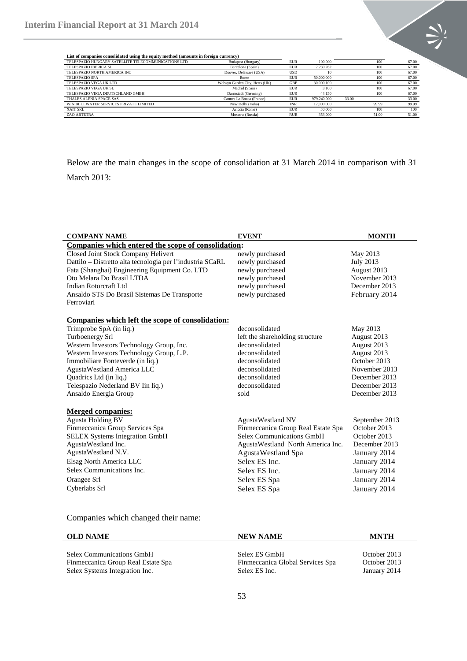

**List of companies consolidated using the equity method (amounts in foreign currency)**

| TELESPAZIO HUNGARY SATELLITE TELECOMMUNICATIONS LTD | Budapest (Hungary)             | <b>EUR</b> | 100,000     |       | 100   | 67.00 |
|-----------------------------------------------------|--------------------------------|------------|-------------|-------|-------|-------|
| TELESPAZIO IBERICA SL                               | Barcelona (Spain)              | <b>EUR</b> | 2.230.262   |       | 100   | 67.00 |
| TELESPAZIO NORTH AMERICA INC                        | Doover, Delaware (USA)         | USD        | 10          |       | 100   | 67.00 |
| <b>TELESPAZIO SPA</b>                               | Rome                           | EUR        | 50,000,000  |       | 100   | 67.00 |
| TELESPAZIO VEGA UK LTD                              | Welwyn Garden City, Herts (UK) | GBP        | 30,000,100  |       | 100   | 67.00 |
| TELESPAZIO VEGA UK SL                               | Madrid (Spain)                 | <b>EUR</b> | 3.100       |       | 100   | 67.00 |
| TELESPAZIO VEGA DEUTSCHLAND GMBH                    | Darmstadt (Germany)            | <b>EUR</b> | 44.150      |       | 100   | 67.00 |
| THALES ALENIA SPACE SAS                             | Cannes La Bocca (France)       | <b>EUR</b> | 979.240.000 | 33.00 |       | 33.00 |
| WIN BLUEWATER SERVICES PRIVATE LIMITED              | New Delhi (India)              | <b>INR</b> | 12,000,000  |       | 99.99 | 99.99 |
| XAIT SRL                                            | Ariccia (Rome)                 | <b>EUR</b> | 50,000      |       | 100   | 100   |
| ZAO ARTETRA                                         | Moscow (Russia)                | <b>RUB</b> | 353,000     |       | 51.00 | 51.00 |

Below are the main changes in the scope of consolidation at 31 March 2014 in comparison with 31 March 2013:

| <b>COMPANY NAME</b>                                       | <b>EVENT</b>                       | <b>MONTH</b>   |
|-----------------------------------------------------------|------------------------------------|----------------|
| Companies which entered the scope of consolidation:       |                                    |                |
| Closed Joint Stock Company Helivert                       | newly purchased                    | May 2013       |
| Dattilo – Distretto alta tecnologia per l'industria SCaRL | newly purchased                    | July 2013      |
| Fata (Shanghai) Engineering Equipment Co. LTD             | newly purchased                    | August 2013    |
| Oto Melara Do Brasil LTDA                                 | newly purchased                    | November 2013  |
| Indian Rotorcraft Ltd                                     | newly purchased                    | December 2013  |
| Ansaldo STS Do Brasil Sistemas De Transporte              | newly purchased                    | February 2014  |
| Ferroviari                                                |                                    |                |
| Companies which left the scope of consolidation:          |                                    |                |
| Trimprobe SpA (in liq.)                                   | deconsolidated                     | May 2013       |
| Turboenergy Srl                                           | left the shareholding structure    | August 2013    |
| Western Investors Technology Group, Inc.                  | deconsolidated                     | August 2013    |
| Western Investors Technology Group, L.P.                  | deconsolidated                     | August 2013    |
| Immobiliare Fonteverde (in liq.)                          | deconsolidated                     | October 2013   |
| AgustaWestland America LLC                                | deconsolidated                     | November 2013  |
| Quadrics Ltd (in liq.)                                    | deconsolidated                     | December 2013  |
| Telespazio Nederland BV Iin liq.)                         | deconsolidated                     | December 2013  |
| Ansaldo Energia Group                                     | sold                               | December 2013  |
| <b>Merged companies:</b>                                  |                                    |                |
| <b>Agusta Holding BV</b>                                  | <b>AgustaWestland NV</b>           | September 2013 |
| Finmeccanica Group Services Spa                           | Finmeccanica Group Real Estate Spa | October 2013   |
| <b>SELEX Systems Integration GmbH</b>                     | <b>Selex Communications GmbH</b>   | October 2013   |
| AgustaWestland Inc.                                       | AgustaWestland North America Inc.  | December 2013  |
| AgustaWestland N.V.                                       | AgustaWestland Spa                 | January 2014   |
| Elsag North America LLC                                   | Selex ES Inc.                      | January 2014   |
| Selex Communications Inc.                                 | Selex ES Inc.                      | January 2014   |
| Orangee Srl                                               | Selex ES Spa                       | January 2014   |
| Cyberlabs Srl                                             | Selex ES Spa                       | January 2014   |
|                                                           |                                    |                |

## Companies which changed their name:

| <b>OLD NAME</b>                    | <b>NEW NAME</b>                  |              |
|------------------------------------|----------------------------------|--------------|
| <b>Selex Communications GmbH</b>   | Selex ES GmbH                    | October 2013 |
| Finmeccanica Group Real Estate Spa | Finmeccanica Global Services Spa | October 2013 |
| Selex Systems Integration Inc.     | Selex ES Inc.                    | January 2014 |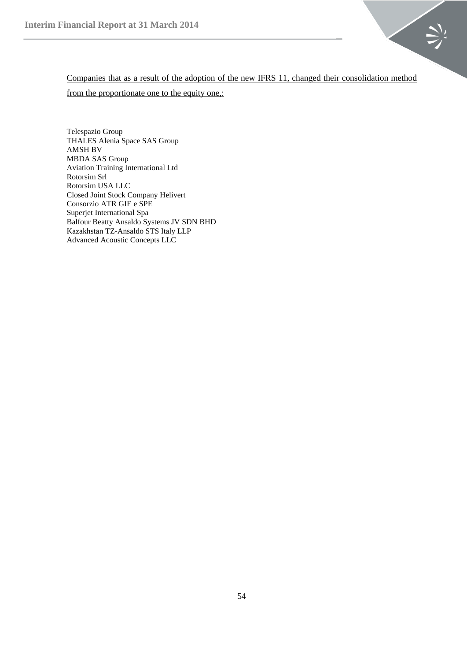

Companies that as a result of the adoption of the new IFRS 11, changed their consolidation method from the proportionate one to the equity one,:

Telespazio Group THALES Alenia Space SAS Group AMSH BV MBDA SAS Group Aviation Training International Ltd Rotorsim Srl Rotorsim USA LLC Closed Joint Stock Company Helivert Consorzio ATR GIE e SPE Superjet International Spa Balfour Beatty Ansaldo Systems JV SDN BHD Kazakhstan TZ-Ansaldo STS Italy LLP Advanced Acoustic Concepts LLC